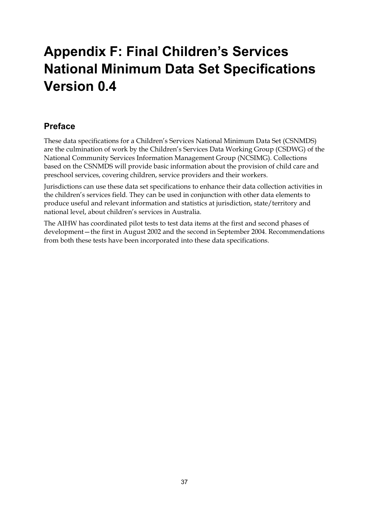# **Appendix F: Final Children's Services National Minimum Data Set Specifications Version 0.4**

### **Preface**

These data specifications for a Children's Services National Minimum Data Set (CSNMDS) are the culmination of work by the Children's Services Data Working Group (CSDWG) of the National Community Services Information Management Group (NCSIMG). Collections based on the CSNMDS will provide basic information about the provision of child care and preschool services, covering children, service providers and their workers.

Jurisdictions can use these data set specifications to enhance their data collection activities in the children's services field. They can be used in conjunction with other data elements to produce useful and relevant information and statistics at jurisdiction, state/territory and national level, about children's services in Australia.

The AIHW has coordinated pilot tests to test data items at the first and second phases of development—the first in August 2002 and the second in September 2004. Recommendations from both these tests have been incorporated into these data specifications.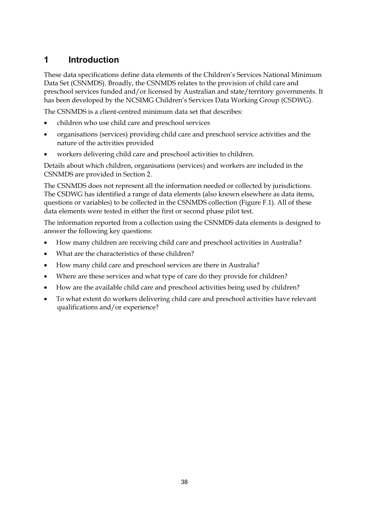## **1 Introduction**

These data specifications define data elements of the Children's Services National Minimum Data Set (CSNMDS). Broadly, the CSNMDS relates to the provision of child care and preschool services funded and/or licensed by Australian and state/territory governments. It has been developed by the NCSIMG Children's Services Data Working Group (CSDWG).

The CSNMDS is a client-centred minimum data set that describes:

- children who use child care and preschool services
- organisations (services) providing child care and preschool service activities and the nature of the activities provided
- workers delivering child care and preschool activities to children.

Details about which children, organisations (services) and workers are included in the CSNMDS are provided in Section 2.

The CSNMDS does not represent all the information needed or collected by jurisdictions. The CSDWG has identified a range of data elements (also known elsewhere as data items, questions or variables) to be collected in the CSNMDS collection (Figure F.1). All of these data elements were tested in either the first or second phase pilot test.

The information reported from a collection using the CSNMDS data elements is designed to answer the following key questions:

- How many children are receiving child care and preschool activities in Australia?
- What are the characteristics of these children?
- How many child care and preschool services are there in Australia?
- Where are these services and what type of care do they provide for children?
- How are the available child care and preschool activities being used by children?
- To what extent do workers delivering child care and preschool activities have relevant qualifications and/or experience?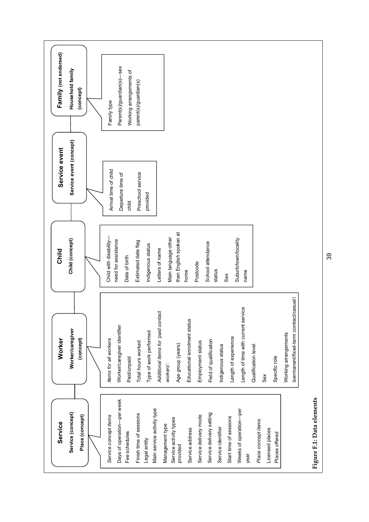

39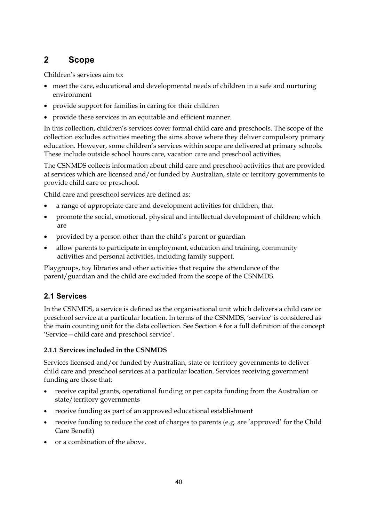### **2 Scope**

Children's services aim to:

- meet the care, educational and developmental needs of children in a safe and nurturing environment
- provide support for families in caring for their children
- provide these services in an equitable and efficient manner.

In this collection, children's services cover formal child care and preschools. The scope of the collection excludes activities meeting the aims above where they deliver compulsory primary education. However, some children's services within scope are delivered at primary schools. These include outside school hours care, vacation care and preschool activities.

The CSNMDS collects information about child care and preschool activities that are provided at services which are licensed and/or funded by Australian, state or territory governments to provide child care or preschool.

Child care and preschool services are defined as:

- a range of appropriate care and development activities for children; that
- promote the social, emotional, physical and intellectual development of children; which are
- provided by a person other than the child's parent or guardian
- allow parents to participate in employment, education and training, community activities and personal activities, including family support.

Playgroups, toy libraries and other activities that require the attendance of the parent/guardian and the child are excluded from the scope of the CSNMDS.

### **2.1 Services**

In the CSNMDS, a service is defined as the organisational unit which delivers a child care or preschool service at a particular location. In terms of the CSNMDS, 'service' is considered as the main counting unit for the data collection. See Section 4 for a full definition of the concept 'Service—child care and preschool service'.

#### **2.1.1 Services included in the CSNMDS**

Services licensed and/or funded by Australian, state or territory governments to deliver child care and preschool services at a particular location. Services receiving government funding are those that:

- receive capital grants, operational funding or per capita funding from the Australian or state/territory governments
- receive funding as part of an approved educational establishment
- receive funding to reduce the cost of charges to parents (e.g. are 'approved' for the Child Care Benefit)
- or a combination of the above.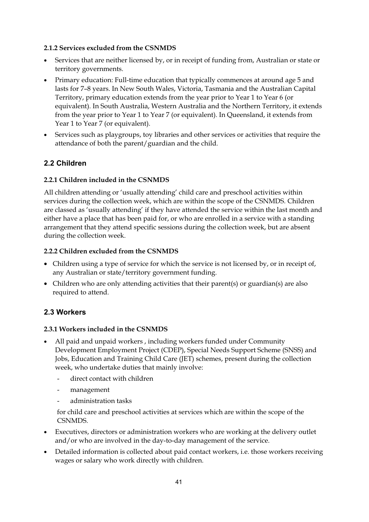#### **2.1.2 Services excluded from the CSNMDS**

- Services that are neither licensed by, or in receipt of funding from, Australian or state or territory governments.
- Primary education: Full-time education that typically commences at around age 5 and lasts for 7–8 years. In New South Wales, Victoria, Tasmania and the Australian Capital Territory, primary education extends from the year prior to Year 1 to Year 6 (or equivalent). In South Australia, Western Australia and the Northern Territory, it extends from the year prior to Year 1 to Year 7 (or equivalent). In Queensland, it extends from Year 1 to Year 7 (or equivalent).
- Services such as playgroups, toy libraries and other services or activities that require the attendance of both the parent/guardian and the child.

### **2.2 Children**

#### **2.2.1 Children included in the CSNMDS**

All children attending or 'usually attending' child care and preschool activities within services during the collection week, which are within the scope of the CSNMDS. Children are classed as 'usually attending' if they have attended the service within the last month and either have a place that has been paid for, or who are enrolled in a service with a standing arrangement that they attend specific sessions during the collection week, but are absent during the collection week.

#### **2.2.2 Children excluded from the CSNMDS**

- Children using a type of service for which the service is not licensed by, or in receipt of, any Australian or state/territory government funding.
- Children who are only attending activities that their parent(s) or guardian(s) are also required to attend.

### **2.3 Workers**

#### **2.3.1 Workers included in the CSNMDS**

- All paid and unpaid workers , including workers funded under Community Development Employment Project (CDEP), Special Needs Support Scheme (SNSS) and Jobs, Education and Training Child Care (JET) schemes, present during the collection week, who undertake duties that mainly involve:
	- direct contact with children
	- management
	- administration tasks

 for child care and preschool activities at services which are within the scope of the CSNMDS.

- Executives, directors or administration workers who are working at the delivery outlet and/or who are involved in the day-to-day management of the service.
- Detailed information is collected about paid contact workers, i.e. those workers receiving wages or salary who work directly with children.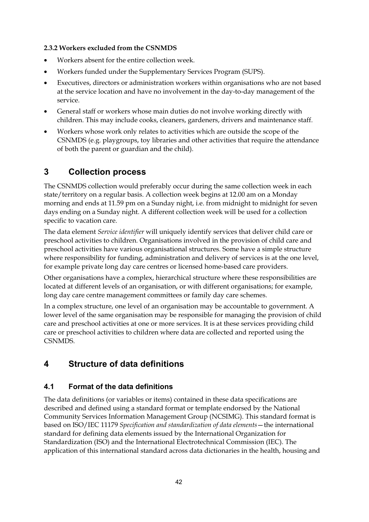#### **2.3.2 Workers excluded from the CSNMDS**

- Workers absent for the entire collection week.
- Workers funded under the Supplementary Services Program (SUPS).
- Executives, directors or administration workers within organisations who are not based at the service location and have no involvement in the day-to-day management of the service.
- General staff or workers whose main duties do not involve working directly with children. This may include cooks, cleaners, gardeners, drivers and maintenance staff.
- Workers whose work only relates to activities which are outside the scope of the CSNMDS (e.g. playgroups, toy libraries and other activities that require the attendance of both the parent or guardian and the child).

### **3 Collection process**

The CSNMDS collection would preferably occur during the same collection week in each state/territory on a regular basis. A collection week begins at 12.00 am on a Monday morning and ends at 11.59 pm on a Sunday night, i.e. from midnight to midnight for seven days ending on a Sunday night. A different collection week will be used for a collection specific to vacation care.

The data element *Service identifier* will uniquely identify services that deliver child care or preschool activities to children. Organisations involved in the provision of child care and preschool activities have various organisational structures. Some have a simple structure where responsibility for funding, administration and delivery of services is at the one level, for example private long day care centres or licensed home-based care providers.

Other organisations have a complex, hierarchical structure where these responsibilities are located at different levels of an organisation, or with different organisations; for example, long day care centre management committees or family day care schemes.

In a complex structure, one level of an organisation may be accountable to government. A lower level of the same organisation may be responsible for managing the provision of child care and preschool activities at one or more services. It is at these services providing child care or preschool activities to children where data are collected and reported using the CSNMDS.

## **4 Structure of data definitions**

### **4.1 Format of the data definitions**

The data definitions (or variables or items) contained in these data specifications are described and defined using a standard format or template endorsed by the National Community Services Information Management Group (NCSIMG). This standard format is based on ISO/IEC 11179 *Specification and standardization of data elements*—the international standard for defining data elements issued by the International Organization for Standardization (ISO) and the International Electrotechnical Commission (IEC). The application of this international standard across data dictionaries in the health, housing and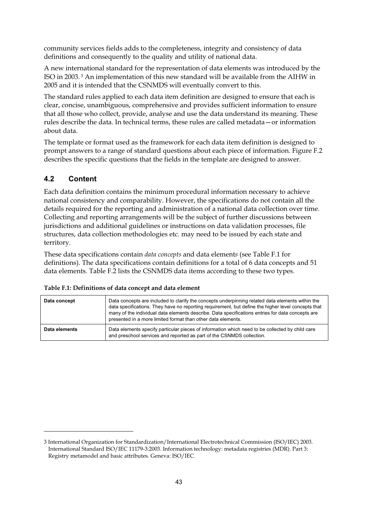community services fields adds to the completeness, integrity and consistency of data definitions and consequently to the quality and utility of national data.

A new international standard for the representation of data elements was introduced by the ISO in 2003. 3 An implementation of this new standard will be available from the AIHW in 2005 and it is intended that the CSNMDS will eventually convert to this.

The standard rules applied to each data item definition are designed to ensure that each is clear, concise, unambiguous, comprehensive and provides sufficient information to ensure that all those who collect, provide, analyse and use the data understand its meaning. These rules describe the data. In technical terms, these rules are called metadata—or information about data.

The template or format used as the framework for each data item definition is designed to prompt answers to a range of standard questions about each piece of information. Figure F.2 describes the specific questions that the fields in the template are designed to answer.

### **4.2 Content**

-

Each data definition contains the minimum procedural information necessary to achieve national consistency and comparability. However, the specifications do not contain all the details required for the reporting and administration of a national data collection over time. Collecting and reporting arrangements will be the subject of further discussions between jurisdictions and additional guidelines or instructions on data validation processes, file structures, data collection methodologies etc. may need to be issued by each state and territory.

These data specifications contain *data concepts* and data element*s* (see Table F.1 for definitions). The data specifications contain definitions for a total of 6 data concepts and 51 data elements. Table F.2 lists the CSNMDS data items according to these two types.

| Data concept  | Data concepts are included to clarify the concepts underpinning related data elements within the<br>data specifications. They have no reporting requirement, but define the higher level concepts that<br>many of the individual data elements describe. Data specifications entries for data concepts are<br>presented in a more limited format than other data elements. |
|---------------|----------------------------------------------------------------------------------------------------------------------------------------------------------------------------------------------------------------------------------------------------------------------------------------------------------------------------------------------------------------------------|
| Data elements | Data elements specify particular pieces of information which need to be collected by child care<br>and preschool services and reported as part of the CSNMDS collection.                                                                                                                                                                                                   |

| Table F.1: Definitions of data concept and data element |
|---------------------------------------------------------|
|                                                         |

<sup>3</sup> International Organization for Standardization/International Electrotechnical Commission (ISO/IEC) 2003. International Standard ISO/IEC 11179-3:2003. Information technology: metadata registries (MDR). Part 3: Registry metamodel and basic attributes. Geneva: ISO/IEC.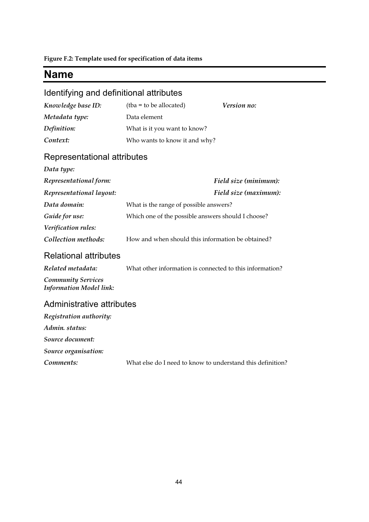**Figure F.2: Template used for specification of data items** 

## **Name**

## Identifying and definitional attributes

| Knowledge base ID: | $(tba = to be allocated)$     | Version no: |
|--------------------|-------------------------------|-------------|
| Metadata type:     | Data element                  |             |
| Definition:        | What is it you want to know?  |             |
| Context:           | Who wants to know it and why? |             |

## Representational attributes

| Data type:               |                                                    |  |
|--------------------------|----------------------------------------------------|--|
| Representational form:   | Field size (minimum):                              |  |
| Representational layout: | Field size (maximum):                              |  |
| Data domain:             | What is the range of possible answers?             |  |
| Guide for use:           | Which one of the possible answers should I choose? |  |
| Verification rules:      |                                                    |  |
| Collection methods:      | How and when should this information be obtained?  |  |

### Relational attributes

| Related metadata:                                    | What other information is connected to this information? |
|------------------------------------------------------|----------------------------------------------------------|
| <b>Community Services</b><br>Information Model link: |                                                          |

| Registration authority: |                                                            |
|-------------------------|------------------------------------------------------------|
| Admin. status:          |                                                            |
| Source document:        |                                                            |
| Source organisation:    |                                                            |
| Comments:               | What else do I need to know to understand this definition? |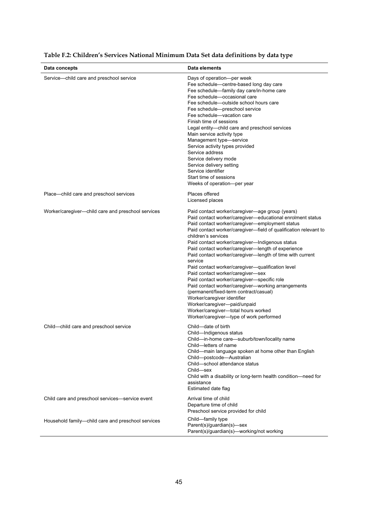| Data concepts                                      | Data elements                                                                                                                                                                                                                                                                                                                                                                                                                                                                                                                                                                                                                                                                                                                                                                                                                          |
|----------------------------------------------------|----------------------------------------------------------------------------------------------------------------------------------------------------------------------------------------------------------------------------------------------------------------------------------------------------------------------------------------------------------------------------------------------------------------------------------------------------------------------------------------------------------------------------------------------------------------------------------------------------------------------------------------------------------------------------------------------------------------------------------------------------------------------------------------------------------------------------------------|
| Service-child care and preschool service           | Days of operation-per week<br>Fee schedule-centre-based long day care<br>Fee schedule-family day care/in-home care<br>Fee schedule-occasional care<br>Fee schedule—outside school hours care<br>Fee schedule-preschool service<br>Fee schedule-vacation care<br>Finish time of sessions<br>Legal entity-child care and preschool services<br>Main service activity type<br>Management type-service<br>Service activity types provided<br>Service address<br>Service delivery mode<br>Service delivery setting<br>Service identifier<br>Start time of sessions<br>Weeks of operation-per year                                                                                                                                                                                                                                           |
| Place-child care and preschool services            | Places offered<br>Licensed places                                                                                                                                                                                                                                                                                                                                                                                                                                                                                                                                                                                                                                                                                                                                                                                                      |
| Worker/caregiver-child care and preschool services | Paid contact worker/caregiver-age group (years)<br>Paid contact worker/caregiver-educational enrolment status<br>Paid contact worker/caregiver-employment status<br>Paid contact worker/caregiver-field of qualification relevant to<br>children's services<br>Paid contact worker/caregiver-Indigenous status<br>Paid contact worker/caregiver-length of experience<br>Paid contact worker/caregiver-length of time with current<br>service<br>Paid contact worker/caregiver-qualification level<br>Paid contact worker/caregiver-sex<br>Paid contact worker/caregiver-specific role<br>Paid contact worker/caregiver-working arrangements<br>(permanent/fixed-term contract/casual)<br>Worker/caregiver identifier<br>Worker/caregiver-paid/unpaid<br>Worker/caregiver-total hours worked<br>Worker/caregiver-type of work performed |
| Child-child care and preschool service             | Child-date of birth<br>Child-Indigenous status<br>Child-in-home care-suburb/town/locality name<br>Child—letters of name<br>Child-main language spoken at home other than English<br>Child-postcode-Australian<br>Child-school attendance status<br>Child-sex<br>Child with a disability or long-term health condition-need for<br>assistance<br>Estimated date flag                                                                                                                                                                                                                                                                                                                                                                                                                                                                    |
| Child care and preschool services—service event    | Arrival time of child<br>Departure time of child<br>Preschool service provided for child                                                                                                                                                                                                                                                                                                                                                                                                                                                                                                                                                                                                                                                                                                                                               |
| Household family-child care and preschool services | Child-family type<br>Parent(s)/guardian(s)-sex<br>Parent(s)/guardian(s)-working/not working                                                                                                                                                                                                                                                                                                                                                                                                                                                                                                                                                                                                                                                                                                                                            |

### **Table F.2: Children's Services National Minimum Data Set data definitions by data type**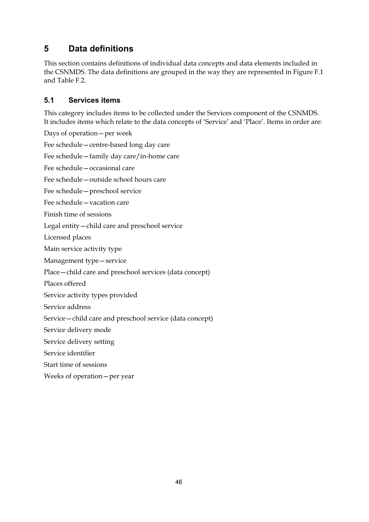## **5 Data definitions**

This section contains definitions of individual data concepts and data elements included in the CSNMDS. The data definitions are grouped in the way they are represented in Figure F.1 and Table F<sub>2</sub>

### **5.1 Services items**

This category includes items to be collected under the Services component of the CSNMDS. It includes items which relate to the data concepts of 'Service' and 'Place'. Items in order are:

Days of operation—per week Fee schedule—centre-based long day care Fee schedule—family day care/in-home care Fee schedule—occasional care Fee schedule—outside school hours care Fee schedule—preschool service Fee schedule—vacation care Finish time of sessions Legal entity—child care and preschool service Licensed places Main service activity type Management type—service Place—child care and preschool services (data concept) Places offered Service activity types provided Service address Service—child care and preschool service (data concept) Service delivery mode Service delivery setting Service identifier Start time of sessions Weeks of operation—per year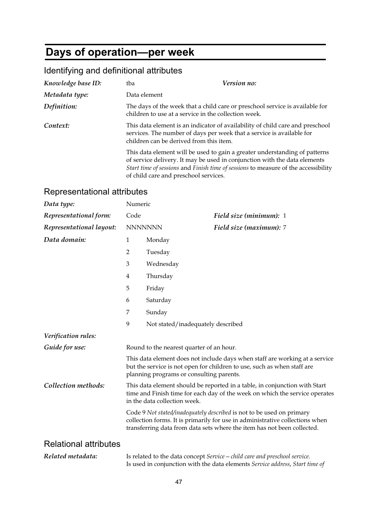# **Days of operation—per week**

## Identifying and definitional attributes

| Knowledge base ID: | tba                                                                                                                                  | <i>Version no:</i>                                                                                                                                                                                                                            |
|--------------------|--------------------------------------------------------------------------------------------------------------------------------------|-----------------------------------------------------------------------------------------------------------------------------------------------------------------------------------------------------------------------------------------------|
| Metadata type:     | Data element                                                                                                                         |                                                                                                                                                                                                                                               |
| Definition:        | The days of the week that a child care or preschool service is available for<br>children to use at a service in the collection week. |                                                                                                                                                                                                                                               |
| Context:           | children can be derived from this item.                                                                                              | This data element is an indicator of availability of child care and preschool<br>services. The number of days per week that a service is available for                                                                                        |
|                    |                                                                                                                                      | This data element will be used to gain a greater understanding of patterns<br>of service delivery. It may be used in conjunction with the data elements<br>Start time of sessions and Finish time of sessions to measure of the accessibility |

of child care and preschool services.

### Representational attributes

| Data type:                   | Numeric                                                                                                                                                                                                                          |                                          |                                                                                                                                                        |
|------------------------------|----------------------------------------------------------------------------------------------------------------------------------------------------------------------------------------------------------------------------------|------------------------------------------|--------------------------------------------------------------------------------------------------------------------------------------------------------|
| Representational form:       | Code                                                                                                                                                                                                                             |                                          | Field size (minimum): 1                                                                                                                                |
| Representational layout:     |                                                                                                                                                                                                                                  | <b>NNNNNNN</b>                           | Field size (maximum): 7                                                                                                                                |
| Data domain:                 | $\mathbf{1}$                                                                                                                                                                                                                     | Monday                                   |                                                                                                                                                        |
|                              | $\overline{2}$                                                                                                                                                                                                                   | Tuesday                                  |                                                                                                                                                        |
|                              | 3                                                                                                                                                                                                                                | Wednesday                                |                                                                                                                                                        |
|                              | $\overline{4}$                                                                                                                                                                                                                   | Thursday                                 |                                                                                                                                                        |
|                              | 5                                                                                                                                                                                                                                | Friday                                   |                                                                                                                                                        |
|                              | 6                                                                                                                                                                                                                                | Saturday                                 |                                                                                                                                                        |
|                              | 7                                                                                                                                                                                                                                | Sunday                                   |                                                                                                                                                        |
|                              | 9                                                                                                                                                                                                                                | Not stated/inadequately described        |                                                                                                                                                        |
| Verification rules:          |                                                                                                                                                                                                                                  |                                          |                                                                                                                                                        |
| Guide for use:               | Round to the nearest quarter of an hour.                                                                                                                                                                                         |                                          |                                                                                                                                                        |
|                              |                                                                                                                                                                                                                                  | planning programs or consulting parents. | This data element does not include days when staff are working at a service<br>but the service is not open for children to use, such as when staff are |
| Collection methods:          | This data element should be reported in a table, in conjunction with Start<br>time and Finish time for each day of the week on which the service operates<br>in the data collection week.                                        |                                          |                                                                                                                                                        |
|                              | Code 9 Not stated/inadequately described is not to be used on primary<br>collection forms. It is primarily for use in administrative collections when<br>transferring data from data sets where the item has not been collected. |                                          |                                                                                                                                                        |
| <b>Relational attributes</b> |                                                                                                                                                                                                                                  |                                          |                                                                                                                                                        |
| Related metadata:            |                                                                                                                                                                                                                                  |                                          | Is related to the data concept Service – child care and preschool service.                                                                             |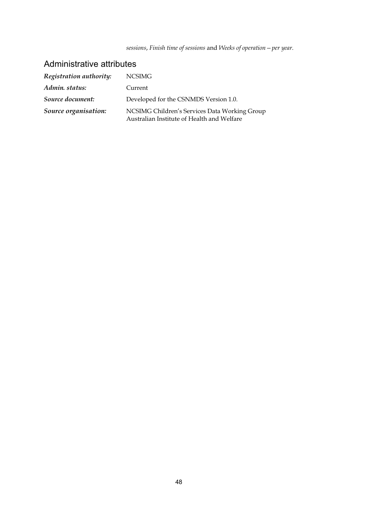*sessions*, *Finish time of sessions* and *Weeks of operation—per year*.

| Registration authority: | <b>NCSIMG</b>                                                                               |
|-------------------------|---------------------------------------------------------------------------------------------|
| Admin. status:          | Current                                                                                     |
| Source document:        | Developed for the CSNMDS Version 1.0.                                                       |
| Source organisation:    | NCSIMG Children's Services Data Working Group<br>Australian Institute of Health and Welfare |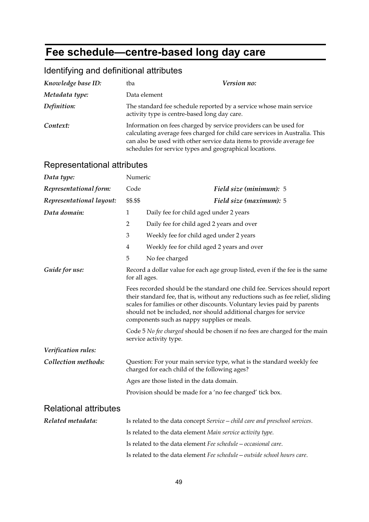# **Fee schedule—centre-based long day care**

## Identifying and definitional attributes

| Knowledge base ID: | tba                                                                                                                                                                                                  | <i>Version no:</i>                                                          |
|--------------------|------------------------------------------------------------------------------------------------------------------------------------------------------------------------------------------------------|-----------------------------------------------------------------------------|
| Metadata type:     | Data element                                                                                                                                                                                         |                                                                             |
| Definition:        | The standard fee schedule reported by a service whose main service<br>activity type is centre-based long day care.                                                                                   |                                                                             |
| Context:           | Information on fees charged by service providers can be used for<br>can also be used with other service data items to provide average fee<br>schedules for service types and geographical locations. | calculating average fees charged for child care services in Australia. This |

### Representational attributes

| Numeric                                                                                                                                                                                                                                                                                                                                                       |                                                                                                      |  |
|---------------------------------------------------------------------------------------------------------------------------------------------------------------------------------------------------------------------------------------------------------------------------------------------------------------------------------------------------------------|------------------------------------------------------------------------------------------------------|--|
| Code                                                                                                                                                                                                                                                                                                                                                          | Field size (minimum): 5                                                                              |  |
| \$\$.\$\$                                                                                                                                                                                                                                                                                                                                                     | Field size (maximum): 5                                                                              |  |
| $\mathbf{1}$                                                                                                                                                                                                                                                                                                                                                  | Daily fee for child aged under 2 years                                                               |  |
| $\overline{2}$                                                                                                                                                                                                                                                                                                                                                | Daily fee for child aged 2 years and over                                                            |  |
| 3                                                                                                                                                                                                                                                                                                                                                             | Weekly fee for child aged under 2 years                                                              |  |
| $\overline{4}$                                                                                                                                                                                                                                                                                                                                                | Weekly fee for child aged 2 years and over                                                           |  |
| 5                                                                                                                                                                                                                                                                                                                                                             | No fee charged                                                                                       |  |
| Record a dollar value for each age group listed, even if the fee is the same<br>for all ages.                                                                                                                                                                                                                                                                 |                                                                                                      |  |
| Fees recorded should be the standard one child fee. Services should report<br>their standard fee, that is, without any reductions such as fee relief, sliding<br>scales for families or other discounts. Voluntary levies paid by parents<br>should not be included, nor should additional charges for service<br>components such as nappy supplies or meals. |                                                                                                      |  |
|                                                                                                                                                                                                                                                                                                                                                               | Code 5 No fee charged should be chosen if no fees are charged for the main<br>service activity type. |  |
|                                                                                                                                                                                                                                                                                                                                                               |                                                                                                      |  |
| Question: For your main service type, what is the standard weekly fee<br>charged for each child of the following ages?                                                                                                                                                                                                                                        |                                                                                                      |  |
|                                                                                                                                                                                                                                                                                                                                                               | Ages are those listed in the data domain.                                                            |  |
|                                                                                                                                                                                                                                                                                                                                                               | Provision should be made for a 'no fee charged' tick box.                                            |  |
|                                                                                                                                                                                                                                                                                                                                                               |                                                                                                      |  |
|                                                                                                                                                                                                                                                                                                                                                               | Is related to the data concept Service - child care and preschool services.                          |  |
|                                                                                                                                                                                                                                                                                                                                                               | Is related to the data element Main service activity type.                                           |  |
|                                                                                                                                                                                                                                                                                                                                                               | Is related to the data element Fee schedule - occasional care.                                       |  |
|                                                                                                                                                                                                                                                                                                                                                               | r toprocorrianorial attributoc                                                                       |  |

Is related to the data element *Fee schedule—outside school hours care*.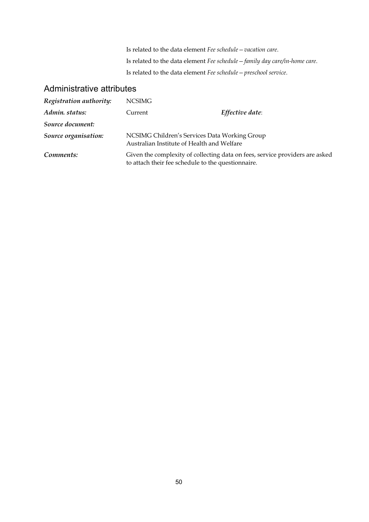Is related to the data element *Fee schedule—vacation care*. Is related to the data element *Fee schedule—family day care/in-home care*. Is related to the data element *Fee schedule—preschool service*.

| Registration authority: | <b>NCSIMG</b> |                                                                                                                                    |
|-------------------------|---------------|------------------------------------------------------------------------------------------------------------------------------------|
| Admin. status:          | Current       | Effective date:                                                                                                                    |
| Source document:        |               |                                                                                                                                    |
| Source organisation:    |               | NCSIMG Children's Services Data Working Group<br>Australian Institute of Health and Welfare                                        |
| Comments:               |               | Given the complexity of collecting data on fees, service providers are asked<br>to attach their fee schedule to the questionnaire. |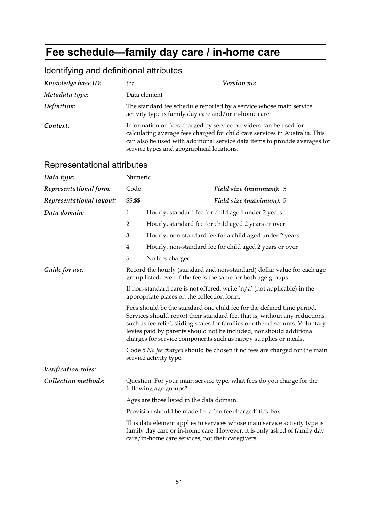# **Fee schedule—family day care / in-home care**

## Identifying and definitional attributes

| Knowledge base ID: | tba                                                                                                                         | Version no:                                                                                                                                                |
|--------------------|-----------------------------------------------------------------------------------------------------------------------------|------------------------------------------------------------------------------------------------------------------------------------------------------------|
| Metadata type:     | Data element                                                                                                                |                                                                                                                                                            |
| Definition:        | The standard fee schedule reported by a service whose main service<br>activity type is family day care and/or in-home care. |                                                                                                                                                            |
| Context:           | Information on fees charged by service providers can be used for<br>service types and geographical locations.               | calculating average fees charged for child care services in Australia. This<br>can also be used with additional service data items to provide averages for |

#### Representational attributes

| Data type:               | Numeric                                                                                                                                                                                                                                                                                                                                                                                                                                                                                  |                                                                                                                                                                                                            |
|--------------------------|------------------------------------------------------------------------------------------------------------------------------------------------------------------------------------------------------------------------------------------------------------------------------------------------------------------------------------------------------------------------------------------------------------------------------------------------------------------------------------------|------------------------------------------------------------------------------------------------------------------------------------------------------------------------------------------------------------|
| Representational form:   | Code                                                                                                                                                                                                                                                                                                                                                                                                                                                                                     | Field size (minimum): 5                                                                                                                                                                                    |
| Representational layout: | \$\$.\$\$                                                                                                                                                                                                                                                                                                                                                                                                                                                                                | Field size (maximum): 5                                                                                                                                                                                    |
| Data domain:             | $\mathbf{1}$                                                                                                                                                                                                                                                                                                                                                                                                                                                                             | Hourly, standard fee for child aged under 2 years                                                                                                                                                          |
|                          | 2                                                                                                                                                                                                                                                                                                                                                                                                                                                                                        | Hourly, standard fee for child aged 2 years or over                                                                                                                                                        |
|                          | 3                                                                                                                                                                                                                                                                                                                                                                                                                                                                                        | Hourly, non-standard fee for a child aged under 2 years                                                                                                                                                    |
|                          | $\overline{4}$                                                                                                                                                                                                                                                                                                                                                                                                                                                                           | Hourly, non-standard fee for child aged 2 years or over                                                                                                                                                    |
|                          | 5                                                                                                                                                                                                                                                                                                                                                                                                                                                                                        | No fees charged                                                                                                                                                                                            |
| Guide for use:           |                                                                                                                                                                                                                                                                                                                                                                                                                                                                                          | Record the hourly (standard and non-standard) dollar value for each age<br>group listed, even if the fee is the same for both age groups.                                                                  |
|                          | If non-standard care is not offered, write ' $n/a'$ (not applicable) in the<br>appropriate places on the collection form.                                                                                                                                                                                                                                                                                                                                                                |                                                                                                                                                                                                            |
|                          | Fees should be the standard one child fee for the defined time period.<br>Services should report their standard fee, that is, without any reductions<br>such as fee relief, sliding scales for families or other discounts. Voluntary<br>levies paid by parents should not be included, nor should additional<br>charges for service components such as nappy supplies or meals.<br>Code 5 No fee charged should be chosen if no fees are charged for the main<br>service activity type. |                                                                                                                                                                                                            |
|                          |                                                                                                                                                                                                                                                                                                                                                                                                                                                                                          |                                                                                                                                                                                                            |
| Verification rules:      |                                                                                                                                                                                                                                                                                                                                                                                                                                                                                          |                                                                                                                                                                                                            |
| Collection methods:      | Question: For your main service type, what fees do you charge for the<br>following age groups?                                                                                                                                                                                                                                                                                                                                                                                           |                                                                                                                                                                                                            |
|                          |                                                                                                                                                                                                                                                                                                                                                                                                                                                                                          | Ages are those listed in the data domain.                                                                                                                                                                  |
|                          | Provision should be made for a 'no fee charged' tick box.                                                                                                                                                                                                                                                                                                                                                                                                                                |                                                                                                                                                                                                            |
|                          |                                                                                                                                                                                                                                                                                                                                                                                                                                                                                          | This data element applies to services whose main service activity type is<br>family day care or in-home care. However, it is only asked of family day<br>care/in-home care services, not their caregivers. |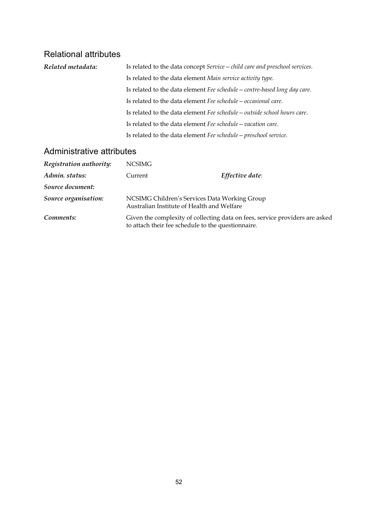## Relational attributes

| Related metadata: | Is related to the data concept Service - child care and preschool services. |  |
|-------------------|-----------------------------------------------------------------------------|--|
|                   | Is related to the data element Main service activity type.                  |  |
|                   | Is related to the data element Fee schedule – centre-based long day care.   |  |
|                   | Is related to the data element Fee schedule – occasional care.              |  |
|                   | Is related to the data element Fee schedule - outside school hours care.    |  |
|                   | Is related to the data element Fee schedule - vacation care.                |  |
|                   | Is related to the data element Fee schedule - preschool service.            |  |

| Registration authority: | NCSIMG                                                                                      |                                                                              |
|-------------------------|---------------------------------------------------------------------------------------------|------------------------------------------------------------------------------|
| Admin. status:          | Current                                                                                     | Effective date:                                                              |
| Source document:        |                                                                                             |                                                                              |
| Source organisation:    | NCSIMG Children's Services Data Working Group<br>Australian Institute of Health and Welfare |                                                                              |
| Comments:               | to attach their fee schedule to the questionnaire.                                          | Given the complexity of collecting data on fees, service providers are asked |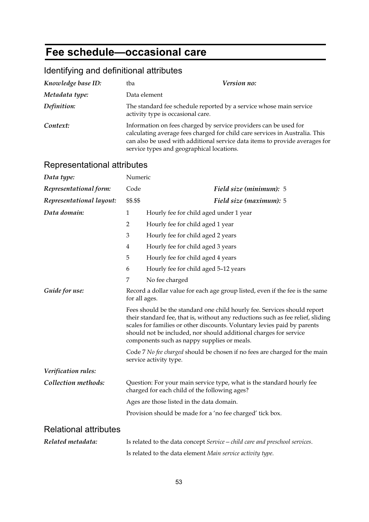# **Fee schedule—occasional care**

## Identifying and definitional attributes

| Knowledge base ID: | tba                                                                                                           | Version no:                                                                                                                                                |
|--------------------|---------------------------------------------------------------------------------------------------------------|------------------------------------------------------------------------------------------------------------------------------------------------------------|
| Metadata type:     | Data element                                                                                                  |                                                                                                                                                            |
| Definition:        | The standard fee schedule reported by a service whose main service<br>activity type is occasional care.       |                                                                                                                                                            |
| Context:           | Information on fees charged by service providers can be used for<br>service types and geographical locations. | calculating average fees charged for child care services in Australia. This<br>can also be used with additional service data items to provide averages for |

## Representational attributes

| Representational attributes  |                                                                                                                        |                                                                                                                                                                                                                                                                                                                                                             |  |
|------------------------------|------------------------------------------------------------------------------------------------------------------------|-------------------------------------------------------------------------------------------------------------------------------------------------------------------------------------------------------------------------------------------------------------------------------------------------------------------------------------------------------------|--|
| Data type:                   | Numeric                                                                                                                |                                                                                                                                                                                                                                                                                                                                                             |  |
| Representational form:       | Code                                                                                                                   | Field size (minimum): 5                                                                                                                                                                                                                                                                                                                                     |  |
| Representational layout:     | \$\$.\$\$                                                                                                              | Field size (maximum): 5                                                                                                                                                                                                                                                                                                                                     |  |
| Data domain:                 | $\mathbf{1}$                                                                                                           | Hourly fee for child aged under 1 year                                                                                                                                                                                                                                                                                                                      |  |
|                              | $\overline{2}$                                                                                                         | Hourly fee for child aged 1 year                                                                                                                                                                                                                                                                                                                            |  |
|                              | 3                                                                                                                      | Hourly fee for child aged 2 years                                                                                                                                                                                                                                                                                                                           |  |
|                              | $\overline{4}$                                                                                                         | Hourly fee for child aged 3 years                                                                                                                                                                                                                                                                                                                           |  |
|                              | 5                                                                                                                      | Hourly fee for child aged 4 years                                                                                                                                                                                                                                                                                                                           |  |
|                              | 6                                                                                                                      | Hourly fee for child aged 5-12 years                                                                                                                                                                                                                                                                                                                        |  |
|                              | 7                                                                                                                      | No fee charged                                                                                                                                                                                                                                                                                                                                              |  |
| Guide for use:               | Record a dollar value for each age group listed, even if the fee is the same<br>for all ages.                          |                                                                                                                                                                                                                                                                                                                                                             |  |
|                              |                                                                                                                        | Fees should be the standard one child hourly fee. Services should report<br>their standard fee, that is, without any reductions such as fee relief, sliding<br>scales for families or other discounts. Voluntary levies paid by parents<br>should not be included, nor should additional charges for service<br>components such as nappy supplies or meals. |  |
|                              | Code 7 No fee charged should be chosen if no fees are charged for the main<br>service activity type.                   |                                                                                                                                                                                                                                                                                                                                                             |  |
| Verification rules:          |                                                                                                                        |                                                                                                                                                                                                                                                                                                                                                             |  |
| Collection methods:          | Question: For your main service type, what is the standard hourly fee<br>charged for each child of the following ages? |                                                                                                                                                                                                                                                                                                                                                             |  |
|                              | Ages are those listed in the data domain.                                                                              |                                                                                                                                                                                                                                                                                                                                                             |  |
|                              |                                                                                                                        | Provision should be made for a 'no fee charged' tick box.                                                                                                                                                                                                                                                                                                   |  |
| <b>Relational attributes</b> |                                                                                                                        |                                                                                                                                                                                                                                                                                                                                                             |  |
| Related metadata:            |                                                                                                                        | Is related to the data concept Service – child care and preschool services.                                                                                                                                                                                                                                                                                 |  |
|                              |                                                                                                                        | Is related to the data element Main service activity type.                                                                                                                                                                                                                                                                                                  |  |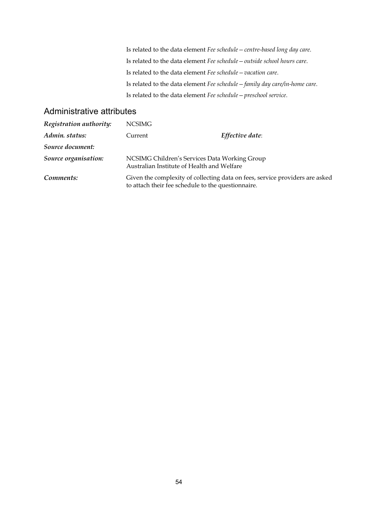Is related to the data element *Fee schedule—centre-based long day care*. Is related to the data element *Fee schedule—outside school hours care*. Is related to the data element *Fee schedule—vacation care*. Is related to the data element *Fee schedule—family day care/in-home care*. Is related to the data element *Fee schedule—preschool service*.

| Registration authority: | <b>NCSIMG</b> |                                                                                                                                    |
|-------------------------|---------------|------------------------------------------------------------------------------------------------------------------------------------|
| Admin. status:          | Current       | Effective date:                                                                                                                    |
| Source document:        |               |                                                                                                                                    |
| Source organisation:    |               | NCSIMG Children's Services Data Working Group<br>Australian Institute of Health and Welfare                                        |
| Comments:               |               | Given the complexity of collecting data on fees, service providers are asked<br>to attach their fee schedule to the questionnaire. |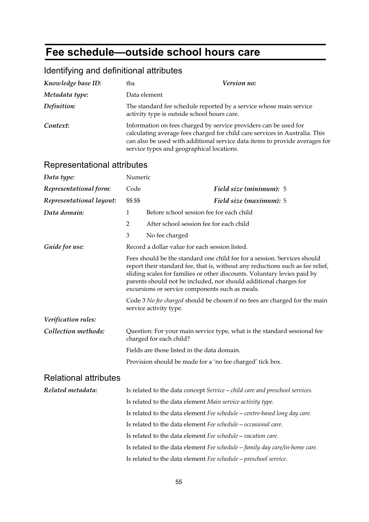# **Fee schedule—outside school hours care**

## Identifying and definitional attributes

| Knowledge base ID: | tba                                                                                                               | Version no:                                                                                                                                                |
|--------------------|-------------------------------------------------------------------------------------------------------------------|------------------------------------------------------------------------------------------------------------------------------------------------------------|
| Metadata type:     | Data element                                                                                                      |                                                                                                                                                            |
| Definition:        | The standard fee schedule reported by a service whose main service<br>activity type is outside school hours care. |                                                                                                                                                            |
| Context:           | Information on fees charged by service providers can be used for<br>service types and geographical locations.     | calculating average fees charged for child care services in Australia. This<br>can also be used with additional service data items to provide averages for |

### Representational attributes

| <b>INGUIGOGHIANUHAI AMIDULGO</b> |                                                                                                      |                                                                                                                                                                                                                                                                                                                                                                |
|----------------------------------|------------------------------------------------------------------------------------------------------|----------------------------------------------------------------------------------------------------------------------------------------------------------------------------------------------------------------------------------------------------------------------------------------------------------------------------------------------------------------|
| Data type:                       | Numeric                                                                                              |                                                                                                                                                                                                                                                                                                                                                                |
| Representational form:           | Code                                                                                                 | Field size (minimum): 5                                                                                                                                                                                                                                                                                                                                        |
| Representational layout:         | \$\$.\$\$                                                                                            | Field size (maximum): 5                                                                                                                                                                                                                                                                                                                                        |
| Data domain:                     | $\mathbf{1}$                                                                                         | Before school session fee for each child                                                                                                                                                                                                                                                                                                                       |
|                                  | 2                                                                                                    | After school session fee for each child                                                                                                                                                                                                                                                                                                                        |
|                                  | 3                                                                                                    | No fee charged                                                                                                                                                                                                                                                                                                                                                 |
| Guide for use:                   |                                                                                                      | Record a dollar value for each session listed.                                                                                                                                                                                                                                                                                                                 |
|                                  |                                                                                                      | Fees should be the standard one child fee for a session. Services should<br>report their standard fee, that is, without any reductions such as fee relief,<br>sliding scales for families or other discounts. Voluntary levies paid by<br>parents should not be included, nor should additional charges for<br>excursions or service components such as meals. |
|                                  | Code 3 No fee charged should be chosen if no fees are charged for the main<br>service activity type. |                                                                                                                                                                                                                                                                                                                                                                |
| Verification rules:              |                                                                                                      |                                                                                                                                                                                                                                                                                                                                                                |
| Collection methods:              |                                                                                                      | Question: For your main service type, what is the standard sessional fee<br>charged for each child?                                                                                                                                                                                                                                                            |
|                                  |                                                                                                      | Fields are those listed in the data domain.                                                                                                                                                                                                                                                                                                                    |
|                                  |                                                                                                      | Provision should be made for a 'no fee charged' tick box.                                                                                                                                                                                                                                                                                                      |
| <b>Relational attributes</b>     |                                                                                                      |                                                                                                                                                                                                                                                                                                                                                                |
| Related metadata:                |                                                                                                      | Is related to the data concept Service - child care and preschool services.                                                                                                                                                                                                                                                                                    |
|                                  |                                                                                                      | Is related to the data element Main service activity type.                                                                                                                                                                                                                                                                                                     |
|                                  |                                                                                                      | Is related to the data element Fee schedule - centre-based long day care.                                                                                                                                                                                                                                                                                      |
|                                  |                                                                                                      | Is related to the data element Fee schedule – occasional care.                                                                                                                                                                                                                                                                                                 |
|                                  |                                                                                                      | Is related to the data element Fee schedule – vacation care.                                                                                                                                                                                                                                                                                                   |
|                                  |                                                                                                      | Is related to the data element Fee schedule – family day care/in-home care.                                                                                                                                                                                                                                                                                    |

Is related to the data element *Fee schedule—preschool service*.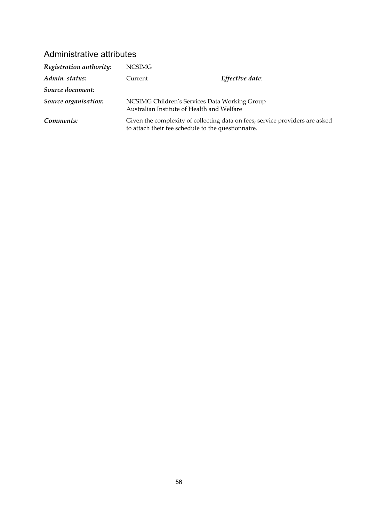| Registration authority: | <b>NCSIMG</b> |                                                                                                                                    |
|-------------------------|---------------|------------------------------------------------------------------------------------------------------------------------------------|
| Admin. status:          | Current       | Effective date:                                                                                                                    |
| Source document:        |               |                                                                                                                                    |
| Source organisation:    |               | NCSIMG Children's Services Data Working Group<br>Australian Institute of Health and Welfare                                        |
| Comments:               |               | Given the complexity of collecting data on fees, service providers are asked<br>to attach their fee schedule to the questionnaire. |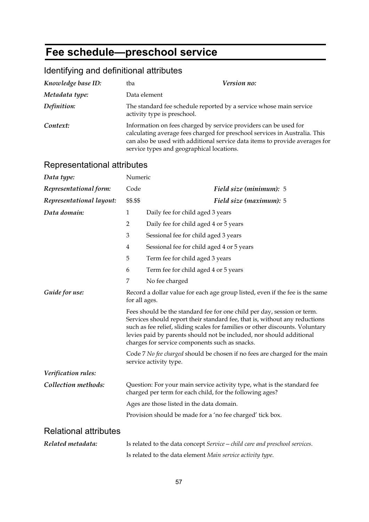# **Fee schedule—preschool service**

## Identifying and definitional attributes

| Knowledge base ID: | tba                                                                                                           | Version no:                                                                                                                                               |
|--------------------|---------------------------------------------------------------------------------------------------------------|-----------------------------------------------------------------------------------------------------------------------------------------------------------|
| Metadata type:     | Data element                                                                                                  |                                                                                                                                                           |
| Definition:        | The standard fee schedule reported by a service whose main service<br>activity type is preschool.             |                                                                                                                                                           |
| Context:           | Information on fees charged by service providers can be used for<br>service types and geographical locations. | calculating average fees charged for preschool services in Australia. This<br>can also be used with additional service data items to provide averages for |

### Representational attributes

| Representational attributes  |                                                                                               |                                                                                                                                                                                                                                                                                                                                                                  |
|------------------------------|-----------------------------------------------------------------------------------------------|------------------------------------------------------------------------------------------------------------------------------------------------------------------------------------------------------------------------------------------------------------------------------------------------------------------------------------------------------------------|
| Data type:                   | Numeric                                                                                       |                                                                                                                                                                                                                                                                                                                                                                  |
| Representational form:       | Code                                                                                          | Field size (minimum): 5                                                                                                                                                                                                                                                                                                                                          |
| Representational layout:     | \$\$.\$\$                                                                                     | Field size (maximum): 5                                                                                                                                                                                                                                                                                                                                          |
| Data domain:                 | $\mathbf{1}$                                                                                  | Daily fee for child aged 3 years                                                                                                                                                                                                                                                                                                                                 |
|                              | $\overline{2}$                                                                                | Daily fee for child aged 4 or 5 years                                                                                                                                                                                                                                                                                                                            |
|                              | 3                                                                                             | Sessional fee for child aged 3 years                                                                                                                                                                                                                                                                                                                             |
|                              | 4                                                                                             | Sessional fee for child aged 4 or 5 years                                                                                                                                                                                                                                                                                                                        |
|                              | 5                                                                                             | Term fee for child aged 3 years                                                                                                                                                                                                                                                                                                                                  |
|                              | 6                                                                                             | Term fee for child aged 4 or 5 years                                                                                                                                                                                                                                                                                                                             |
|                              | 7                                                                                             | No fee charged                                                                                                                                                                                                                                                                                                                                                   |
| Guide for use:               | Record a dollar value for each age group listed, even if the fee is the same<br>for all ages. |                                                                                                                                                                                                                                                                                                                                                                  |
|                              |                                                                                               | Fees should be the standard fee for one child per day, session or term.<br>Services should report their standard fee, that is, without any reductions<br>such as fee relief, sliding scales for families or other discounts. Voluntary<br>levies paid by parents should not be included, nor should additional<br>charges for service components such as snacks. |
|                              |                                                                                               | Code 7 No fee charged should be chosen if no fees are charged for the main<br>service activity type.                                                                                                                                                                                                                                                             |
| Verification rules:          |                                                                                               |                                                                                                                                                                                                                                                                                                                                                                  |
| Collection methods:          |                                                                                               | Question: For your main service activity type, what is the standard fee<br>charged per term for each child, for the following ages?                                                                                                                                                                                                                              |
|                              |                                                                                               | Ages are those listed in the data domain.                                                                                                                                                                                                                                                                                                                        |
|                              |                                                                                               | Provision should be made for a 'no fee charged' tick box.                                                                                                                                                                                                                                                                                                        |
| <b>Relational attributes</b> |                                                                                               |                                                                                                                                                                                                                                                                                                                                                                  |
| Related metadata:            |                                                                                               | Is related to the data concept Service - child care and preschool services.                                                                                                                                                                                                                                                                                      |
|                              |                                                                                               | Is related to the data element Main service activity type.                                                                                                                                                                                                                                                                                                       |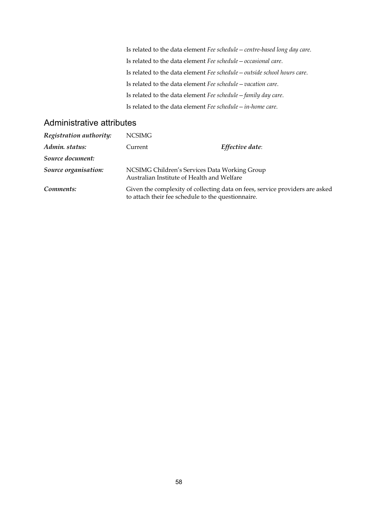Is related to the data element *Fee schedule—centre-based long day care*. Is related to the data element *Fee schedule—occasional care*. Is related to the data element *Fee schedule—outside school hours care*. Is related to the data element *Fee schedule—vacation care*. Is related to the data element *Fee schedule—family day care*. Is related to the data element *Fee schedule—in-home care*.

| Registration authority: | <b>NCSIMG</b>                                                                               |                                                                              |
|-------------------------|---------------------------------------------------------------------------------------------|------------------------------------------------------------------------------|
| Admin. status:          | Current                                                                                     | Effective date:                                                              |
| Source document:        |                                                                                             |                                                                              |
| Source organisation:    | NCSIMG Children's Services Data Working Group<br>Australian Institute of Health and Welfare |                                                                              |
| Comments:               | to attach their fee schedule to the questionnaire.                                          | Given the complexity of collecting data on fees, service providers are asked |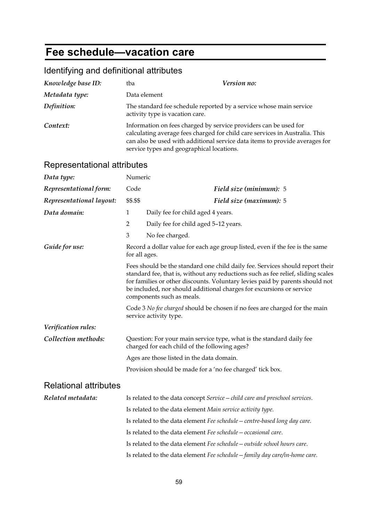# **Fee schedule—vacation care**

## Identifying and definitional attributes

| Knowledge base ID: | tba                                                                                                           | Version no:                                                                                                                                                |
|--------------------|---------------------------------------------------------------------------------------------------------------|------------------------------------------------------------------------------------------------------------------------------------------------------------|
| Metadata type:     | Data element                                                                                                  |                                                                                                                                                            |
| Definition:        | The standard fee schedule reported by a service whose main service<br>activity type is vacation care.         |                                                                                                                                                            |
| Context:           | Information on fees charged by service providers can be used for<br>service types and geographical locations. | calculating average fees charged for child care services in Australia. This<br>can also be used with additional service data items to provide averages for |

# Representational attributes

| Representational attributes  |                                                                                               |                                                                                                                                                                                                                                                                                                                                                        |
|------------------------------|-----------------------------------------------------------------------------------------------|--------------------------------------------------------------------------------------------------------------------------------------------------------------------------------------------------------------------------------------------------------------------------------------------------------------------------------------------------------|
| Data type:                   | Numeric                                                                                       |                                                                                                                                                                                                                                                                                                                                                        |
| Representational form:       | Code                                                                                          | Field size (minimum): 5                                                                                                                                                                                                                                                                                                                                |
| Representational layout:     | \$\$.\$\$                                                                                     | Field size (maximum): 5                                                                                                                                                                                                                                                                                                                                |
| Data domain:                 | $\mathbf{1}$                                                                                  | Daily fee for child aged 4 years.                                                                                                                                                                                                                                                                                                                      |
|                              | 2                                                                                             | Daily fee for child aged 5-12 years.                                                                                                                                                                                                                                                                                                                   |
|                              | 3                                                                                             | No fee charged.                                                                                                                                                                                                                                                                                                                                        |
| Guide for use:               | Record a dollar value for each age group listed, even if the fee is the same<br>for all ages. |                                                                                                                                                                                                                                                                                                                                                        |
|                              |                                                                                               | Fees should be the standard one child daily fee. Services should report their<br>standard fee, that is, without any reductions such as fee relief, sliding scales<br>for families or other discounts. Voluntary levies paid by parents should not<br>be included, nor should additional charges for excursions or service<br>components such as meals. |
|                              |                                                                                               | Code 3 No fee charged should be chosen if no fees are charged for the main<br>service activity type.                                                                                                                                                                                                                                                   |
| Verification rules:          |                                                                                               |                                                                                                                                                                                                                                                                                                                                                        |
| Collection methods:          |                                                                                               | Question: For your main service type, what is the standard daily fee<br>charged for each child of the following ages?                                                                                                                                                                                                                                  |
|                              |                                                                                               | Ages are those listed in the data domain.                                                                                                                                                                                                                                                                                                              |
|                              |                                                                                               | Provision should be made for a 'no fee charged' tick box.                                                                                                                                                                                                                                                                                              |
| <b>Relational attributes</b> |                                                                                               |                                                                                                                                                                                                                                                                                                                                                        |
| Related metadata:            |                                                                                               | Is related to the data concept Service - child care and preschool services.                                                                                                                                                                                                                                                                            |
|                              |                                                                                               | Is related to the data element Main service activity type.                                                                                                                                                                                                                                                                                             |
|                              |                                                                                               | Is related to the data element Fee schedule - centre-based long day care.                                                                                                                                                                                                                                                                              |
|                              |                                                                                               | Is related to the data element Fee schedule – occasional care.                                                                                                                                                                                                                                                                                         |
|                              |                                                                                               | Is related to the data element Fee schedule - outside school hours care.                                                                                                                                                                                                                                                                               |
|                              |                                                                                               | Is related to the data element Fee schedule - family day care/in-home care.                                                                                                                                                                                                                                                                            |
|                              |                                                                                               |                                                                                                                                                                                                                                                                                                                                                        |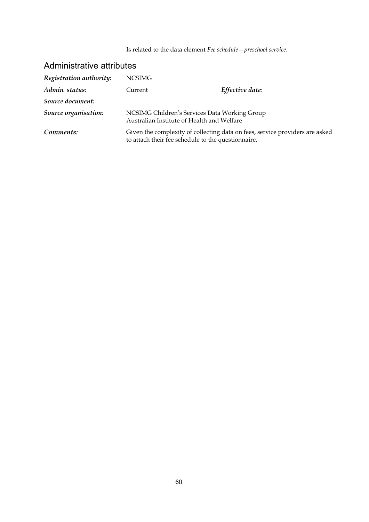Is related to the data element *Fee schedule—preschool service*.

| Registration authority: | <b>NCSIMG</b>                                                                               |                                                                              |
|-------------------------|---------------------------------------------------------------------------------------------|------------------------------------------------------------------------------|
| Admin. status:          | Current                                                                                     | Effective date:                                                              |
| Source document:        |                                                                                             |                                                                              |
| Source organisation:    | NCSIMG Children's Services Data Working Group<br>Australian Institute of Health and Welfare |                                                                              |
| Comments:               | to attach their fee schedule to the questionnaire.                                          | Given the complexity of collecting data on fees, service providers are asked |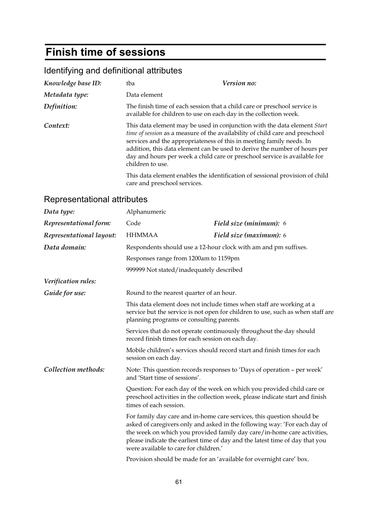# **Finish time of sessions**

## Identifying and definitional attributes

| Knowledge base ID: | tba                          | Version no:                                                                                                                                                                                                                                                                                                                                                                                |
|--------------------|------------------------------|--------------------------------------------------------------------------------------------------------------------------------------------------------------------------------------------------------------------------------------------------------------------------------------------------------------------------------------------------------------------------------------------|
| Metadata type:     | Data element                 |                                                                                                                                                                                                                                                                                                                                                                                            |
| Definition:        |                              | The finish time of each session that a child care or preschool service is<br>available for children to use on each day in the collection week.                                                                                                                                                                                                                                             |
| Context:           | children to use.             | This data element may be used in conjunction with the data element Start<br>time of session as a measure of the availability of child care and preschool<br>services and the appropriateness of this in meeting family needs. In<br>addition, this data element can be used to derive the number of hours per<br>day and hours per week a child care or preschool service is available for |
|                    | care and preschool services. | This data element enables the identification of sessional provision of child                                                                                                                                                                                                                                                                                                               |

### Representational attributes

| Data type:               | Alphanumeric                                                                                                             |                                                                                                                                                                                                                                                                                                                |  |
|--------------------------|--------------------------------------------------------------------------------------------------------------------------|----------------------------------------------------------------------------------------------------------------------------------------------------------------------------------------------------------------------------------------------------------------------------------------------------------------|--|
| Representational form:   | Code                                                                                                                     | Field size (minimum): 6                                                                                                                                                                                                                                                                                        |  |
| Representational layout: | <b>HHMMAA</b>                                                                                                            | Field size (maximum): 6                                                                                                                                                                                                                                                                                        |  |
| Data domain:             |                                                                                                                          | Respondents should use a 12-hour clock with am and pm suffixes.                                                                                                                                                                                                                                                |  |
|                          |                                                                                                                          | Responses range from 1200am to 1159pm                                                                                                                                                                                                                                                                          |  |
|                          |                                                                                                                          | 999999 Not stated/inadequately described                                                                                                                                                                                                                                                                       |  |
| Verification rules:      |                                                                                                                          |                                                                                                                                                                                                                                                                                                                |  |
| Guide for use:           | Round to the nearest quarter of an hour.                                                                                 |                                                                                                                                                                                                                                                                                                                |  |
|                          |                                                                                                                          | This data element does not include times when staff are working at a<br>service but the service is not open for children to use, such as when staff are<br>planning programs or consulting parents.                                                                                                            |  |
|                          | Services that do not operate continuously throughout the day should<br>record finish times for each session on each day. |                                                                                                                                                                                                                                                                                                                |  |
|                          | session on each day.                                                                                                     | Mobile children's services should record start and finish times for each                                                                                                                                                                                                                                       |  |
| Collection methods:      | and 'Start time of sessions'.                                                                                            | Note: This question records responses to 'Days of operation - per week'                                                                                                                                                                                                                                        |  |
|                          | times of each session.                                                                                                   | Question: For each day of the week on which you provided child care or<br>preschool activities in the collection week, please indicate start and finish                                                                                                                                                        |  |
|                          | were available to care for children.                                                                                     | For family day care and in-home care services, this question should be<br>asked of caregivers only and asked in the following way: 'For each day of<br>the week on which you provided family day care/in-home care activities,<br>please indicate the earliest time of day and the latest time of day that you |  |
|                          |                                                                                                                          | Provision should be made for an 'available for overnight care' box.                                                                                                                                                                                                                                            |  |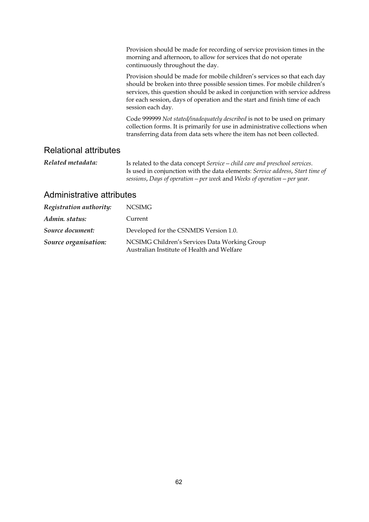|                              | Provision should be made for recording of service provision times in the<br>morning and afternoon, to allow for services that do not operate<br>continuously throughout the day.                                                                                                                                                       |
|------------------------------|----------------------------------------------------------------------------------------------------------------------------------------------------------------------------------------------------------------------------------------------------------------------------------------------------------------------------------------|
|                              | Provision should be made for mobile children's services so that each day<br>should be broken into three possible session times. For mobile children's<br>services, this question should be asked in conjunction with service address<br>for each session, days of operation and the start and finish time of each<br>session each day. |
|                              | Code 999999 Not stated/inadequately described is not to be used on primary<br>collection forms. It is primarily for use in administrative collections when<br>transferring data from data sets where the item has not been collected.                                                                                                  |
| <b>Relational attributes</b> |                                                                                                                                                                                                                                                                                                                                        |
| Related metadata:            | Is related to the data concept Service - child care and preschool services.                                                                                                                                                                                                                                                            |

Is used in conjunction with the data elements: *Service address*, *Start time of sessions*, *Days of operation—per week* and *Weeks of operation—per year*.

| Registration authority: | <b>NCSIMG</b>                                                                               |
|-------------------------|---------------------------------------------------------------------------------------------|
| Admin. status:          | Current                                                                                     |
| Source document:        | Developed for the CSNMDS Version 1.0.                                                       |
| Source organisation:    | NCSIMG Children's Services Data Working Group<br>Australian Institute of Health and Welfare |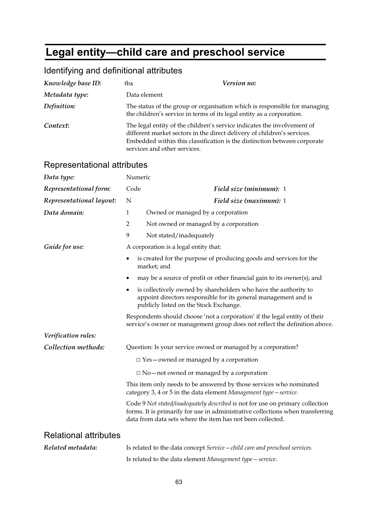# **Legal entity—child care and preschool service**

| Identifying and definitional attributes |  |  |
|-----------------------------------------|--|--|
|-----------------------------------------|--|--|

| Knowledge base ID:           | tba                                                                                                                                                                                                                                                            | Version no:                                                                                                                                                                                                                   |  |
|------------------------------|----------------------------------------------------------------------------------------------------------------------------------------------------------------------------------------------------------------------------------------------------------------|-------------------------------------------------------------------------------------------------------------------------------------------------------------------------------------------------------------------------------|--|
| Metadata type:               | Data element                                                                                                                                                                                                                                                   |                                                                                                                                                                                                                               |  |
| Definition:                  | The status of the group or organisation which is responsible for managing<br>the children's service in terms of its legal entity as a corporation.                                                                                                             |                                                                                                                                                                                                                               |  |
| Context:                     | The legal entity of the children's service indicates the involvement of<br>different market sectors in the direct delivery of children's services.<br>Embedded within this classification is the distinction between corporate<br>services and other services. |                                                                                                                                                                                                                               |  |
| Representational attributes  |                                                                                                                                                                                                                                                                |                                                                                                                                                                                                                               |  |
| Data type:                   | Numeric                                                                                                                                                                                                                                                        |                                                                                                                                                                                                                               |  |
| Representational form:       | Code                                                                                                                                                                                                                                                           | Field size (minimum): 1                                                                                                                                                                                                       |  |
| Representational layout:     | N                                                                                                                                                                                                                                                              | Field size (maximum): 1                                                                                                                                                                                                       |  |
| Data domain:                 | $\mathbf{1}$                                                                                                                                                                                                                                                   | Owned or managed by a corporation                                                                                                                                                                                             |  |
|                              | $\overline{2}$                                                                                                                                                                                                                                                 | Not owned or managed by a corporation                                                                                                                                                                                         |  |
|                              | 9                                                                                                                                                                                                                                                              | Not stated/inadequately                                                                                                                                                                                                       |  |
| Guide for use:               |                                                                                                                                                                                                                                                                | A corporation is a legal entity that:                                                                                                                                                                                         |  |
|                              |                                                                                                                                                                                                                                                                | is created for the purpose of producing goods and services for the<br>market; and                                                                                                                                             |  |
|                              |                                                                                                                                                                                                                                                                | may be a source of profit or other financial gain to its owner(s); and                                                                                                                                                        |  |
|                              | $\bullet$                                                                                                                                                                                                                                                      | is collectively owned by shareholders who have the authority to<br>appoint directors responsible for its general management and is<br>publicly listed on the Stock Exchange.                                                  |  |
|                              |                                                                                                                                                                                                                                                                | Respondents should choose 'not a corporation' if the legal entity of their<br>service's owner or management group does not reflect the definition above.                                                                      |  |
| Verification rules:          |                                                                                                                                                                                                                                                                |                                                                                                                                                                                                                               |  |
| Collection methods:          |                                                                                                                                                                                                                                                                | Question: Is your service owned or managed by a corporation?                                                                                                                                                                  |  |
|                              |                                                                                                                                                                                                                                                                | $\Box$ Yes – owned or managed by a corporation                                                                                                                                                                                |  |
|                              |                                                                                                                                                                                                                                                                | $\Box$ No – not owned or managed by a corporation                                                                                                                                                                             |  |
|                              |                                                                                                                                                                                                                                                                | This item only needs to be answered by those services who nominated<br>category 3, 4 or 5 in the data element Management type - service.                                                                                      |  |
|                              |                                                                                                                                                                                                                                                                | Code 9 Not stated/inadequately described is not for use on primary collection<br>forms. It is primarily for use in administrative collections when transferring<br>data from data sets where the item has not been collected. |  |
| <b>Relational attributes</b> |                                                                                                                                                                                                                                                                |                                                                                                                                                                                                                               |  |
| Related metadata:            |                                                                                                                                                                                                                                                                | Is related to the data concept Service - child care and preschool services.                                                                                                                                                   |  |
|                              |                                                                                                                                                                                                                                                                | Is related to the data element Management type – service.                                                                                                                                                                     |  |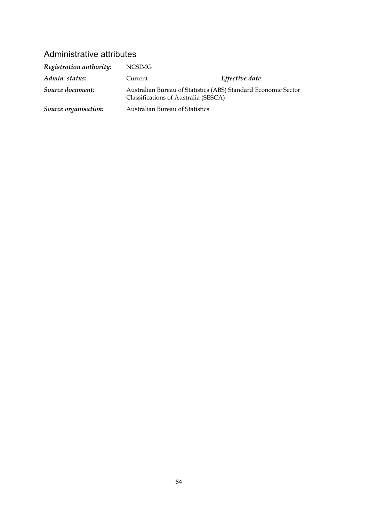| Registration authority: | NCSIMG                                                                                                 |                 |
|-------------------------|--------------------------------------------------------------------------------------------------------|-----------------|
| Admin. status:          | Current                                                                                                | Effective date: |
| Source document:        | Australian Bureau of Statistics (ABS) Standard Economic Sector<br>Classifications of Australia (SESCA) |                 |
| Source organisation:    | <b>Australian Bureau of Statistics</b>                                                                 |                 |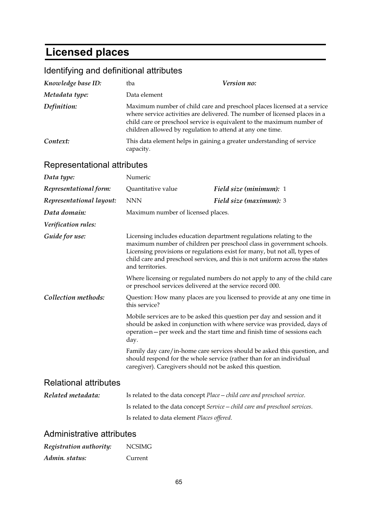# **Licensed places**

| Identifying and definitional attributes                                                                          |                                                                                                                                                                                                                                                                                                                               |                                                                                                                                                                                                                                 |  |
|------------------------------------------------------------------------------------------------------------------|-------------------------------------------------------------------------------------------------------------------------------------------------------------------------------------------------------------------------------------------------------------------------------------------------------------------------------|---------------------------------------------------------------------------------------------------------------------------------------------------------------------------------------------------------------------------------|--|
| Knowledge base ID:                                                                                               | tba                                                                                                                                                                                                                                                                                                                           | Version no:                                                                                                                                                                                                                     |  |
| Metadata type:                                                                                                   | Data element                                                                                                                                                                                                                                                                                                                  |                                                                                                                                                                                                                                 |  |
| Definition:                                                                                                      | Maximum number of child care and preschool places licensed at a service<br>where service activities are delivered. The number of licensed places in a<br>child care or preschool service is equivalent to the maximum number of<br>children allowed by regulation to attend at any one time.                                  |                                                                                                                                                                                                                                 |  |
| Context:                                                                                                         | This data element helps in gaining a greater understanding of service<br>capacity.                                                                                                                                                                                                                                            |                                                                                                                                                                                                                                 |  |
| Representational attributes                                                                                      |                                                                                                                                                                                                                                                                                                                               |                                                                                                                                                                                                                                 |  |
| Data type:                                                                                                       | Numeric                                                                                                                                                                                                                                                                                                                       |                                                                                                                                                                                                                                 |  |
| Representational form:                                                                                           | Quantitative value                                                                                                                                                                                                                                                                                                            | Field size (minimum): 1                                                                                                                                                                                                         |  |
| Representational layout:                                                                                         | <b>NNN</b>                                                                                                                                                                                                                                                                                                                    | Field size (maximum): 3                                                                                                                                                                                                         |  |
| Data domain:                                                                                                     | Maximum number of licensed places.                                                                                                                                                                                                                                                                                            |                                                                                                                                                                                                                                 |  |
| Verification rules:                                                                                              |                                                                                                                                                                                                                                                                                                                               |                                                                                                                                                                                                                                 |  |
| Guide for use:                                                                                                   | Licensing includes education department regulations relating to the<br>maximum number of children per preschool class in government schools.<br>Licensing provisions or regulations exist for many, but not all, types of<br>child care and preschool services, and this is not uniform across the states<br>and territories. |                                                                                                                                                                                                                                 |  |
|                                                                                                                  | or preschool services delivered at the service record 000.                                                                                                                                                                                                                                                                    | Where licensing or regulated numbers do not apply to any of the child care                                                                                                                                                      |  |
| Collection methods:<br>Question: How many places are you licensed to provide at any one time in<br>this service? |                                                                                                                                                                                                                                                                                                                               |                                                                                                                                                                                                                                 |  |
|                                                                                                                  | day.                                                                                                                                                                                                                                                                                                                          | Mobile services are to be asked this question per day and session and it<br>should be asked in conjunction with where service was provided, days of<br>operation – per week and the start time and finish time of sessions each |  |
|                                                                                                                  | caregiver). Caregivers should not be asked this question.                                                                                                                                                                                                                                                                     | Family day care/in-home care services should be asked this question, and<br>should respond for the whole service (rather than for an individual                                                                                 |  |
| <b>Relational attributes</b>                                                                                     |                                                                                                                                                                                                                                                                                                                               |                                                                                                                                                                                                                                 |  |
| Related metadata:                                                                                                |                                                                                                                                                                                                                                                                                                                               | Is related to the data concept Place - child care and preschool service.                                                                                                                                                        |  |
|                                                                                                                  |                                                                                                                                                                                                                                                                                                                               | Is related to the data concept Service – child care and preschool services.                                                                                                                                                     |  |
|                                                                                                                  | Is related to data element Places offered.                                                                                                                                                                                                                                                                                    |                                                                                                                                                                                                                                 |  |
| Administrative attributes                                                                                        |                                                                                                                                                                                                                                                                                                                               |                                                                                                                                                                                                                                 |  |

| Registration authority: | <b>NCSIMG</b> |
|-------------------------|---------------|
| Admin. status:          | Current       |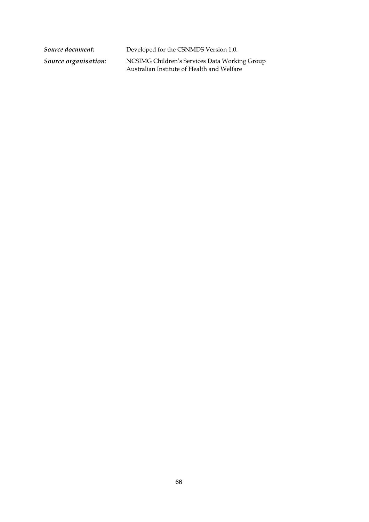*Source document:* Developed for the CSNMDS Version 1.0.

*Source organisation:* NCSIMG Children's Services Data Working Group Australian Institute of Health and Welfare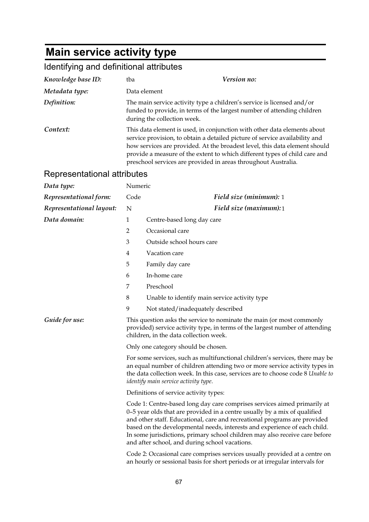# **Main service activity type**

# Identifying and definitional attributes

| Knowledge base ID:          | tba                                                                                                                                                                                                                                                                                                                                                                                   | Version no:                                                                                                                                                                                                                                                                                                                                                                                                                                      |  |  |
|-----------------------------|---------------------------------------------------------------------------------------------------------------------------------------------------------------------------------------------------------------------------------------------------------------------------------------------------------------------------------------------------------------------------------------|--------------------------------------------------------------------------------------------------------------------------------------------------------------------------------------------------------------------------------------------------------------------------------------------------------------------------------------------------------------------------------------------------------------------------------------------------|--|--|
| Metadata type:              |                                                                                                                                                                                                                                                                                                                                                                                       | Data element                                                                                                                                                                                                                                                                                                                                                                                                                                     |  |  |
| Definition:                 | The main service activity type a children's service is licensed and/or<br>funded to provide, in terms of the largest number of attending children<br>during the collection week.                                                                                                                                                                                                      |                                                                                                                                                                                                                                                                                                                                                                                                                                                  |  |  |
| Context:                    | This data element is used, in conjunction with other data elements about<br>service provision, to obtain a detailed picture of service availability and<br>how services are provided. At the broadest level, this data element should<br>provide a measure of the extent to which different types of child care and<br>preschool services are provided in areas throughout Australia. |                                                                                                                                                                                                                                                                                                                                                                                                                                                  |  |  |
| Representational attributes |                                                                                                                                                                                                                                                                                                                                                                                       |                                                                                                                                                                                                                                                                                                                                                                                                                                                  |  |  |
| Data type:                  | Numeric                                                                                                                                                                                                                                                                                                                                                                               |                                                                                                                                                                                                                                                                                                                                                                                                                                                  |  |  |
| Representational form:      | Code                                                                                                                                                                                                                                                                                                                                                                                  | Field size (minimum): 1                                                                                                                                                                                                                                                                                                                                                                                                                          |  |  |
| Representational layout:    | N                                                                                                                                                                                                                                                                                                                                                                                     | Field size (maximum):1                                                                                                                                                                                                                                                                                                                                                                                                                           |  |  |
| Data domain:                | $\mathbf{1}$                                                                                                                                                                                                                                                                                                                                                                          | Centre-based long day care                                                                                                                                                                                                                                                                                                                                                                                                                       |  |  |
|                             | 2                                                                                                                                                                                                                                                                                                                                                                                     | Occasional care                                                                                                                                                                                                                                                                                                                                                                                                                                  |  |  |
|                             | 3                                                                                                                                                                                                                                                                                                                                                                                     | Outside school hours care                                                                                                                                                                                                                                                                                                                                                                                                                        |  |  |
|                             | 4                                                                                                                                                                                                                                                                                                                                                                                     | Vacation care                                                                                                                                                                                                                                                                                                                                                                                                                                    |  |  |
|                             | 5                                                                                                                                                                                                                                                                                                                                                                                     | Family day care                                                                                                                                                                                                                                                                                                                                                                                                                                  |  |  |
|                             | 6                                                                                                                                                                                                                                                                                                                                                                                     | In-home care                                                                                                                                                                                                                                                                                                                                                                                                                                     |  |  |
|                             | 7                                                                                                                                                                                                                                                                                                                                                                                     | Preschool                                                                                                                                                                                                                                                                                                                                                                                                                                        |  |  |
|                             | 8                                                                                                                                                                                                                                                                                                                                                                                     | Unable to identify main service activity type                                                                                                                                                                                                                                                                                                                                                                                                    |  |  |
|                             | 9                                                                                                                                                                                                                                                                                                                                                                                     | Not stated/inadequately described                                                                                                                                                                                                                                                                                                                                                                                                                |  |  |
| Guide for use:              |                                                                                                                                                                                                                                                                                                                                                                                       | This question asks the service to nominate the main (or most commonly<br>provided) service activity type, in terms of the largest number of attending<br>children, in the data collection week.                                                                                                                                                                                                                                                  |  |  |
|                             | Only one category should be chosen.                                                                                                                                                                                                                                                                                                                                                   |                                                                                                                                                                                                                                                                                                                                                                                                                                                  |  |  |
|                             | For some services, such as multifunctional children's services, there may be<br>an equal number of children attending two or more service activity types in<br>the data collection week. In this case, services are to choose code 8 Unable to<br>identify main service activity type.                                                                                                |                                                                                                                                                                                                                                                                                                                                                                                                                                                  |  |  |
|                             |                                                                                                                                                                                                                                                                                                                                                                                       | Definitions of service activity types:                                                                                                                                                                                                                                                                                                                                                                                                           |  |  |
|                             |                                                                                                                                                                                                                                                                                                                                                                                       | Code 1: Centre-based long day care comprises services aimed primarily at<br>0-5 year olds that are provided in a centre usually by a mix of qualified<br>and other staff. Educational, care and recreational programs are provided<br>based on the developmental needs, interests and experience of each child.<br>In some jurisdictions, primary school children may also receive care before<br>and after school, and during school vacations. |  |  |
|                             | Code 2: Occasional care comprises services usually provided at a centre on<br>an hourly or sessional basis for short periods or at irregular intervals for                                                                                                                                                                                                                            |                                                                                                                                                                                                                                                                                                                                                                                                                                                  |  |  |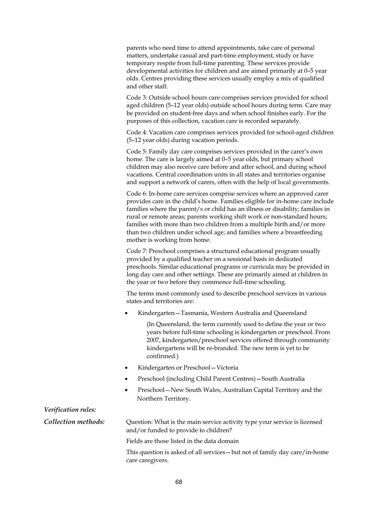parents who need time to attend appointments, take care of personal matters, undertake casual and part-time employment, study or have temporary respite from full-time parenting. These services provide developmental activities for children and are aimed primarily at 0–5 year olds. Centres providing these services usually employ a mix of qualified and other staff.

Code 3: Outside school hours care comprises services provided for school aged children (5–12 year olds) outside school hours during term. Care may be provided on student-free days and when school finishes early. For the purposes of this collection, vacation care is recorded separately.

Code 4: Vacation care comprises services provided for school-aged children (5–12 year olds) during vacation periods.

Code 5: Family day care comprises services provided in the carer's own home. The care is largely aimed at 0–5 year olds, but primary school children may also receive care before and after school, and during school vacations. Central coordination units in all states and territories organise and support a network of carers, often with the help of local governments.

Code 6: In-home care services comprise services where an approved carer provides care in the child's home. Families eligible for in-home care include families where the parent/s or child has an illness or disability; families in rural or remote areas; parents working shift work or non-standard hours; families with more than two children from a multiple birth and/or more than two children under school age; and families where a breastfeeding mother is working from home.

Code 7: Preschool comprises a structured educational program usually provided by a qualified teacher on a sessional basis in dedicated preschools. Similar educational programs or curricula may be provided in long day care and other settings. These are primarily aimed at children in the year or two before they commence full-time schooling.

The terms most commonly used to describe preschool services in various states and territories are:

• Kindergarten—Tasmania, Western Australia and Queensland

 (In Queensland, the term currently used to define the year or two years before full-time schooling is kindergarten or preschool. From 2007, kindergarten/preschool services offered through community kindergartens will be re-branded. The new term is yet to be confirmed.)

- Kindergarten or Preschool—Victoria
- Preschool (including Child Parent Centres)—South Australia
- Preschool—New South Wales, Australian Capital Territory and the Northern Territory.

#### *Verification rules:*

**Collection methods:** Question: What is the main service activity type your service is licensed and/or funded to provide to children?

Fields are those listed in the data domain

This question is asked of all services—but not of family day care/in-home care caregivers.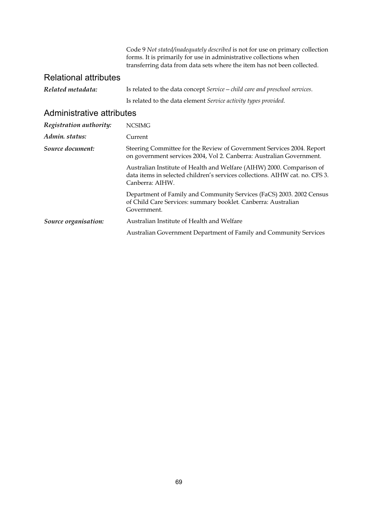Code 9 *Not stated/inadequately described* is not for use on primary collection forms. It is primarily for use in administrative collections when transferring data from data sets where the item has not been collected.

### Relational attributes

| Related metadata: | Is related to the data concept Service - child care and preschool services. |
|-------------------|-----------------------------------------------------------------------------|
|                   | Is related to the data element Service activity types provided.             |

| Registration authority: | <b>NCSIMG</b>                                                                                                                                                            |
|-------------------------|--------------------------------------------------------------------------------------------------------------------------------------------------------------------------|
| Admin. status:          | Current                                                                                                                                                                  |
| Source document:        | Steering Committee for the Review of Government Services 2004. Report<br>on government services 2004, Vol 2. Canberra: Australian Government.                            |
|                         | Australian Institute of Health and Welfare (AIHW) 2000. Comparison of<br>data items in selected children's services collections. AIHW cat. no. CFS 3.<br>Canberra: AIHW. |
|                         | Department of Family and Community Services (FaCS) 2003. 2002 Census<br>of Child Care Services: summary booklet. Canberra: Australian<br>Government.                     |
| Source organisation:    | Australian Institute of Health and Welfare                                                                                                                               |
|                         | Australian Government Department of Family and Community Services                                                                                                        |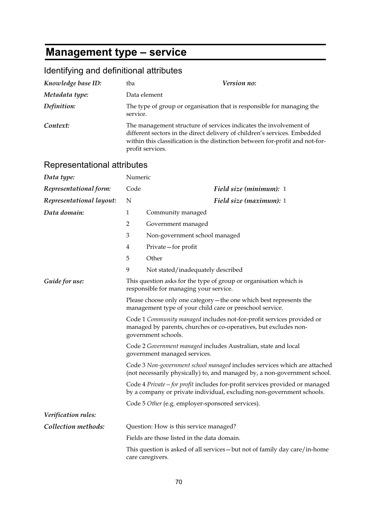# **Management type – service**

| Identifying and definitional attributes |  |  |
|-----------------------------------------|--|--|
|-----------------------------------------|--|--|

| Knowledge base ID:          | tba                                                                                                                                                                                                                                                      | Version no:                                                                                                                                           |
|-----------------------------|----------------------------------------------------------------------------------------------------------------------------------------------------------------------------------------------------------------------------------------------------------|-------------------------------------------------------------------------------------------------------------------------------------------------------|
| Metadata type:              | Data element                                                                                                                                                                                                                                             |                                                                                                                                                       |
| Definition:                 | The type of group or organisation that is responsible for managing the<br>service.                                                                                                                                                                       |                                                                                                                                                       |
| Context:                    | The management structure of services indicates the involvement of<br>different sectors in the direct delivery of children's services. Embedded<br>within this classification is the distinction between for-profit and not-for-<br>profit services.      |                                                                                                                                                       |
| Representational attributes |                                                                                                                                                                                                                                                          |                                                                                                                                                       |
| Data type:                  | Numeric                                                                                                                                                                                                                                                  |                                                                                                                                                       |
| Representational form:      | Code                                                                                                                                                                                                                                                     | Field size (minimum): 1                                                                                                                               |
| Representational layout:    | N                                                                                                                                                                                                                                                        | Field size (maximum): 1                                                                                                                               |
| Data domain:                | $\mathbf{1}$                                                                                                                                                                                                                                             | Community managed                                                                                                                                     |
|                             | 2                                                                                                                                                                                                                                                        | Government managed                                                                                                                                    |
|                             | 3                                                                                                                                                                                                                                                        | Non-government school managed                                                                                                                         |
|                             | 4                                                                                                                                                                                                                                                        | Private-for profit                                                                                                                                    |
|                             | 5                                                                                                                                                                                                                                                        | Other                                                                                                                                                 |
|                             | 9                                                                                                                                                                                                                                                        | Not stated/inadequately described                                                                                                                     |
| Guide for use:              |                                                                                                                                                                                                                                                          | This question asks for the type of group or organisation which is<br>responsible for managing your service.                                           |
|                             | Please choose only one category – the one which best represents the<br>management type of your child care or preschool service.                                                                                                                          |                                                                                                                                                       |
|                             | Code 1 Community managed includes not-for-profit services provided or<br>managed by parents, churches or co-operatives, but excludes non-<br>government schools.                                                                                         |                                                                                                                                                       |
|                             | Code 2 Government managed includes Australian, state and local<br>government managed services.<br>Code 3 Non-government school managed includes services which are attached<br>(not necessarily physically) to, and managed by, a non-government school. |                                                                                                                                                       |
|                             |                                                                                                                                                                                                                                                          |                                                                                                                                                       |
|                             |                                                                                                                                                                                                                                                          | Code 4 Private – for profit includes for-profit services provided or managed<br>by a company or private individual, excluding non-government schools. |
|                             | Code 5 Other (e.g. employer-sponsored services).                                                                                                                                                                                                         |                                                                                                                                                       |
| Verification rules:         |                                                                                                                                                                                                                                                          |                                                                                                                                                       |
| Collection methods:         |                                                                                                                                                                                                                                                          | Question: How is this service managed?                                                                                                                |
|                             | Fields are those listed in the data domain.                                                                                                                                                                                                              |                                                                                                                                                       |
|                             |                                                                                                                                                                                                                                                          | This question is asked of all services - but not of family day care/in-home<br>care caregivers.                                                       |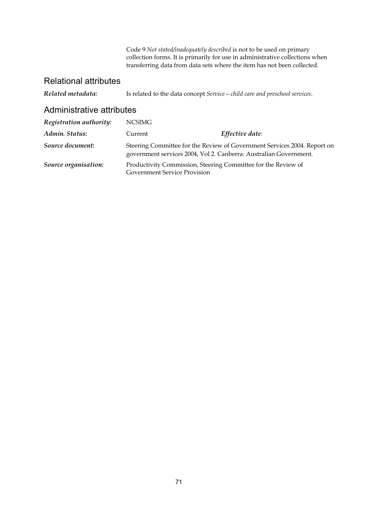Code 9 *Not stated/inadequately described* is not to be used on primary collection forms. It is primarily for use in administrative collections when transferring data from data sets where the item has not been collected.

#### Relational attributes

*Related metadata:* Is related to the data concept *Service—child care and preschool services*.

| Registration authority: | <b>NCSIMG</b>                       |                                                                                                                                               |
|-------------------------|-------------------------------------|-----------------------------------------------------------------------------------------------------------------------------------------------|
| Admin. Status:          | Current                             | Effective date:                                                                                                                               |
| Source document:        |                                     | Steering Committee for the Review of Government Services 2004. Report on<br>government services 2004, Vol 2. Canberra: Australian Government. |
| Source organisation:    | <b>Government Service Provision</b> | Productivity Commission, Steering Committee for the Review of                                                                                 |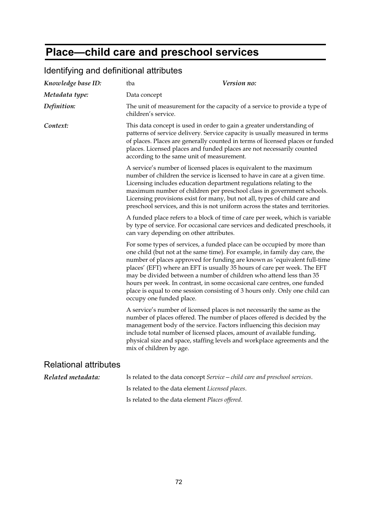# **Place—child care and preschool services**

| Knowledge base ID:           | Version no:<br>tba                                                                                                                                                                                                                                                                                                                                                                                                                                                                                                                                                           |  |
|------------------------------|------------------------------------------------------------------------------------------------------------------------------------------------------------------------------------------------------------------------------------------------------------------------------------------------------------------------------------------------------------------------------------------------------------------------------------------------------------------------------------------------------------------------------------------------------------------------------|--|
| Metadata type:               | Data concept                                                                                                                                                                                                                                                                                                                                                                                                                                                                                                                                                                 |  |
| Definition:                  | The unit of measurement for the capacity of a service to provide a type of<br>children's service.                                                                                                                                                                                                                                                                                                                                                                                                                                                                            |  |
| Context:                     | This data concept is used in order to gain a greater understanding of<br>patterns of service delivery. Service capacity is usually measured in terms<br>of places. Places are generally counted in terms of licensed places or funded<br>places. Licensed places and funded places are not necessarily counted<br>according to the same unit of measurement.                                                                                                                                                                                                                 |  |
|                              | A service's number of licensed places is equivalent to the maximum<br>number of children the service is licensed to have in care at a given time.<br>Licensing includes education department regulations relating to the<br>maximum number of children per preschool class in government schools.<br>Licensing provisions exist for many, but not all, types of child care and<br>preschool services, and this is not uniform across the states and territories.                                                                                                             |  |
|                              | A funded place refers to a block of time of care per week, which is variable<br>by type of service. For occasional care services and dedicated preschools, it<br>can vary depending on other attributes.                                                                                                                                                                                                                                                                                                                                                                     |  |
|                              | For some types of services, a funded place can be occupied by more than<br>one child (but not at the same time). For example, in family day care, the<br>number of places approved for funding are known as 'equivalent full-time<br>places' (EFT) where an EFT is usually 35 hours of care per week. The EFT<br>may be divided between a number of children who attend less than 35<br>hours per week. In contrast, in some occasional care centres, one funded<br>place is equal to one session consisting of 3 hours only. Only one child can<br>occupy one funded place. |  |
|                              | A service's number of licensed places is not necessarily the same as the<br>number of places offered. The number of places offered is decided by the<br>management body of the service. Factors influencing this decision may<br>include total number of licensed places, amount of available funding,<br>physical size and space, staffing levels and workplace agreements and the<br>mix of children by age.                                                                                                                                                               |  |
| <b>Relational attributes</b> |                                                                                                                                                                                                                                                                                                                                                                                                                                                                                                                                                                              |  |
| Related metadata:            | Is related to the data concept Service - child care and preschool services.                                                                                                                                                                                                                                                                                                                                                                                                                                                                                                  |  |
|                              | Is related to the data element Licensed places.                                                                                                                                                                                                                                                                                                                                                                                                                                                                                                                              |  |

## Identifying and definitional attributes

Is related to the data element *Places offered*.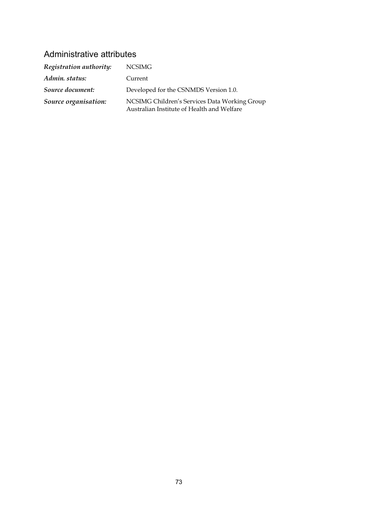| Registration authority: | <b>NCSIMG</b>                                                                               |
|-------------------------|---------------------------------------------------------------------------------------------|
| Admin. status:          | Current                                                                                     |
| Source document:        | Developed for the CSNMDS Version 1.0.                                                       |
| Source organisation:    | NCSIMG Children's Services Data Working Group<br>Australian Institute of Health and Welfare |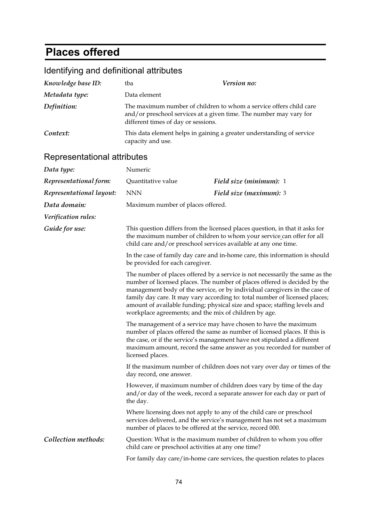## **Places offered**

|  | Identifying and definitional attributes |
|--|-----------------------------------------|
|--|-----------------------------------------|

| Knowledge base ID: | tba                                 | Version no:                                                                                                                              |
|--------------------|-------------------------------------|------------------------------------------------------------------------------------------------------------------------------------------|
| Metadata type:     | Data element                        |                                                                                                                                          |
| Definition:        | different times of day or sessions. | The maximum number of children to whom a service offers child care<br>and/or preschool services at a given time. The number may vary for |
| Context:           | capacity and use.                   | This data element helps in gaining a greater understanding of service                                                                    |

| noprosonialional all'ibalog |                                                                                                                                                                                                                                                                                                                                                                                                                                                              |                                                                                                                                                 |  |
|-----------------------------|--------------------------------------------------------------------------------------------------------------------------------------------------------------------------------------------------------------------------------------------------------------------------------------------------------------------------------------------------------------------------------------------------------------------------------------------------------------|-------------------------------------------------------------------------------------------------------------------------------------------------|--|
| Data type:                  | Numeric                                                                                                                                                                                                                                                                                                                                                                                                                                                      |                                                                                                                                                 |  |
| Representational form:      | Quantitative value                                                                                                                                                                                                                                                                                                                                                                                                                                           | Field size (minimum): 1                                                                                                                         |  |
| Representational layout:    | <b>NNN</b>                                                                                                                                                                                                                                                                                                                                                                                                                                                   | Field size (maximum): 3                                                                                                                         |  |
| Data domain:                | Maximum number of places offered.                                                                                                                                                                                                                                                                                                                                                                                                                            |                                                                                                                                                 |  |
| Verification rules:         |                                                                                                                                                                                                                                                                                                                                                                                                                                                              |                                                                                                                                                 |  |
| Guide for use:              | This question differs from the licensed places question, in that it asks for<br>the maximum number of children to whom your service can offer for all<br>child care and/or preschool services available at any one time.                                                                                                                                                                                                                                     |                                                                                                                                                 |  |
|                             | In the case of family day care and in-home care, this information is should<br>be provided for each caregiver.                                                                                                                                                                                                                                                                                                                                               |                                                                                                                                                 |  |
|                             | The number of places offered by a service is not necessarily the same as the<br>number of licensed places. The number of places offered is decided by the<br>management body of the service, or by individual caregivers in the case of<br>family day care. It may vary according to: total number of licensed places;<br>amount of available funding; physical size and space; staffing levels and<br>workplace agreements; and the mix of children by age. |                                                                                                                                                 |  |
|                             | The management of a service may have chosen to have the maximum<br>number of places offered the same as number of licensed places. If this is<br>the case, or if the service's management have not stipulated a different<br>maximum amount, record the same answer as you recorded for number of<br>licensed places.                                                                                                                                        |                                                                                                                                                 |  |
|                             | If the maximum number of children does not vary over day or times of the<br>day record, one answer.                                                                                                                                                                                                                                                                                                                                                          |                                                                                                                                                 |  |
|                             | the day.                                                                                                                                                                                                                                                                                                                                                                                                                                                     | However, if maximum number of children does vary by time of the day<br>and/or day of the week, record a separate answer for each day or part of |  |
|                             | number of places to be offered at the service, record 000.                                                                                                                                                                                                                                                                                                                                                                                                   | Where licensing does not apply to any of the child care or preschool<br>services delivered, and the service's management has not set a maximum  |  |
| Collection methods:         | child care or preschool activities at any one time?                                                                                                                                                                                                                                                                                                                                                                                                          | Question: What is the maximum number of children to whom you offer                                                                              |  |
|                             |                                                                                                                                                                                                                                                                                                                                                                                                                                                              | For family day care/in-home care services, the question relates to places                                                                       |  |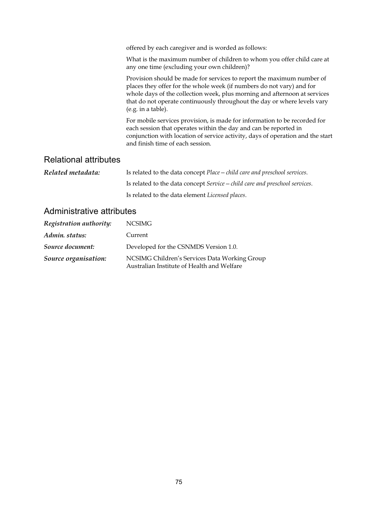|                              | offered by each caregiver and is worded as follows:<br>What is the maximum number of children to whom you offer child care at<br>any one time (excluding your own children)?                                                                                                                                                  |
|------------------------------|-------------------------------------------------------------------------------------------------------------------------------------------------------------------------------------------------------------------------------------------------------------------------------------------------------------------------------|
|                              | Provision should be made for services to report the maximum number of<br>places they offer for the whole week (if numbers do not vary) and for<br>whole days of the collection week, plus morning and afternoon at services<br>that do not operate continuously throughout the day or where levels vary<br>(e.g. in a table). |
|                              | For mobile services provision, is made for information to be recorded for<br>each session that operates within the day and can be reported in<br>conjunction with location of service activity, days of operation and the start<br>and finish time of each session.                                                           |
| <b>Relational attributes</b> |                                                                                                                                                                                                                                                                                                                               |

| Related metadata: | Is related to the data concept Place - child care and preschool services.   |  |  |
|-------------------|-----------------------------------------------------------------------------|--|--|
|                   | Is related to the data concept Service – child care and preschool services. |  |  |
|                   | Is related to the data element <i>Licensed places</i> .                     |  |  |

| Registration authority: | NCSIMG                                                                                      |
|-------------------------|---------------------------------------------------------------------------------------------|
| Admin. status:          | Current                                                                                     |
| Source document:        | Developed for the CSNMDS Version 1.0.                                                       |
| Source organisation:    | NCSIMG Children's Services Data Working Group<br>Australian Institute of Health and Welfare |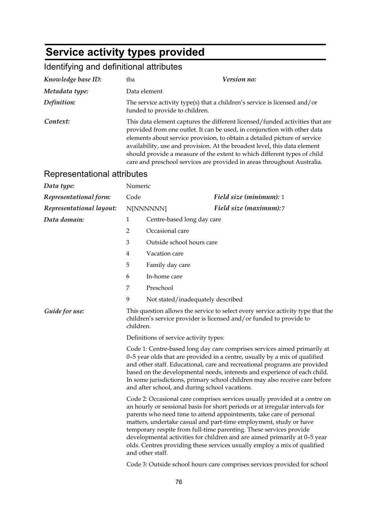# **Service activity types provided**

## Identifying and definitional attributes

|                                                                                                                                                                                                                                                                                                                                                                                                                                                                           | Data element                                                                                                                                                                                                                                                                                                                                                                                                                                                                                                                                                                                                                          |  |  |
|---------------------------------------------------------------------------------------------------------------------------------------------------------------------------------------------------------------------------------------------------------------------------------------------------------------------------------------------------------------------------------------------------------------------------------------------------------------------------|---------------------------------------------------------------------------------------------------------------------------------------------------------------------------------------------------------------------------------------------------------------------------------------------------------------------------------------------------------------------------------------------------------------------------------------------------------------------------------------------------------------------------------------------------------------------------------------------------------------------------------------|--|--|
|                                                                                                                                                                                                                                                                                                                                                                                                                                                                           |                                                                                                                                                                                                                                                                                                                                                                                                                                                                                                                                                                                                                                       |  |  |
| The service activity type(s) that a children's service is licensed and/or<br>funded to provide to children.                                                                                                                                                                                                                                                                                                                                                               |                                                                                                                                                                                                                                                                                                                                                                                                                                                                                                                                                                                                                                       |  |  |
| This data element captures the different licensed/funded activities that are<br>provided from one outlet. It can be used, in conjunction with other data<br>elements about service provision, to obtain a detailed picture of service<br>availability, use and provision. At the broadest level, this data element<br>should provide a measure of the extent to which different types of child<br>care and preschool services are provided in areas throughout Australia. |                                                                                                                                                                                                                                                                                                                                                                                                                                                                                                                                                                                                                                       |  |  |
|                                                                                                                                                                                                                                                                                                                                                                                                                                                                           |                                                                                                                                                                                                                                                                                                                                                                                                                                                                                                                                                                                                                                       |  |  |
| Numeric                                                                                                                                                                                                                                                                                                                                                                                                                                                                   |                                                                                                                                                                                                                                                                                                                                                                                                                                                                                                                                                                                                                                       |  |  |
| Code                                                                                                                                                                                                                                                                                                                                                                                                                                                                      | <b>Field size (minimum):</b> 1                                                                                                                                                                                                                                                                                                                                                                                                                                                                                                                                                                                                        |  |  |
|                                                                                                                                                                                                                                                                                                                                                                                                                                                                           | Field size (maximum):7<br>N[NNNNNN]                                                                                                                                                                                                                                                                                                                                                                                                                                                                                                                                                                                                   |  |  |
| 1                                                                                                                                                                                                                                                                                                                                                                                                                                                                         | Centre-based long day care                                                                                                                                                                                                                                                                                                                                                                                                                                                                                                                                                                                                            |  |  |
| $\overline{2}$                                                                                                                                                                                                                                                                                                                                                                                                                                                            | Occasional care                                                                                                                                                                                                                                                                                                                                                                                                                                                                                                                                                                                                                       |  |  |
| 3                                                                                                                                                                                                                                                                                                                                                                                                                                                                         | Outside school hours care                                                                                                                                                                                                                                                                                                                                                                                                                                                                                                                                                                                                             |  |  |
| 4                                                                                                                                                                                                                                                                                                                                                                                                                                                                         | Vacation care                                                                                                                                                                                                                                                                                                                                                                                                                                                                                                                                                                                                                         |  |  |
| 5                                                                                                                                                                                                                                                                                                                                                                                                                                                                         | Family day care                                                                                                                                                                                                                                                                                                                                                                                                                                                                                                                                                                                                                       |  |  |
| 6                                                                                                                                                                                                                                                                                                                                                                                                                                                                         | In-home care                                                                                                                                                                                                                                                                                                                                                                                                                                                                                                                                                                                                                          |  |  |
| 7                                                                                                                                                                                                                                                                                                                                                                                                                                                                         | Preschool                                                                                                                                                                                                                                                                                                                                                                                                                                                                                                                                                                                                                             |  |  |
| 9                                                                                                                                                                                                                                                                                                                                                                                                                                                                         | Not stated/inadequately described                                                                                                                                                                                                                                                                                                                                                                                                                                                                                                                                                                                                     |  |  |
| children.                                                                                                                                                                                                                                                                                                                                                                                                                                                                 | This question allows the service to select every service activity type that the<br>children's service provider is licensed and/or funded to provide to                                                                                                                                                                                                                                                                                                                                                                                                                                                                                |  |  |
|                                                                                                                                                                                                                                                                                                                                                                                                                                                                           | Definitions of service activity types:                                                                                                                                                                                                                                                                                                                                                                                                                                                                                                                                                                                                |  |  |
| Code 1: Centre-based long day care comprises services aimed primarily at<br>0-5 year olds that are provided in a centre, usually by a mix of qualified<br>and other staff. Educational, care and recreational programs are provided<br>based on the developmental needs, interests and experience of each child.<br>In some jurisdictions, primary school children may also receive care before<br>and after school, and during school vacations.                         |                                                                                                                                                                                                                                                                                                                                                                                                                                                                                                                                                                                                                                       |  |  |
|                                                                                                                                                                                                                                                                                                                                                                                                                                                                           | Code 2: Occasional care comprises services usually provided at a centre on<br>an hourly or sessional basis for short periods or at irregular intervals for<br>parents who need time to attend appointments, take care of personal<br>matters, undertake casual and part-time employment, study or have<br>temporary respite from full-time parenting. These services provide<br>developmental activities for children and are aimed primarily at 0-5 year<br>olds. Centres providing these services usually employ a mix of qualified<br>and other staff.<br>Code 3: Outside school hours care comprises services provided for school |  |  |
|                                                                                                                                                                                                                                                                                                                                                                                                                                                                           | Representational attributes                                                                                                                                                                                                                                                                                                                                                                                                                                                                                                                                                                                                           |  |  |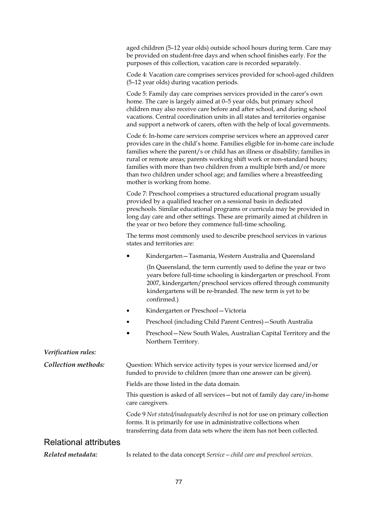| aged children (5–12 year olds) outside school hours during term. Care may |
|---------------------------------------------------------------------------|
| be provided on student-free days and when school finishes early. For the  |
| purposes of this collection, vacation care is recorded separately.        |

Code 4: Vacation care comprises services provided for school-aged children (5–12 year olds) during vacation periods.

Code 5: Family day care comprises services provided in the carer's own home. The care is largely aimed at 0–5 year olds, but primary school children may also receive care before and after school, and during school vacations. Central coordination units in all states and territories organise and support a network of carers, often with the help of local governments.

Code 6: In-home care services comprise services where an approved carer provides care in the child's home. Families eligible for in-home care include families where the parent/s or child has an illness or disability; families in rural or remote areas; parents working shift work or non-standard hours; families with more than two children from a multiple birth and/or more than two children under school age; and families where a breastfeeding mother is working from home.

Code 7: Preschool comprises a structured educational program usually provided by a qualified teacher on a sessional basis in dedicated preschools. Similar educational programs or curricula may be provided in long day care and other settings. These are primarily aimed at children in the year or two before they commence full-time schooling.

The terms most commonly used to describe preschool services in various states and territories are:

• Kindergarten—Tasmania, Western Australia and Queensland

 (In Queensland, the term currently used to define the year or two years before full-time schooling is kindergarten or preschool. From 2007, kindergarten/preschool services offered through community kindergartens will be re-branded. The new term is yet to be confirmed.)

- Kindergarten or Preschool—Victoria
- Preschool (including Child Parent Centres)—South Australia
- Preschool—New South Wales, Australian Capital Territory and the Northern Territory.

*Verification rules: Collection methods:* Question: Which service activity types is your service licensed and/or funded to provide to children (more than one answer can be given). Fields are those listed in the data domain. This question is asked of all services—but not of family day care/in-home care caregivers. Code 9 *Not stated/inadequately described* is not for use on primary collection forms. It is primarily for use in administrative collections when transferring data from data sets where the item has not been collected. Relational attributes *Related metadata:* Is related to the data concept *Service—child care and preschool services*.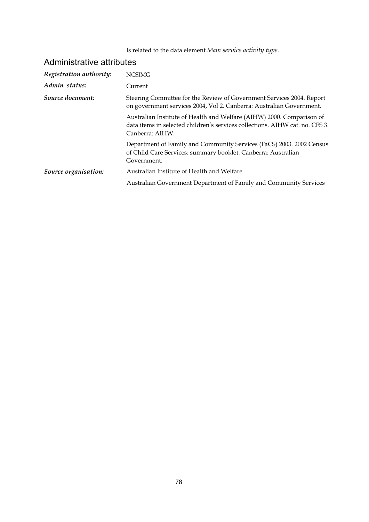Is related to the data element *Main service activity type*.

| <b>NCSIMG</b>                                                                                                                                                            |
|--------------------------------------------------------------------------------------------------------------------------------------------------------------------------|
| Current                                                                                                                                                                  |
| Steering Committee for the Review of Government Services 2004. Report<br>on government services 2004, Vol 2. Canberra: Australian Government.                            |
| Australian Institute of Health and Welfare (AIHW) 2000. Comparison of<br>data items in selected children's services collections. AIHW cat. no. CFS 3.<br>Canberra: AIHW. |
| Department of Family and Community Services (FaCS) 2003. 2002 Census<br>of Child Care Services: summary booklet. Canberra: Australian<br>Government.                     |
| Australian Institute of Health and Welfare                                                                                                                               |
| Australian Government Department of Family and Community Services                                                                                                        |
|                                                                                                                                                                          |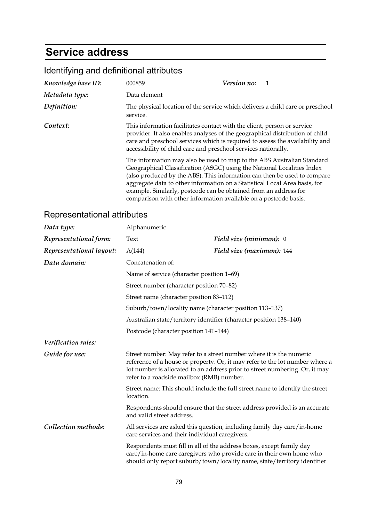## **Service address**

| Knowledge base ID: | 000859                                                                                                                                                                                                                                                                                                    | Version no:                                                                                                                                                                                                                                                                                                |
|--------------------|-----------------------------------------------------------------------------------------------------------------------------------------------------------------------------------------------------------------------------------------------------------------------------------------------------------|------------------------------------------------------------------------------------------------------------------------------------------------------------------------------------------------------------------------------------------------------------------------------------------------------------|
| Metadata type:     | Data element                                                                                                                                                                                                                                                                                              |                                                                                                                                                                                                                                                                                                            |
| Definition:        | The physical location of the service which delivers a child care or preschool<br>service.                                                                                                                                                                                                                 |                                                                                                                                                                                                                                                                                                            |
| Context:           | This information facilitates contact with the client, person or service<br>provider. It also enables analyses of the geographical distribution of child<br>care and preschool services which is required to assess the availability and<br>accessibility of child care and preschool services nationally. |                                                                                                                                                                                                                                                                                                            |
|                    | example. Similarly, postcode can be obtained from an address for<br>comparison with other information available on a postcode basis.                                                                                                                                                                      | The information may also be used to map to the ABS Australian Standard<br>Geographical Classification (ASGC) using the National Localities Index<br>(also produced by the ABS). This information can then be used to compare<br>aggregate data to other information on a Statistical Local Area basis, for |

| Data type:               | Alphanumeric                                                                              |                                                                                                                                                                                                                                                                                 |
|--------------------------|-------------------------------------------------------------------------------------------|---------------------------------------------------------------------------------------------------------------------------------------------------------------------------------------------------------------------------------------------------------------------------------|
| Representational form:   | Text                                                                                      | Field size (minimum): 0                                                                                                                                                                                                                                                         |
| Representational layout: | A(144)                                                                                    | Field size (maximum): 144                                                                                                                                                                                                                                                       |
| Data domain:             | Concatenation of:                                                                         |                                                                                                                                                                                                                                                                                 |
|                          | Name of service (character position 1-69)                                                 |                                                                                                                                                                                                                                                                                 |
|                          | Street number (character position 70-82)                                                  |                                                                                                                                                                                                                                                                                 |
|                          | Street name (character position 83-112)                                                   |                                                                                                                                                                                                                                                                                 |
|                          |                                                                                           | Suburb/town/locality name (character position 113-137)                                                                                                                                                                                                                          |
|                          |                                                                                           | Australian state/territory identifier (character position 138-140)                                                                                                                                                                                                              |
|                          | Postcode (character position 141-144)                                                     |                                                                                                                                                                                                                                                                                 |
| Verification rules:      |                                                                                           |                                                                                                                                                                                                                                                                                 |
| Guide for use:           |                                                                                           | Street number: May refer to a street number where it is the numeric<br>reference of a house or property. Or, it may refer to the lot number where a<br>lot number is allocated to an address prior to street numbering. Or, it may<br>refer to a roadside mailbox (RMB) number. |
|                          | Street name: This should include the full street name to identify the street<br>location. |                                                                                                                                                                                                                                                                                 |
|                          | and valid street address.                                                                 | Respondents should ensure that the street address provided is an accurate                                                                                                                                                                                                       |
| Collection methods:      |                                                                                           | All services are asked this question, including family day care/in-home<br>care services and their individual caregivers.                                                                                                                                                       |
|                          |                                                                                           | Respondents must fill in all of the address boxes, except family day<br>care/in-home care caregivers who provide care in their own home who<br>should only report suburb/town/locality name, state/territory identifier                                                         |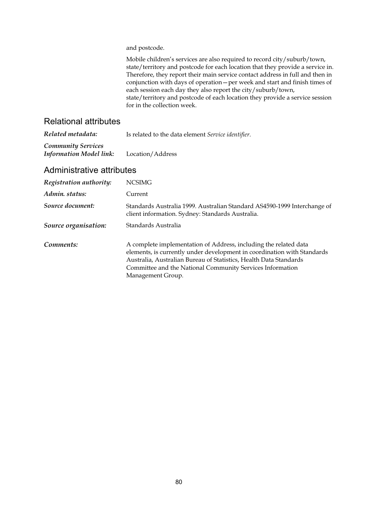and postcode.

Mobile children's services are also required to record city/suburb/town, state/territory and postcode for each location that they provide a service in. Therefore, they report their main service contact address in full and then in conjunction with days of operation—per week and start and finish times of each session each day they also report the city/suburb/town, state/territory and postcode of each location they provide a service session for in the collection week.

#### Relational attributes

| Related metadata:                                           | Is related to the data element Service identifier. |  |
|-------------------------------------------------------------|----------------------------------------------------|--|
| <b>Community Services</b><br><b>Information Model link:</b> | Location/Address                                   |  |

| Registration authority: | <b>NCSIMG</b>                                                                                                                                                                                                                                                                                      |
|-------------------------|----------------------------------------------------------------------------------------------------------------------------------------------------------------------------------------------------------------------------------------------------------------------------------------------------|
| Admin. status:          | Current                                                                                                                                                                                                                                                                                            |
| Source document:        | Standards Australia 1999. Australian Standard AS4590-1999 Interchange of<br>client information. Sydney: Standards Australia.                                                                                                                                                                       |
| Source organisation:    | Standards Australia                                                                                                                                                                                                                                                                                |
| Comments:               | A complete implementation of Address, including the related data<br>elements, is currently under development in coordination with Standards<br>Australia, Australian Bureau of Statistics, Health Data Standards<br>Committee and the National Community Services Information<br>Management Group. |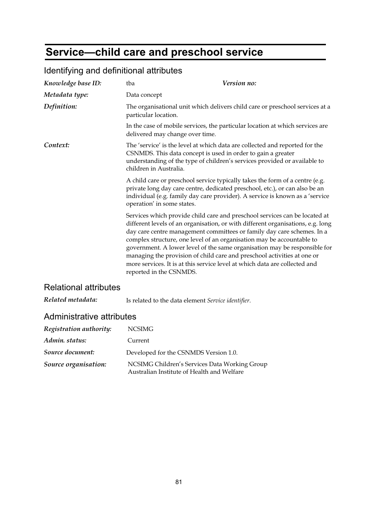# **Service—child care and preschool service**

| Knowledge base ID: | Version no:<br>tba                                                                                                                                                                                                                                                                                                                                                                                                                                                                                                                                                                |
|--------------------|-----------------------------------------------------------------------------------------------------------------------------------------------------------------------------------------------------------------------------------------------------------------------------------------------------------------------------------------------------------------------------------------------------------------------------------------------------------------------------------------------------------------------------------------------------------------------------------|
| Metadata type:     | Data concept                                                                                                                                                                                                                                                                                                                                                                                                                                                                                                                                                                      |
| Definition:        | The organisational unit which delivers child care or preschool services at a<br>particular location.                                                                                                                                                                                                                                                                                                                                                                                                                                                                              |
|                    | In the case of mobile services, the particular location at which services are<br>delivered may change over time.                                                                                                                                                                                                                                                                                                                                                                                                                                                                  |
| Context:           | The 'service' is the level at which data are collected and reported for the<br>CSNMDS. This data concept is used in order to gain a greater<br>understanding of the type of children's services provided or available to<br>children in Australia.                                                                                                                                                                                                                                                                                                                                |
|                    | A child care or preschool service typically takes the form of a centre (e.g.<br>private long day care centre, dedicated preschool, etc.), or can also be an<br>individual (e.g. family day care provider). A service is known as a 'service<br>operation' in some states.                                                                                                                                                                                                                                                                                                         |
|                    | Services which provide child care and preschool services can be located at<br>different levels of an organisation, or with different organisations, e.g. long<br>day care centre management committees or family day care schemes. In a<br>complex structure, one level of an organisation may be accountable to<br>government. A lower level of the same organisation may be responsible for<br>managing the provision of child care and preschool activities at one or<br>more services. It is at this service level at which data are collected and<br>reported in the CSNMDS. |

## Identifying and definitional attributes

### Relational attributes

*Related metadata:* Is related to the data element *Service identifier*.

| Registration authority: | NCSIMG                                                                                      |
|-------------------------|---------------------------------------------------------------------------------------------|
| Admin. status:          | Current                                                                                     |
| Source document:        | Developed for the CSNMDS Version 1.0.                                                       |
| Source organisation:    | NCSIMG Children's Services Data Working Group<br>Australian Institute of Health and Welfare |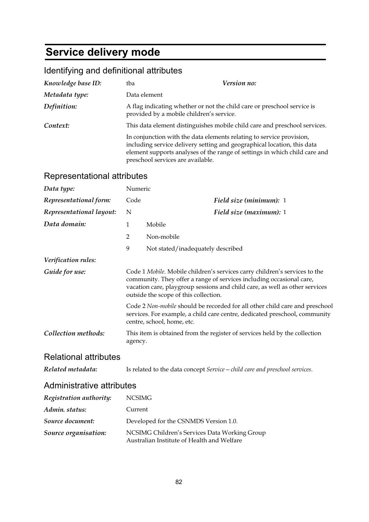# **Service delivery mode**

## Identifying and definitional attributes

| Knowledge base ID: | tba                                                                                                       | <i>Version no:</i>                                                                                                                                    |
|--------------------|-----------------------------------------------------------------------------------------------------------|-------------------------------------------------------------------------------------------------------------------------------------------------------|
| Metadata type:     | Data element                                                                                              |                                                                                                                                                       |
| Definition:        | provided by a mobile children's service.                                                                  | A flag indicating whether or not the child care or preschool service is                                                                               |
| Context:           |                                                                                                           | This data element distinguishes mobile child care and preschool services.                                                                             |
|                    | In conjunction with the data elements relating to service provision,<br>preschool services are available. | including service delivery setting and geographical location, this data<br>element supports analyses of the range of settings in which child care and |

| Data type:                   | Numeric                                                                                                                                                                                                                                                                    |                                                                                                                                                                                         |
|------------------------------|----------------------------------------------------------------------------------------------------------------------------------------------------------------------------------------------------------------------------------------------------------------------------|-----------------------------------------------------------------------------------------------------------------------------------------------------------------------------------------|
| Representational form:       | Code                                                                                                                                                                                                                                                                       | Field size (minimum): 1                                                                                                                                                                 |
| Representational layout:     | N                                                                                                                                                                                                                                                                          | Field size (maximum): 1                                                                                                                                                                 |
| Data domain:                 | $\mathbf{1}$                                                                                                                                                                                                                                                               | Mobile                                                                                                                                                                                  |
|                              | $\overline{2}$                                                                                                                                                                                                                                                             | Non-mobile                                                                                                                                                                              |
|                              | 9                                                                                                                                                                                                                                                                          | Not stated/inadequately described                                                                                                                                                       |
| Verification rules:          |                                                                                                                                                                                                                                                                            |                                                                                                                                                                                         |
| Guide for use:               | Code 1 Mobile. Mobile children's services carry children's services to the<br>community. They offer a range of services including occasional care,<br>vacation care, playgroup sessions and child care, as well as other services<br>outside the scope of this collection. |                                                                                                                                                                                         |
|                              |                                                                                                                                                                                                                                                                            | Code 2 Non-mobile should be recorded for all other child care and preschool<br>services. For example, a child care centre, dedicated preschool, community<br>centre, school, home, etc. |
| Collection methods:          | agency.                                                                                                                                                                                                                                                                    | This item is obtained from the register of services held by the collection                                                                                                              |
| <b>Relational attributes</b> |                                                                                                                                                                                                                                                                            |                                                                                                                                                                                         |
| Related metadata:            |                                                                                                                                                                                                                                                                            | Is related to the data concept Service – child care and preschool services.                                                                                                             |
| Administrative attributes    |                                                                                                                                                                                                                                                                            |                                                                                                                                                                                         |
| Registration authority:      | <b>NCSIMG</b>                                                                                                                                                                                                                                                              |                                                                                                                                                                                         |
| Admin. status:               | Current                                                                                                                                                                                                                                                                    |                                                                                                                                                                                         |
| Source document:             |                                                                                                                                                                                                                                                                            | Developed for the CSNMDS Version 1.0.                                                                                                                                                   |
| Source organisation:         |                                                                                                                                                                                                                                                                            | NCSIMG Children's Services Data Working Group<br>Australian Institute of Health and Welfare                                                                                             |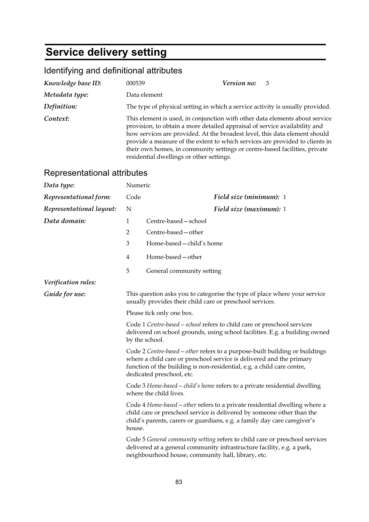# **Service delivery setting**

## Identifying and definitional attributes

| Knowledge base ID: | 000539                                                                                                                                                                                                                                                                                                                                                                                                                                            | Version no: 3                                                                 |
|--------------------|---------------------------------------------------------------------------------------------------------------------------------------------------------------------------------------------------------------------------------------------------------------------------------------------------------------------------------------------------------------------------------------------------------------------------------------------------|-------------------------------------------------------------------------------|
| Metadata type:     | Data element                                                                                                                                                                                                                                                                                                                                                                                                                                      |                                                                               |
| Definition:        |                                                                                                                                                                                                                                                                                                                                                                                                                                                   | The type of physical setting in which a service activity is usually provided. |
| Context:           | This element is used, in conjunction with other data elements about service<br>provision, to obtain a more detailed appraisal of service availability and<br>how services are provided. At the broadest level, this data element should<br>provide a measure of the extent to which services are provided to clients in<br>their own homes, in community settings or centre-based facilities, private<br>residential dwellings or other settings. |                                                                               |

| Data type:               | Numeric                                                                                                                               |                                                                                                                                                                                                                                                            |
|--------------------------|---------------------------------------------------------------------------------------------------------------------------------------|------------------------------------------------------------------------------------------------------------------------------------------------------------------------------------------------------------------------------------------------------------|
| Representational form:   | Code                                                                                                                                  | Field size (minimum): 1                                                                                                                                                                                                                                    |
| Representational layout: | N                                                                                                                                     | Field size (maximum): 1                                                                                                                                                                                                                                    |
| Data domain:             | 1                                                                                                                                     | Centre-based - school                                                                                                                                                                                                                                      |
|                          | $\overline{2}$                                                                                                                        | Centre-based - other                                                                                                                                                                                                                                       |
|                          | 3                                                                                                                                     | Home-based - child's home                                                                                                                                                                                                                                  |
|                          | 4                                                                                                                                     | Home-based - other                                                                                                                                                                                                                                         |
|                          | 5                                                                                                                                     | General community setting                                                                                                                                                                                                                                  |
| Verification rules:      |                                                                                                                                       |                                                                                                                                                                                                                                                            |
| Guide for use:           | This question asks you to categorise the type of place where your service<br>usually provides their child care or preschool services. |                                                                                                                                                                                                                                                            |
|                          |                                                                                                                                       | Please tick only one box.                                                                                                                                                                                                                                  |
| by the school.           |                                                                                                                                       | Code 1 Centre-based - school refers to child care or preschool services<br>delivered on school grounds, using school facilities. E.g. a building owned                                                                                                     |
|                          |                                                                                                                                       | Code 2 Centre-based - other refers to a purpose-built building or buildings<br>where a child care or preschool service is delivered and the primary<br>function of the building is non-residential, e.g. a child care centre,<br>dedicated preschool, etc. |
|                          |                                                                                                                                       | Code 3 Home-based - child's home refers to a private residential dwelling<br>where the child lives.                                                                                                                                                        |
|                          | house.                                                                                                                                | Code 4 Home-based - other refers to a private residential dwelling where a<br>child care or preschool service is delivered by someone other than the<br>child's parents, carers or guardians, e.g. a family day care caregiver's                           |
|                          |                                                                                                                                       | Code 5 General community setting refers to child care or preschool services<br>delivered at a general community infrastructure facility, e.g. a park,<br>neighbourhood house, community hall, library, etc.                                                |
|                          |                                                                                                                                       |                                                                                                                                                                                                                                                            |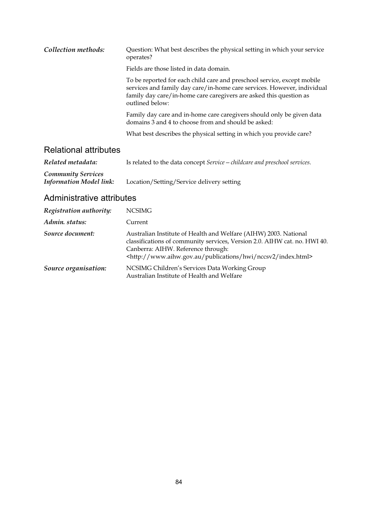| Collection methods: | Question: What best describes the physical setting in which your service<br>operates?                                                                                                                                                       |
|---------------------|---------------------------------------------------------------------------------------------------------------------------------------------------------------------------------------------------------------------------------------------|
|                     | Fields are those listed in data domain.                                                                                                                                                                                                     |
|                     | To be reported for each child care and preschool service, except mobile<br>services and family day care/in-home care services. However, individual<br>family day care/in-home care caregivers are asked this question as<br>outlined below: |
|                     | Family day care and in-home care caregivers should only be given data<br>domains 3 and 4 to choose from and should be asked:                                                                                                                |
|                     | What best describes the physical setting in which you provide care?                                                                                                                                                                         |
|                     |                                                                                                                                                                                                                                             |

### Relational attributes

| Related metadata:              | Is related to the data concept Service – childcare and preschool services. |
|--------------------------------|----------------------------------------------------------------------------|
| <b>Community Services</b>      |                                                                            |
| <b>Information Model link:</b> | Location/Setting/Service delivery setting                                  |

| Registration authority: | <b>NCSIMG</b>                                                                                                                                                                                                                                                            |
|-------------------------|--------------------------------------------------------------------------------------------------------------------------------------------------------------------------------------------------------------------------------------------------------------------------|
| Admin. status:          | Current                                                                                                                                                                                                                                                                  |
| Source document:        | Australian Institute of Health and Welfare (AIHW) 2003. National<br>classifications of community services, Version 2.0. AIHW cat. no. HWI 40.<br>Canberra: AIHW. Reference through:<br><http: hwi="" index.html="" nccsv2="" publications="" www.aihw.gov.au=""></http:> |
| Source organisation:    | NCSIMG Children's Services Data Working Group<br>Australian Institute of Health and Welfare                                                                                                                                                                              |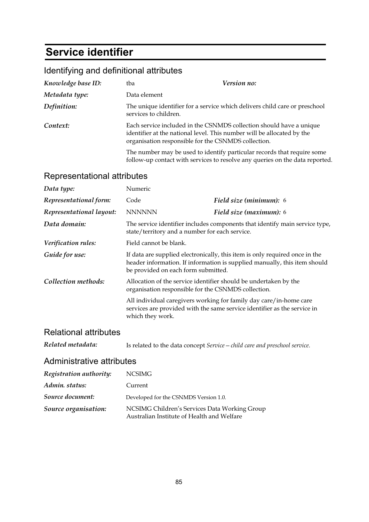## **Service identifier**

### Identifying and definitional attributes

| Knowledge base ID: | tba                   | <i>Version no:</i>                                                                                                                                                                                   |
|--------------------|-----------------------|------------------------------------------------------------------------------------------------------------------------------------------------------------------------------------------------------|
| Metadata type:     | Data element          |                                                                                                                                                                                                      |
| Definition:        | services to children. | The unique identifier for a service which delivers child care or preschool                                                                                                                           |
| Context:           |                       | Each service included in the CSNMDS collection should have a unique<br>identifier at the national level. This number will be allocated by the<br>organisation responsible for the CSNMDS collection. |
|                    |                       | The number may be used to identify particular records that require some<br>follow-up contact with services to resolve any queries on the data reported.                                              |

### Representational attributes

| Data type:               | Numeric                                                                                                                                                                                         |                                                                                                                                                |
|--------------------------|-------------------------------------------------------------------------------------------------------------------------------------------------------------------------------------------------|------------------------------------------------------------------------------------------------------------------------------------------------|
| Representational form:   | Code                                                                                                                                                                                            | Field size (minimum): 6                                                                                                                        |
| Representational layout: | <b>NNNNNN</b>                                                                                                                                                                                   | Field size (maximum): 6                                                                                                                        |
| Data domain:             | The service identifier includes components that identify main service type,<br>state/territory and a number for each service.                                                                   |                                                                                                                                                |
| Verification rules:      | Field cannot be blank.                                                                                                                                                                          |                                                                                                                                                |
| Guide for use:           | If data are supplied electronically, this item is only required once in the<br>header information. If information is supplied manually, this item should<br>be provided on each form submitted. |                                                                                                                                                |
| Collection methods:      | organisation responsible for the CSNMDS collection.                                                                                                                                             | Allocation of the service identifier should be undertaken by the                                                                               |
|                          | which they work.                                                                                                                                                                                | All individual caregivers working for family day care/in-home care<br>services are provided with the same service identifier as the service in |

### Relational attributes

| Is related to the data concept Service – child care and preschool service. |
|----------------------------------------------------------------------------|
|                                                                            |

| Registration authority: | <b>NCSIMG</b>                                                                               |
|-------------------------|---------------------------------------------------------------------------------------------|
| Admin. status:          | Current                                                                                     |
| Source document:        | Developed for the CSNMDS Version 1.0.                                                       |
| Source organisation:    | NCSIMG Children's Services Data Working Group<br>Australian Institute of Health and Welfare |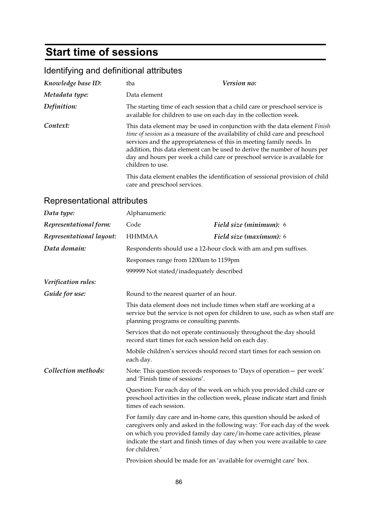## **Start time of sessions**

## Identifying and definitional attributes

| Knowledge base ID: | tba                          | Version no:                                                                                                                                                                                                                                                                                                                                                                                 |
|--------------------|------------------------------|---------------------------------------------------------------------------------------------------------------------------------------------------------------------------------------------------------------------------------------------------------------------------------------------------------------------------------------------------------------------------------------------|
| Metadata type:     | Data element                 |                                                                                                                                                                                                                                                                                                                                                                                             |
| Definition:        |                              | The starting time of each session that a child care or preschool service is<br>available for children to use on each day in the collection week.                                                                                                                                                                                                                                            |
| Context:           | children to use.             | This data element may be used in conjunction with the data element Finish<br>time of session as a measure of the availability of child care and preschool<br>services and the appropriateness of this in meeting family needs. In<br>addition, this data element can be used to derive the number of hours per<br>day and hours per week a child care or preschool service is available for |
|                    | care and preschool services. | This data element enables the identification of sessional provision of child                                                                                                                                                                                                                                                                                                                |

| Data type:               | Alphanumeric                                                                                                                                                                                                                                                                                                                 |                                                                                                                                                         |  |
|--------------------------|------------------------------------------------------------------------------------------------------------------------------------------------------------------------------------------------------------------------------------------------------------------------------------------------------------------------------|---------------------------------------------------------------------------------------------------------------------------------------------------------|--|
| Representational form:   | Code                                                                                                                                                                                                                                                                                                                         | Field size (minimum): 6                                                                                                                                 |  |
| Representational layout: | <b>HHMMAA</b>                                                                                                                                                                                                                                                                                                                | Field size (maximum): 6                                                                                                                                 |  |
| Data domain:             |                                                                                                                                                                                                                                                                                                                              | Respondents should use a 12-hour clock with am and pm suffixes.                                                                                         |  |
|                          | Responses range from 1200am to 1159pm                                                                                                                                                                                                                                                                                        |                                                                                                                                                         |  |
|                          | 999999 Not stated/inadequately described                                                                                                                                                                                                                                                                                     |                                                                                                                                                         |  |
| Verification rules:      |                                                                                                                                                                                                                                                                                                                              |                                                                                                                                                         |  |
| Guide for use:           | Round to the nearest quarter of an hour.                                                                                                                                                                                                                                                                                     |                                                                                                                                                         |  |
|                          | This data element does not include times when staff are working at a<br>service but the service is not open for children to use, such as when staff are<br>planning programs or consulting parents.                                                                                                                          |                                                                                                                                                         |  |
|                          | Services that do not operate continuously throughout the day should<br>record start times for each session held on each day.                                                                                                                                                                                                 |                                                                                                                                                         |  |
|                          | Mobile children's services should record start times for each session on<br>each day.                                                                                                                                                                                                                                        |                                                                                                                                                         |  |
| Collection methods:      | and 'Finish time of sessions'.                                                                                                                                                                                                                                                                                               | Note: This question records responses to 'Days of operation - per week'                                                                                 |  |
|                          | times of each session.                                                                                                                                                                                                                                                                                                       | Question: For each day of the week on which you provided child care or<br>preschool activities in the collection week, please indicate start and finish |  |
|                          | For family day care and in-home care, this question should be asked of<br>caregivers only and asked in the following way: 'For each day of the week<br>on which you provided family day care/in-home care activities, please<br>indicate the start and finish times of day when you were available to care<br>for children.' |                                                                                                                                                         |  |
|                          |                                                                                                                                                                                                                                                                                                                              | Provision should be made for an 'available for overnight care' box.                                                                                     |  |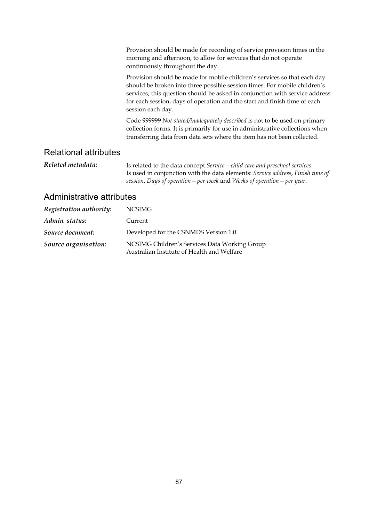|                              | Provision should be made for recording of service provision times in the<br>morning and afternoon, to allow for services that do not operate<br>continuously throughout the day.                                                                                                                                                       |
|------------------------------|----------------------------------------------------------------------------------------------------------------------------------------------------------------------------------------------------------------------------------------------------------------------------------------------------------------------------------------|
|                              | Provision should be made for mobile children's services so that each day<br>should be broken into three possible session times. For mobile children's<br>services, this question should be asked in conjunction with service address<br>for each session, days of operation and the start and finish time of each<br>session each day. |
|                              | Code 999999 Not stated/inadequately described is not to be used on primary<br>collection forms. It is primarily for use in administrative collections when<br>transferring data from data sets where the item has not been collected.                                                                                                  |
| <b>Relational attributes</b> |                                                                                                                                                                                                                                                                                                                                        |
| Related metadata:            | Is related to the data concept Service – child care and preschool services.<br>Is used in conjunction with the data elements: Service address, Finish time of                                                                                                                                                                          |

*session*, *Days of operation—per week* and *Weeks of operation—per year*.

| Registration authority: | NCSIMG                                                                                      |
|-------------------------|---------------------------------------------------------------------------------------------|
| Admin. status:          | Current                                                                                     |
| Source document:        | Developed for the CSNMDS Version 1.0.                                                       |
| Source organisation:    | NCSIMG Children's Services Data Working Group<br>Australian Institute of Health and Welfare |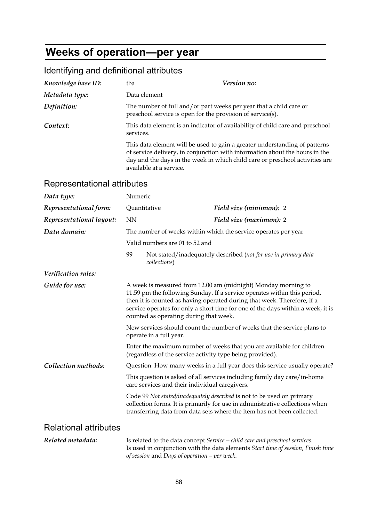# **Weeks of operation—per year**

| Knowledge base ID: | tba                                                        | Version no:                                                                                                                                                                                                                               |
|--------------------|------------------------------------------------------------|-------------------------------------------------------------------------------------------------------------------------------------------------------------------------------------------------------------------------------------------|
| Metadata type:     | Data element                                               |                                                                                                                                                                                                                                           |
| Definition:        | preschool service is open for the provision of service(s). | The number of full and/or part weeks per year that a child care or                                                                                                                                                                        |
| Context:           | services.                                                  | This data element is an indicator of availability of child care and preschool                                                                                                                                                             |
|                    | available at a service.                                    | This data element will be used to gain a greater understanding of patterns<br>of service delivery, in conjunction with information about the hours in the<br>day and the days in the week in which child care or preschool activities are |

### Identifying and definitional attributes

| Data type:                   | Numeric                                                                                                                                                                                                                                                                                                                                           |                                                |                                                                                                                                                                                                                                   |
|------------------------------|---------------------------------------------------------------------------------------------------------------------------------------------------------------------------------------------------------------------------------------------------------------------------------------------------------------------------------------------------|------------------------------------------------|-----------------------------------------------------------------------------------------------------------------------------------------------------------------------------------------------------------------------------------|
| Representational form:       | Quantitative                                                                                                                                                                                                                                                                                                                                      |                                                | Field size (minimum): 2                                                                                                                                                                                                           |
| Representational layout:     | <b>NN</b>                                                                                                                                                                                                                                                                                                                                         |                                                | Field size (maximum): 2                                                                                                                                                                                                           |
| Data domain:                 |                                                                                                                                                                                                                                                                                                                                                   |                                                | The number of weeks within which the service operates per year                                                                                                                                                                    |
|                              |                                                                                                                                                                                                                                                                                                                                                   | Valid numbers are 01 to 52 and                 |                                                                                                                                                                                                                                   |
|                              | 99                                                                                                                                                                                                                                                                                                                                                | collections)                                   | Not stated/inadequately described (not for use in primary data                                                                                                                                                                    |
| Verification rules:          |                                                                                                                                                                                                                                                                                                                                                   |                                                |                                                                                                                                                                                                                                   |
| Guide for use:               | A week is measured from 12.00 am (midnight) Monday morning to<br>11.59 pm the following Sunday. If a service operates within this period,<br>then it is counted as having operated during that week. Therefore, if a<br>service operates for only a short time for one of the days within a week, it is<br>counted as operating during that week. |                                                |                                                                                                                                                                                                                                   |
|                              |                                                                                                                                                                                                                                                                                                                                                   | operate in a full year.                        | New services should count the number of weeks that the service plans to                                                                                                                                                           |
|                              |                                                                                                                                                                                                                                                                                                                                                   |                                                | Enter the maximum number of weeks that you are available for children<br>(regardless of the service activity type being provided).                                                                                                |
| Collection methods:          |                                                                                                                                                                                                                                                                                                                                                   |                                                | Question: How many weeks in a full year does this service usually operate?                                                                                                                                                        |
|                              |                                                                                                                                                                                                                                                                                                                                                   | care services and their individual caregivers. | This question is asked of all services including family day care/in-home                                                                                                                                                          |
|                              |                                                                                                                                                                                                                                                                                                                                                   |                                                | Code 99 Not stated/inadequately described is not to be used on primary<br>collection forms. It is primarily for use in administrative collections when<br>transferring data from data sets where the item has not been collected. |
| <b>Relational attributes</b> |                                                                                                                                                                                                                                                                                                                                                   |                                                |                                                                                                                                                                                                                                   |
| Related metadata:            |                                                                                                                                                                                                                                                                                                                                                   | of session and Days of operation – per week.   | Is related to the data concept Service - child care and preschool services.<br>Is used in conjunction with the data elements Start time of session, Finish time                                                                   |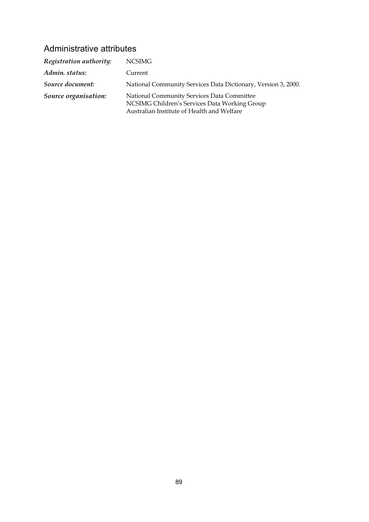| Registration authority: | NCSIMG                                                                                                                                    |
|-------------------------|-------------------------------------------------------------------------------------------------------------------------------------------|
| Admin. status:          | Current                                                                                                                                   |
| Source document:        | National Community Services Data Dictionary, Version 3, 2000.                                                                             |
| Source organisation:    | National Community Services Data Committee<br>NCSIMG Children's Services Data Working Group<br>Australian Institute of Health and Welfare |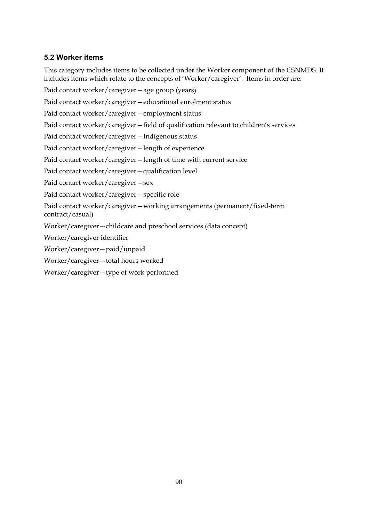#### **5.2 Worker items**

This category includes items to be collected under the Worker component of the CSNMDS. It includes items which relate to the concepts of 'Worker/caregiver'. Items in order are:

Paid contact worker/caregiver—age group (years) Paid contact worker/caregiver—educational enrolment status Paid contact worker/caregiver—employment status Paid contact worker/caregiver—field of qualification relevant to children's services Paid contact worker/caregiver—Indigenous status Paid contact worker/caregiver—length of experience Paid contact worker/caregiver—length of time with current service Paid contact worker/caregiver—qualification level Paid contact worker/caregiver—sex Paid contact worker/caregiver—specific role Paid contact worker/caregiver—working arrangements (permanent/fixed-term contract/casual) Worker/caregiver—childcare and preschool services (data concept) Worker/caregiver identifier Worker/caregiver—paid/unpaid Worker/caregiver—total hours worked

Worker/caregiver—type of work performed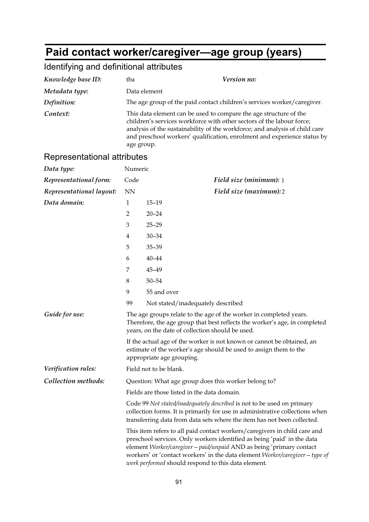# **Paid contact worker/caregiver—age group (years)**

## Identifying and definitional attributes

| Knowledge base ID:          | Version no:<br>tba                                                                                                                                                                                                                                                                                                                                                  |                                                                                                                                                                                                      |  |
|-----------------------------|---------------------------------------------------------------------------------------------------------------------------------------------------------------------------------------------------------------------------------------------------------------------------------------------------------------------------------------------------------------------|------------------------------------------------------------------------------------------------------------------------------------------------------------------------------------------------------|--|
| Metadata type:              | Data element                                                                                                                                                                                                                                                                                                                                                        |                                                                                                                                                                                                      |  |
| Definition:                 | The age group of the paid contact children's services worker/caregiver.                                                                                                                                                                                                                                                                                             |                                                                                                                                                                                                      |  |
| Context:                    | This data element can be used to compare the age structure of the<br>children's services workforce with other sectors of the labour force;<br>analysis of the sustainability of the workforce; and analysis of child care<br>and preschool workers' qualification, enrolment and experience status by<br>age group.                                                 |                                                                                                                                                                                                      |  |
| Representational attributes |                                                                                                                                                                                                                                                                                                                                                                     |                                                                                                                                                                                                      |  |
| Data type:                  | Numeric                                                                                                                                                                                                                                                                                                                                                             |                                                                                                                                                                                                      |  |
| Representational form:      | Code                                                                                                                                                                                                                                                                                                                                                                | <b>Field size (minimum):</b> 1                                                                                                                                                                       |  |
| Representational layout:    | <b>NN</b>                                                                                                                                                                                                                                                                                                                                                           | Field size (maximum):2                                                                                                                                                                               |  |
| Data domain:                | 1                                                                                                                                                                                                                                                                                                                                                                   | $15 - 19$                                                                                                                                                                                            |  |
|                             | $\overline{2}$                                                                                                                                                                                                                                                                                                                                                      | $20 - 24$                                                                                                                                                                                            |  |
|                             | 3                                                                                                                                                                                                                                                                                                                                                                   | $25 - 29$                                                                                                                                                                                            |  |
|                             | 4                                                                                                                                                                                                                                                                                                                                                                   | $30 - 34$                                                                                                                                                                                            |  |
|                             | 5                                                                                                                                                                                                                                                                                                                                                                   | $35 - 39$                                                                                                                                                                                            |  |
|                             | 6                                                                                                                                                                                                                                                                                                                                                                   | $40 - 44$                                                                                                                                                                                            |  |
|                             | 7                                                                                                                                                                                                                                                                                                                                                                   | 45-49                                                                                                                                                                                                |  |
|                             | 8                                                                                                                                                                                                                                                                                                                                                                   | $50 - 54$                                                                                                                                                                                            |  |
|                             | 9                                                                                                                                                                                                                                                                                                                                                                   | 55 and over                                                                                                                                                                                          |  |
|                             | 99                                                                                                                                                                                                                                                                                                                                                                  | Not stated/inadequately described                                                                                                                                                                    |  |
| Guide for use:              |                                                                                                                                                                                                                                                                                                                                                                     | The age groups relate to the age of the worker in completed years.<br>Therefore, the age group that best reflects the worker's age, in completed<br>years, on the date of collection should be used. |  |
|                             |                                                                                                                                                                                                                                                                                                                                                                     | If the actual age of the worker is not known or cannot be obtained, an<br>estimate of the worker's age should be used to assign them to the<br>appropriate age grouping.                             |  |
| Verification rules:         | Field not to be blank.                                                                                                                                                                                                                                                                                                                                              |                                                                                                                                                                                                      |  |
| Collection methods:         |                                                                                                                                                                                                                                                                                                                                                                     | Question: What age group does this worker belong to?                                                                                                                                                 |  |
|                             | Fields are those listed in the data domain.                                                                                                                                                                                                                                                                                                                         |                                                                                                                                                                                                      |  |
|                             | Code 99 Not stated/inadequately described is not to be used on primary<br>collection forms. It is primarily for use in administrative collections when<br>transferring data from data sets where the item has not been collected.                                                                                                                                   |                                                                                                                                                                                                      |  |
|                             | This item refers to all paid contact workers/caregivers in child care and<br>preschool services. Only workers identified as being 'paid' in the data<br>element Worker/caregiver - paid/unpaid AND as being 'primary contact<br>workers' or 'contact workers' in the data element Worker/caregiver - type of<br>work performed should respond to this data element. |                                                                                                                                                                                                      |  |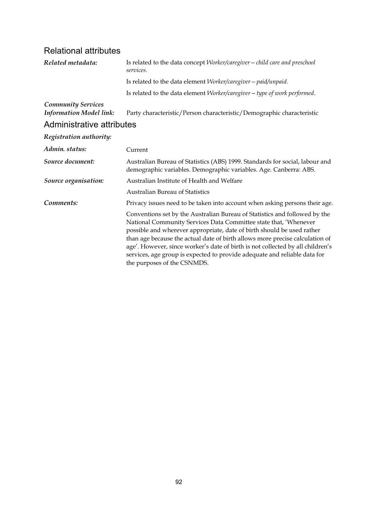### Relational attributes

| Related metadata:                                           | Is related to the data concept Worker/caregiver - child care and preschool<br>services.                                                                                                                                                                                                                                                                                                                                                                                                                |  |
|-------------------------------------------------------------|--------------------------------------------------------------------------------------------------------------------------------------------------------------------------------------------------------------------------------------------------------------------------------------------------------------------------------------------------------------------------------------------------------------------------------------------------------------------------------------------------------|--|
|                                                             | Is related to the data element Worker/caregiver - paid/unpaid.                                                                                                                                                                                                                                                                                                                                                                                                                                         |  |
|                                                             | Is related to the data element Worker/caregiver - type of work performed.                                                                                                                                                                                                                                                                                                                                                                                                                              |  |
| <b>Community Services</b><br><b>Information Model link:</b> | Party characteristic/Person characteristic/Demographic characteristic                                                                                                                                                                                                                                                                                                                                                                                                                                  |  |
| Administrative attributes                                   |                                                                                                                                                                                                                                                                                                                                                                                                                                                                                                        |  |
| Registration authority:                                     |                                                                                                                                                                                                                                                                                                                                                                                                                                                                                                        |  |
| Admin. status:                                              | Current                                                                                                                                                                                                                                                                                                                                                                                                                                                                                                |  |
| Source document:                                            | Australian Bureau of Statistics (ABS) 1999. Standards for social, labour and<br>demographic variables. Demographic variables. Age. Canberra: ABS.                                                                                                                                                                                                                                                                                                                                                      |  |
| Source organisation:                                        | Australian Institute of Health and Welfare                                                                                                                                                                                                                                                                                                                                                                                                                                                             |  |
|                                                             | <b>Australian Bureau of Statistics</b>                                                                                                                                                                                                                                                                                                                                                                                                                                                                 |  |
| Comments:                                                   | Privacy issues need to be taken into account when asking persons their age.                                                                                                                                                                                                                                                                                                                                                                                                                            |  |
|                                                             | Conventions set by the Australian Bureau of Statistics and followed by the<br>National Community Services Data Committee state that, 'Whenever<br>possible and wherever appropriate, date of birth should be used rather<br>than age because the actual date of birth allows more precise calculation of<br>age'. However, since worker's date of birth is not collected by all children's<br>services, age group is expected to provide adequate and reliable data for<br>the purposes of the CSNMDS. |  |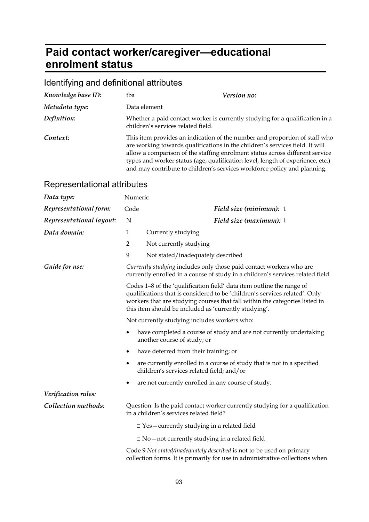## **Paid contact worker/caregiver—educational enrolment status**

### Identifying and definitional attributes

| Knowledge base ID: | tba                                | Version no:                                                                                                                                                                                                                                                                                                                                                                                              |
|--------------------|------------------------------------|----------------------------------------------------------------------------------------------------------------------------------------------------------------------------------------------------------------------------------------------------------------------------------------------------------------------------------------------------------------------------------------------------------|
| Metadata type:     | Data element                       |                                                                                                                                                                                                                                                                                                                                                                                                          |
| Definition:        | children's services related field. | Whether a paid contact worker is currently studying for a qualification in a                                                                                                                                                                                                                                                                                                                             |
| Context:           |                                    | This item provides an indication of the number and proportion of staff who<br>are working towards qualifications in the children's services field. It will<br>allow a comparison of the staffing enrolment status across different service<br>types and worker status (age, qualification level, length of experience, etc.)<br>and may contribute to children's services workforce policy and planning. |

| Data type:               | Numeric        |                                                                                                                                                                                                                                                                                              |
|--------------------------|----------------|----------------------------------------------------------------------------------------------------------------------------------------------------------------------------------------------------------------------------------------------------------------------------------------------|
| Representational form:   | Code           | Field size (minimum): 1                                                                                                                                                                                                                                                                      |
| Representational layout: | N              | Field size (maximum): 1                                                                                                                                                                                                                                                                      |
| Data domain:             | $\mathbf{1}$   | Currently studying                                                                                                                                                                                                                                                                           |
|                          | $\overline{2}$ | Not currently studying                                                                                                                                                                                                                                                                       |
|                          | 9              | Not stated/inadequately described                                                                                                                                                                                                                                                            |
| Guide for use:           |                | Currently studying includes only those paid contact workers who are<br>currently enrolled in a course of study in a children's services related field.                                                                                                                                       |
|                          |                | Codes 1-8 of the 'qualification field' data item outline the range of<br>qualifications that is considered to be 'children's services related'. Only<br>workers that are studying courses that fall within the categories listed in<br>this item should be included as 'currently studying'. |
|                          |                | Not currently studying includes workers who:                                                                                                                                                                                                                                                 |
|                          | ٠              | have completed a course of study and are not currently undertaking<br>another course of study; or                                                                                                                                                                                            |
|                          | ٠              | have deferred from their training; or                                                                                                                                                                                                                                                        |
|                          | ٠              | are currently enrolled in a course of study that is not in a specified<br>children's services related field; and/or                                                                                                                                                                          |
|                          | ٠              | are not currently enrolled in any course of study.                                                                                                                                                                                                                                           |
| Verification rules:      |                |                                                                                                                                                                                                                                                                                              |
| Collection methods:      |                | Question: Is the paid contact worker currently studying for a qualification<br>in a children's services related field?                                                                                                                                                                       |
|                          |                | $\Box$ Yes - currently studying in a related field                                                                                                                                                                                                                                           |
|                          |                | $\Box$ No – not currently studying in a related field                                                                                                                                                                                                                                        |
|                          |                | Code 9 Not stated/inadequately described is not to be used on primary<br>collection forms. It is primarily for use in administrative collections when                                                                                                                                        |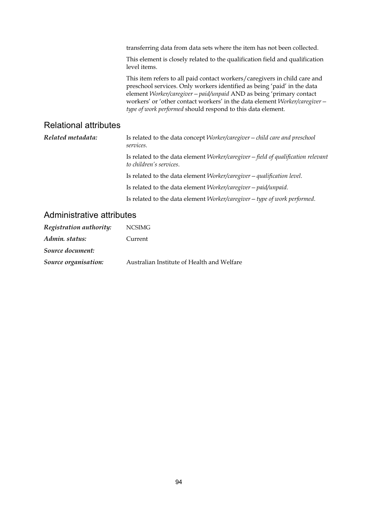transferring data from data sets where the item has not been collected.

This element is closely related to the qualification field and qualification level items.

This item refers to all paid contact workers/caregivers in child care and preschool services. Only workers identified as being 'paid' in the data element *Worker/caregiver—paid/unpaid* AND as being 'primary contact workers' or 'other contact workers' in the data element *Worker/caregiver type of work performed* should respond to this data element.

#### Relational attributes

*Related metadata:* Is related to the data concept *Worker/caregiver—child care and preschool services*. Is related to the data element *Worker/caregiver—field of qualification relevant to children's services*. Is related to the data element *Worker/caregiver—qualification level*. Is related to the data element *Worker/caregiver—paid/unpaid*. Is related to the data element *Worker/caregiver—type of work performed*.

| Registration authority: | <b>NCSIMG</b>                              |
|-------------------------|--------------------------------------------|
| Admin. status:          | Current                                    |
| Source document:        |                                            |
| Source organisation:    | Australian Institute of Health and Welfare |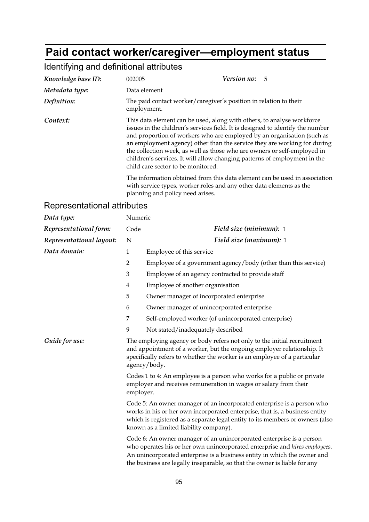## **Paid contact worker/caregiver—employment status**

## Identifying and definitional attributes

| Knowledge base ID: | 002005                             | Version no: 5                                                                                                                                                                                                                                                                                                                                                                                                                                                           |
|--------------------|------------------------------------|-------------------------------------------------------------------------------------------------------------------------------------------------------------------------------------------------------------------------------------------------------------------------------------------------------------------------------------------------------------------------------------------------------------------------------------------------------------------------|
| Metadata type:     | Data element                       |                                                                                                                                                                                                                                                                                                                                                                                                                                                                         |
| Definition:        | employment.                        | The paid contact worker/caregiver's position in relation to their                                                                                                                                                                                                                                                                                                                                                                                                       |
| Context:           | child care sector to be monitored. | This data element can be used, along with others, to analyse workforce<br>issues in the children's services field. It is designed to identify the number<br>and proportion of workers who are employed by an organisation (such as<br>an employment agency) other than the service they are working for during<br>the collection week, as well as those who are owners or self-employed in<br>children's services. It will allow changing patterns of employment in the |
|                    | planning and policy need arises.   | The information obtained from this data element can be used in association<br>with service types, worker roles and any other data elements as the                                                                                                                                                                                                                                                                                                                       |

| Data type:               | Numeric                                                                                                                                                                                                                                       |                                                                                                                                                                                                                                                                                                             |
|--------------------------|-----------------------------------------------------------------------------------------------------------------------------------------------------------------------------------------------------------------------------------------------|-------------------------------------------------------------------------------------------------------------------------------------------------------------------------------------------------------------------------------------------------------------------------------------------------------------|
| Representational form:   | Code                                                                                                                                                                                                                                          | Field size (minimum): 1                                                                                                                                                                                                                                                                                     |
| Representational layout: | N                                                                                                                                                                                                                                             | Field size (maximum): 1                                                                                                                                                                                                                                                                                     |
| Data domain:             | $\mathbf{1}$                                                                                                                                                                                                                                  | Employee of this service                                                                                                                                                                                                                                                                                    |
|                          | $\overline{2}$                                                                                                                                                                                                                                | Employee of a government agency/body (other than this service)                                                                                                                                                                                                                                              |
|                          | $\mathfrak{Z}$                                                                                                                                                                                                                                | Employee of an agency contracted to provide staff                                                                                                                                                                                                                                                           |
|                          | $\overline{4}$                                                                                                                                                                                                                                | Employee of another organisation                                                                                                                                                                                                                                                                            |
|                          | 5                                                                                                                                                                                                                                             | Owner manager of incorporated enterprise                                                                                                                                                                                                                                                                    |
|                          | 6                                                                                                                                                                                                                                             | Owner manager of unincorporated enterprise                                                                                                                                                                                                                                                                  |
|                          | 7                                                                                                                                                                                                                                             | Self-employed worker (of unincorporated enterprise)                                                                                                                                                                                                                                                         |
|                          | 9                                                                                                                                                                                                                                             | Not stated/inadequately described                                                                                                                                                                                                                                                                           |
| Guide for use:           | The employing agency or body refers not only to the initial recruitment<br>and appointment of a worker, but the ongoing employer relationship. It<br>specifically refers to whether the worker is an employee of a particular<br>agency/body. |                                                                                                                                                                                                                                                                                                             |
|                          | employer.                                                                                                                                                                                                                                     | Codes 1 to 4: An employee is a person who works for a public or private<br>employer and receives remuneration in wages or salary from their                                                                                                                                                                 |
|                          |                                                                                                                                                                                                                                               | Code 5: An owner manager of an incorporated enterprise is a person who<br>works in his or her own incorporated enterprise, that is, a business entity<br>which is registered as a separate legal entity to its members or owners (also<br>known as a limited liability company).                            |
|                          |                                                                                                                                                                                                                                               | Code 6: An owner manager of an unincorporated enterprise is a person<br>who operates his or her own unincorporated enterprise and hires employees.<br>An unincorporated enterprise is a business entity in which the owner and<br>the business are legally inseparable, so that the owner is liable for any |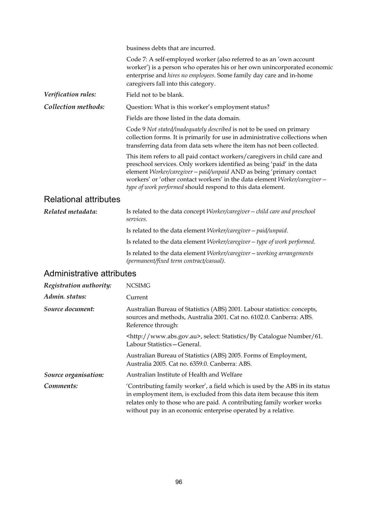|                              | business debts that are incurred.                                                                                                                                                                                                                                                                                                                                         |  |  |
|------------------------------|---------------------------------------------------------------------------------------------------------------------------------------------------------------------------------------------------------------------------------------------------------------------------------------------------------------------------------------------------------------------------|--|--|
|                              | Code 7: A self-employed worker (also referred to as an 'own account<br>worker') is a person who operates his or her own unincorporated economic<br>enterprise and hires no employees. Some family day care and in-home<br>caregivers fall into this category.                                                                                                             |  |  |
| Verification rules:          | Field not to be blank.                                                                                                                                                                                                                                                                                                                                                    |  |  |
| Collection methods:          | Question: What is this worker's employment status?                                                                                                                                                                                                                                                                                                                        |  |  |
|                              | Fields are those listed in the data domain.                                                                                                                                                                                                                                                                                                                               |  |  |
|                              | Code 9 Not stated/inadequately described is not to be used on primary<br>collection forms. It is primarily for use in administrative collections when<br>transferring data from data sets where the item has not been collected.                                                                                                                                          |  |  |
|                              | This item refers to all paid contact workers/caregivers in child care and<br>preschool services. Only workers identified as being 'paid' in the data<br>element Worker/caregiver - paid/unpaid AND as being 'primary contact<br>workers' or 'other contact workers' in the data element Worker/caregiver -<br>type of work performed should respond to this data element. |  |  |
| <b>Relational attributes</b> |                                                                                                                                                                                                                                                                                                                                                                           |  |  |
| Related metadata:            | Is related to the data concept Worker/caregiver - child care and preschool<br>services.                                                                                                                                                                                                                                                                                   |  |  |
|                              | Is related to the data element Worker/caregiver - paid/unpaid.                                                                                                                                                                                                                                                                                                            |  |  |
|                              | Is related to the data element Worker/caregiver - type of work performed.                                                                                                                                                                                                                                                                                                 |  |  |
|                              | Is related to the data element Worker/caregiver - working arrangements<br>(permanent/fixed term contract/casual).                                                                                                                                                                                                                                                         |  |  |
| Administrative attributes    |                                                                                                                                                                                                                                                                                                                                                                           |  |  |
| Registration authority:      | <b>NCSIMG</b>                                                                                                                                                                                                                                                                                                                                                             |  |  |
| Admin. status:               | Current                                                                                                                                                                                                                                                                                                                                                                   |  |  |

| Source document: | Australian Bureau of Statistics (ABS) 2001. Labour statistics: concepts,<br>sources and methods, Australia 2001. Cat no. 6102.0. Canberra: ABS.<br>Reference through: |
|------------------|-----------------------------------------------------------------------------------------------------------------------------------------------------------------------|
|                  | <http: www.abs.gov.au="">, select: Statistics/By Catalogue Number/61.<br/>Labour Statistics – General.</http:>                                                        |

Australian Bureau of Statistics (ABS) 2005. Forms of Employment, Australia 2005. Cat no. 6359.0. Canberra: ABS.

*Source organisation:* Australian Institute of Health and Welfare

*Comments:* 'Contributing family worker', a field which is used by the ABS in its status in employment item, is excluded from this data item because this item relates only to those who are paid. A contributing family worker works without pay in an economic enterprise operated by a relative.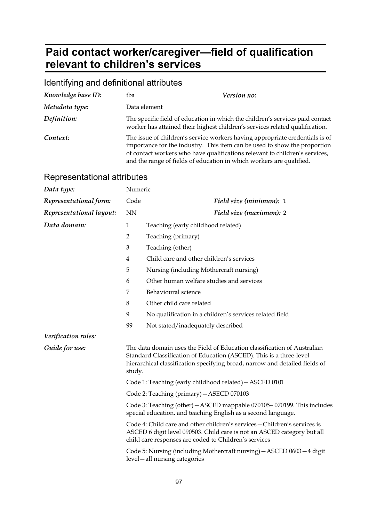## **Paid contact worker/caregiver—field of qualification relevant to children's services**

## Identifying and definitional attributes

| Knowledge base ID: | tba                                                                  | Version no:                                                                                                                                                                                                                              |
|--------------------|----------------------------------------------------------------------|------------------------------------------------------------------------------------------------------------------------------------------------------------------------------------------------------------------------------------------|
| Metadata type:     | Data element                                                         |                                                                                                                                                                                                                                          |
| Definition:        |                                                                      | The specific field of education in which the children's services paid contact<br>worker has attained their highest children's services related qualification.                                                                            |
| Context:           | and the range of fields of education in which workers are qualified. | The issue of children's service workers having appropriate credentials is of<br>importance for the industry. This item can be used to show the proportion<br>of contact workers who have qualifications relevant to children's services, |

| Data type:               | Numeric        |                                                                                                                                                                                                                                |
|--------------------------|----------------|--------------------------------------------------------------------------------------------------------------------------------------------------------------------------------------------------------------------------------|
| Representational form:   | Code           | Field size (minimum): 1                                                                                                                                                                                                        |
| Representational layout: | <b>NN</b>      | Field size (maximum): 2                                                                                                                                                                                                        |
| Data domain:             | $\mathbf{1}$   | Teaching (early childhood related)                                                                                                                                                                                             |
|                          | $\overline{2}$ | Teaching (primary)                                                                                                                                                                                                             |
|                          | 3              | Teaching (other)                                                                                                                                                                                                               |
|                          | 4              | Child care and other children's services                                                                                                                                                                                       |
|                          | 5              | Nursing (including Mothercraft nursing)                                                                                                                                                                                        |
|                          | 6              | Other human welfare studies and services                                                                                                                                                                                       |
|                          | 7              | Behavioural science                                                                                                                                                                                                            |
|                          | 8              | Other child care related                                                                                                                                                                                                       |
|                          | 9              | No qualification in a children's services related field                                                                                                                                                                        |
|                          | 99             | Not stated/inadequately described                                                                                                                                                                                              |
| Verification rules:      |                |                                                                                                                                                                                                                                |
| Guide for use:           | study.         | The data domain uses the Field of Education classification of Australian<br>Standard Classification of Education (ASCED). This is a three-level<br>hierarchical classification specifying broad, narrow and detailed fields of |
|                          |                | Code 1: Teaching (early childhood related) - ASCED 0101                                                                                                                                                                        |
|                          |                | Code 2: Teaching (primary) - ASECD 070103                                                                                                                                                                                      |
|                          |                | Code 3: Teaching (other) - ASCED mappable 070105-070199. This includes<br>special education, and teaching English as a second language.                                                                                        |
|                          |                | Code 4: Child care and other children's services - Children's services is<br>ASCED 6 digit level 090503. Child care is not an ASCED category but all<br>child care responses are coded to Children's services                  |
|                          |                | Code 5: Nursing (including Mothercraft nursing) - ASCED 0603-4 digit<br>level-all nursing categories                                                                                                                           |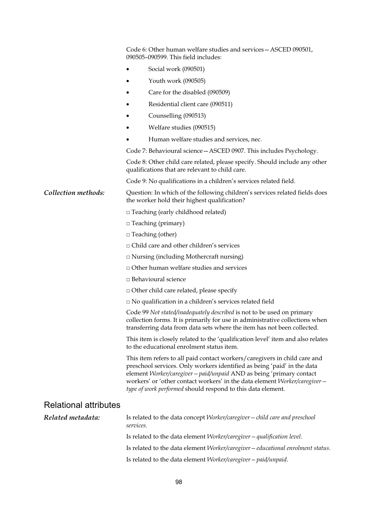|                              | Code 6: Other human welfare studies and services – ASCED 090501,<br>090505-090599. This field includes:                                                                                                                                                                                                                                                                   |
|------------------------------|---------------------------------------------------------------------------------------------------------------------------------------------------------------------------------------------------------------------------------------------------------------------------------------------------------------------------------------------------------------------------|
|                              | Social work (090501)                                                                                                                                                                                                                                                                                                                                                      |
|                              | Youth work (090505)                                                                                                                                                                                                                                                                                                                                                       |
|                              | Care for the disabled (090509)                                                                                                                                                                                                                                                                                                                                            |
|                              | Residential client care (090511)                                                                                                                                                                                                                                                                                                                                          |
|                              | Counselling (090513)                                                                                                                                                                                                                                                                                                                                                      |
|                              | Welfare studies (090515)                                                                                                                                                                                                                                                                                                                                                  |
|                              | Human welfare studies and services, nec.                                                                                                                                                                                                                                                                                                                                  |
|                              | Code 7: Behavioural science - ASCED 0907. This includes Psychology.                                                                                                                                                                                                                                                                                                       |
|                              | Code 8: Other child care related, please specify. Should include any other<br>qualifications that are relevant to child care.                                                                                                                                                                                                                                             |
|                              | Code 9: No qualifications in a children's services related field.                                                                                                                                                                                                                                                                                                         |
| Collection methods:          | Question: In which of the following children's services related fields does<br>the worker hold their highest qualification?                                                                                                                                                                                                                                               |
|                              | $\Box$ Teaching (early childhood related)                                                                                                                                                                                                                                                                                                                                 |
|                              | $\Box$ Teaching (primary)                                                                                                                                                                                                                                                                                                                                                 |
|                              | $\Box$ Teaching (other)                                                                                                                                                                                                                                                                                                                                                   |
|                              | □ Child care and other children's services                                                                                                                                                                                                                                                                                                                                |
|                              | $\Box$ Nursing (including Mothercraft nursing)                                                                                                                                                                                                                                                                                                                            |
|                              | $\Box$ Other human welfare studies and services                                                                                                                                                                                                                                                                                                                           |
|                              | □ Behavioural science                                                                                                                                                                                                                                                                                                                                                     |
|                              | <sup>D</sup> Other child care related, please specify                                                                                                                                                                                                                                                                                                                     |
|                              | $\square$ No qualification in a children's services related field                                                                                                                                                                                                                                                                                                         |
|                              | Code 99 Not stated/inadequately described is not to be used on primary<br>collection forms. It is primarily for use in administrative collections when<br>transferring data from data sets where the item has not been collected.                                                                                                                                         |
|                              | This item is closely related to the 'qualification level' item and also relates<br>to the educational enrolment status item.                                                                                                                                                                                                                                              |
|                              | This item refers to all paid contact workers/caregivers in child care and<br>preschool services. Only workers identified as being 'paid' in the data<br>element Worker/caregiver - paid/unpaid AND as being 'primary contact<br>workers' or 'other contact workers' in the data element Worker/caregiver -<br>type of work performed should respond to this data element. |
| <b>Relational attributes</b> |                                                                                                                                                                                                                                                                                                                                                                           |
| Related metadata:            | Is related to the data concept Worker/caregiver - child care and preschool<br>services.                                                                                                                                                                                                                                                                                   |
|                              | Is related to the data element Worker/caregiver - qualification level.                                                                                                                                                                                                                                                                                                    |
|                              | Is related to the data element Worker/caregiver-educational enrolment status.                                                                                                                                                                                                                                                                                             |
|                              | Is related to the data element Worker/caregiver - paid/unpaid.                                                                                                                                                                                                                                                                                                            |
|                              |                                                                                                                                                                                                                                                                                                                                                                           |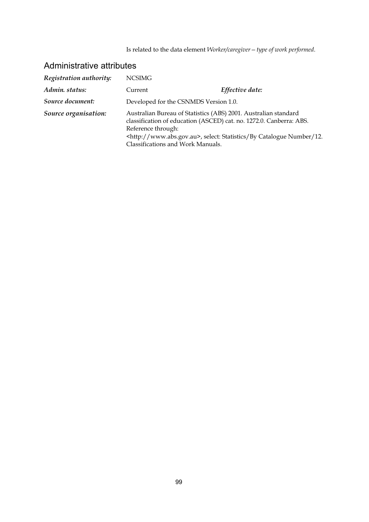Is related to the data element *Worker/caregiver—type of work performed*.

| Registration authority: | <b>NCSIMG</b>      |                                                                                                                                                                                                                                                               |
|-------------------------|--------------------|---------------------------------------------------------------------------------------------------------------------------------------------------------------------------------------------------------------------------------------------------------------|
| Admin. status:          | Current            | Effective date:                                                                                                                                                                                                                                               |
| Source document:        |                    | Developed for the CSNMDS Version 1.0.                                                                                                                                                                                                                         |
| Source organisation:    | Reference through: | Australian Bureau of Statistics (ABS) 2001. Australian standard<br>classification of education (ASCED) cat. no. 1272.0. Canberra: ABS.<br><http: www.abs.gov.au="">, select: Statistics/By Catalogue Number/12.<br/>Classifications and Work Manuals.</http:> |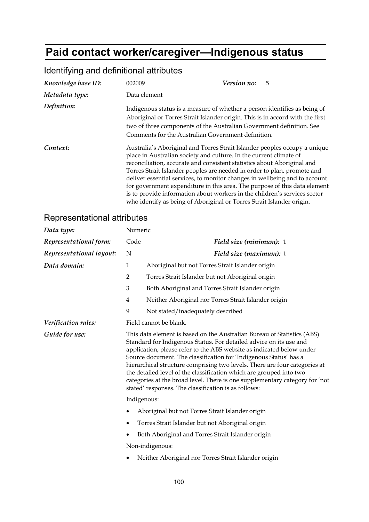## **Paid contact worker/caregiver—Indigenous status**

| Knowledge base ID: | 002009                                                                                                                                                                                                                                                                                   | Version no:<br>5                                                                                                                                                                                                                                                                                                                                                                                                                                                        |
|--------------------|------------------------------------------------------------------------------------------------------------------------------------------------------------------------------------------------------------------------------------------------------------------------------------------|-------------------------------------------------------------------------------------------------------------------------------------------------------------------------------------------------------------------------------------------------------------------------------------------------------------------------------------------------------------------------------------------------------------------------------------------------------------------------|
| Metadata type:     | Data element                                                                                                                                                                                                                                                                             |                                                                                                                                                                                                                                                                                                                                                                                                                                                                         |
| Definition:        | Indigenous status is a measure of whether a person identifies as being of<br>Aboriginal or Torres Strait Islander origin. This is in accord with the first<br>two of three components of the Australian Government definition. See<br>Comments for the Australian Government definition. |                                                                                                                                                                                                                                                                                                                                                                                                                                                                         |
| Context:           | place in Australian society and culture. In the current climate of<br>who identify as being of Aboriginal or Torres Strait Islander origin.                                                                                                                                              | Australia's Aboriginal and Torres Strait Islander peoples occupy a unique<br>reconciliation, accurate and consistent statistics about Aboriginal and<br>Torres Strait Islander peoples are needed in order to plan, promote and<br>deliver essential services, to monitor changes in wellbeing and to account<br>for government expenditure in this area. The purpose of this data element<br>is to provide information about workers in the children's services sector |

## Identifying and definitional attributes

| Data type:               | Numeric                                                                                                                                                                                                                                                                                                                                                                                                                                                                                                                                                                                 |                                                      |  |
|--------------------------|-----------------------------------------------------------------------------------------------------------------------------------------------------------------------------------------------------------------------------------------------------------------------------------------------------------------------------------------------------------------------------------------------------------------------------------------------------------------------------------------------------------------------------------------------------------------------------------------|------------------------------------------------------|--|
| Representational form:   | Code                                                                                                                                                                                                                                                                                                                                                                                                                                                                                                                                                                                    | Field size (minimum): 1                              |  |
| Representational layout: | N                                                                                                                                                                                                                                                                                                                                                                                                                                                                                                                                                                                       | Field size (maximum): 1                              |  |
| Data domain:             | $\mathbf{1}$                                                                                                                                                                                                                                                                                                                                                                                                                                                                                                                                                                            | Aboriginal but not Torres Strait Islander origin     |  |
|                          | $\overline{2}$                                                                                                                                                                                                                                                                                                                                                                                                                                                                                                                                                                          | Torres Strait Islander but not Aboriginal origin     |  |
|                          | $\mathfrak{Z}$                                                                                                                                                                                                                                                                                                                                                                                                                                                                                                                                                                          | Both Aboriginal and Torres Strait Islander origin    |  |
|                          | $\overline{4}$                                                                                                                                                                                                                                                                                                                                                                                                                                                                                                                                                                          | Neither Aboriginal nor Torres Strait Islander origin |  |
|                          | 9                                                                                                                                                                                                                                                                                                                                                                                                                                                                                                                                                                                       | Not stated/inadequately described                    |  |
| Verification rules:      |                                                                                                                                                                                                                                                                                                                                                                                                                                                                                                                                                                                         | Field cannot be blank.                               |  |
| Guide for use:           | This data element is based on the Australian Bureau of Statistics (ABS)<br>Standard for Indigenous Status. For detailed advice on its use and<br>application, please refer to the ABS website as indicated below under<br>Source document. The classification for 'Indigenous Status' has a<br>hierarchical structure comprising two levels. There are four categories at<br>the detailed level of the classification which are grouped into two<br>categories at the broad level. There is one supplementary category for 'not<br>stated' responses. The classification is as follows: |                                                      |  |
|                          |                                                                                                                                                                                                                                                                                                                                                                                                                                                                                                                                                                                         | Indigenous:                                          |  |
|                          | Aboriginal but not Torres Strait Islander origin                                                                                                                                                                                                                                                                                                                                                                                                                                                                                                                                        |                                                      |  |
|                          |                                                                                                                                                                                                                                                                                                                                                                                                                                                                                                                                                                                         | Torres Strait Islander but not Aboriginal origin     |  |
|                          |                                                                                                                                                                                                                                                                                                                                                                                                                                                                                                                                                                                         | Both Aboriginal and Torres Strait Islander origin    |  |
|                          |                                                                                                                                                                                                                                                                                                                                                                                                                                                                                                                                                                                         | Non-indigenous:                                      |  |
|                          |                                                                                                                                                                                                                                                                                                                                                                                                                                                                                                                                                                                         | Neither Aboriginal nor Torres Strait Islander origin |  |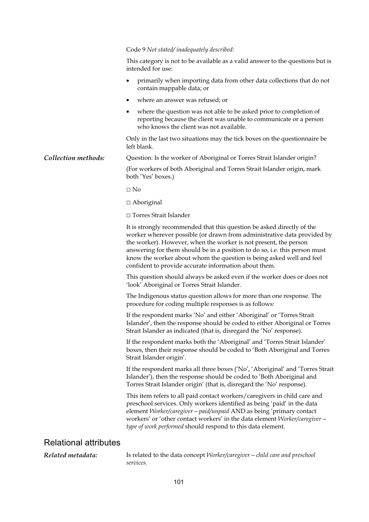|                              | Code 9 Not stated/inadequately described:                                                                                                                                                                                                                                                                                                                                                                                            |
|------------------------------|--------------------------------------------------------------------------------------------------------------------------------------------------------------------------------------------------------------------------------------------------------------------------------------------------------------------------------------------------------------------------------------------------------------------------------------|
|                              | This category is not to be available as a valid answer to the questions but is<br>intended for use:                                                                                                                                                                                                                                                                                                                                  |
|                              | primarily when importing data from other data collections that do not<br>٠<br>contain mappable data; or                                                                                                                                                                                                                                                                                                                              |
|                              | where an answer was refused; or                                                                                                                                                                                                                                                                                                                                                                                                      |
|                              | where the question was not able to be asked prior to completion of<br>reporting because the client was unable to communicate or a person<br>who knows the client was not available.                                                                                                                                                                                                                                                  |
|                              | Only in the last two situations may the tick boxes on the questionnaire be<br>left blank.                                                                                                                                                                                                                                                                                                                                            |
| Collection methods:          | Question: Is the worker of Aboriginal or Torres Strait Islander origin?                                                                                                                                                                                                                                                                                                                                                              |
|                              | (For workers of both Aboriginal and Torres Strait Islander origin, mark<br>both 'Yes' boxes.)                                                                                                                                                                                                                                                                                                                                        |
|                              | $\Box$ No                                                                                                                                                                                                                                                                                                                                                                                                                            |
|                              | $\Box$ Aboriginal                                                                                                                                                                                                                                                                                                                                                                                                                    |
|                              | $\Box$ Torres Strait Islander                                                                                                                                                                                                                                                                                                                                                                                                        |
|                              | It is strongly recommended that this question be asked directly of the<br>worker wherever possible (or drawn from administrative data provided by<br>the worker). However, when the worker is not present, the person<br>answering for them should be in a position to do so, i.e. this person must<br>know the worker about whom the question is being asked well and feel<br>confident to provide accurate information about them. |
|                              | This question should always be asked even if the worker does or does not<br>'look' Aboriginal or Torres Strait Islander.                                                                                                                                                                                                                                                                                                             |
|                              | The Indigenous status question allows for more than one response. The<br>procedure for coding multiple responses is as follows:                                                                                                                                                                                                                                                                                                      |
|                              | If the respondent marks 'No' and either 'Aboriginal' or 'Torres Strait<br>Islander', then the response should be coded to either Aboriginal or Torres<br>Strait Islander as indicated (that is, disregard the 'No' response).                                                                                                                                                                                                        |
|                              | If the respondent marks both the 'Aboriginal' and 'Torres Strait Islander'<br>boxes, then their response should be coded to 'Both Aboriginal and Torres<br>Strait Islander origin'.                                                                                                                                                                                                                                                  |
|                              | If the respondent marks all three boxes ('No', 'Aboriginal' and 'Torres Strait<br>Islander'), then the response should be coded to 'Both Aboriginal and<br>Torres Strait Islander origin' (that is, disregard the 'No' response).                                                                                                                                                                                                    |
|                              | This item refers to all paid contact workers/caregivers in child care and<br>preschool services. Only workers identified as being 'paid' in the data<br>element Worker/caregiver - paid/unpaid AND as being 'primary contact<br>workers' or 'other contact workers' in the data element Worker/caregiver -<br>type of work performed should respond to this data element.                                                            |
| <b>Relational attributes</b> |                                                                                                                                                                                                                                                                                                                                                                                                                                      |

*Related metadata:* Is related to the data concept *Worker/caregiver—child care and preschool services*.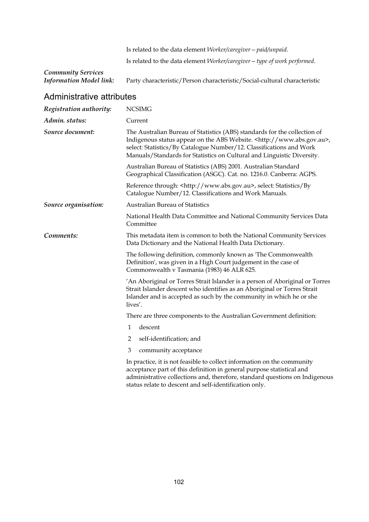Is related to the data element *Worker/caregiver—paid/unpaid*. Is related to the data element *Worker/caregiver—type of work performed*.

# *Community Services*

Party characteristic/Person characteristic/Social-cultural characteristic

| Registration authority: | <b>NCSIMG</b>                                                                                                                                                                                                                                                                                                   |  |  |
|-------------------------|-----------------------------------------------------------------------------------------------------------------------------------------------------------------------------------------------------------------------------------------------------------------------------------------------------------------|--|--|
| Admin. status:          | Current                                                                                                                                                                                                                                                                                                         |  |  |
| Source document:        | The Australian Bureau of Statistics (ABS) standards for the collection of<br>Indigenous status appear on the ABS Website. <http: www.abs.gov.au="">,<br/>select: Statistics/By Catalogue Number/12. Classifications and Work<br/>Manuals/Standards for Statistics on Cultural and Linguistic Diversity.</http:> |  |  |
|                         | Australian Bureau of Statistics (ABS) 2001. Australian Standard<br>Geographical Classification (ASGC). Cat. no. 1216.0. Canberra: AGPS.                                                                                                                                                                         |  |  |
|                         | Reference through: <http: www.abs.gov.au="">, select: Statistics/By<br/>Catalogue Number/12. Classifications and Work Manuals.</http:>                                                                                                                                                                          |  |  |
| Source organisation:    | <b>Australian Bureau of Statistics</b>                                                                                                                                                                                                                                                                          |  |  |
|                         | National Health Data Committee and National Community Services Data<br>Committee                                                                                                                                                                                                                                |  |  |
| Comments:               | This metadata item is common to both the National Community Services<br>Data Dictionary and the National Health Data Dictionary.                                                                                                                                                                                |  |  |
|                         | The following definition, commonly known as 'The Commonwealth<br>Definition', was given in a High Court judgement in the case of<br>Commonwealth v Tasmania (1983) 46 ALR 625.                                                                                                                                  |  |  |
|                         | 'An Aboriginal or Torres Strait Islander is a person of Aboriginal or Torres<br>Strait Islander descent who identifies as an Aboriginal or Torres Strait<br>Islander and is accepted as such by the community in which he or she<br>lives'.                                                                     |  |  |
|                         | There are three components to the Australian Government definition:                                                                                                                                                                                                                                             |  |  |
|                         | 1<br>descent                                                                                                                                                                                                                                                                                                    |  |  |
|                         | $\overline{2}$<br>self-identification; and                                                                                                                                                                                                                                                                      |  |  |
|                         | 3<br>community acceptance                                                                                                                                                                                                                                                                                       |  |  |
|                         | In practice, it is not feasible to collect information on the community<br>acceptance part of this definition in general purpose statistical and<br>administrative collections and, therefore, standard questions on Indigenous<br>status relate to descent and self-identification only.                       |  |  |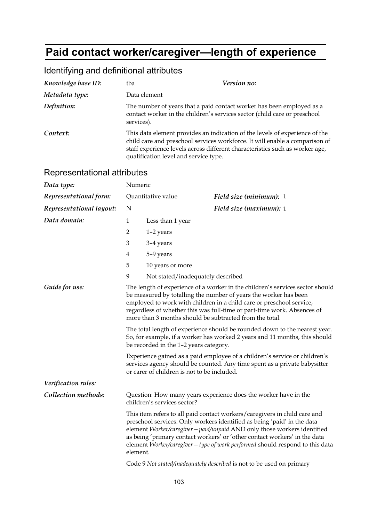# **Paid contact worker/caregiver—length of experience**

| Identifying and definitional attributes |  |  |
|-----------------------------------------|--|--|
|-----------------------------------------|--|--|

| Knowledge base ID: | tba          | Version no:                                                                                                                                                                                                                                                                         |  |
|--------------------|--------------|-------------------------------------------------------------------------------------------------------------------------------------------------------------------------------------------------------------------------------------------------------------------------------------|--|
| Metadata type:     | Data element |                                                                                                                                                                                                                                                                                     |  |
| Definition:        | services).   | The number of years that a paid contact worker has been employed as a<br>contact worker in the children's services sector (child care or preschool                                                                                                                                  |  |
| Context:           |              | This data element provides an indication of the levels of experience of the<br>child care and preschool services workforce. It will enable a comparison of<br>staff experience levels across different characteristics such as worker age,<br>qualification level and service type. |  |

| Representational attributes |  |
|-----------------------------|--|
|-----------------------------|--|

| Data type:               | Numeric                                                                                                                                                                                                                                                                                                                                                         |                                             |                                                                                                                                                                                                                                                                                                                                                                                                |
|--------------------------|-----------------------------------------------------------------------------------------------------------------------------------------------------------------------------------------------------------------------------------------------------------------------------------------------------------------------------------------------------------------|---------------------------------------------|------------------------------------------------------------------------------------------------------------------------------------------------------------------------------------------------------------------------------------------------------------------------------------------------------------------------------------------------------------------------------------------------|
| Representational form:   | Quantitative value                                                                                                                                                                                                                                                                                                                                              |                                             | Field size (minimum): 1                                                                                                                                                                                                                                                                                                                                                                        |
| Representational layout: | N                                                                                                                                                                                                                                                                                                                                                               |                                             | Field size (maximum): 1                                                                                                                                                                                                                                                                                                                                                                        |
| Data domain:             | 1                                                                                                                                                                                                                                                                                                                                                               | Less than 1 year                            |                                                                                                                                                                                                                                                                                                                                                                                                |
|                          | $\overline{2}$                                                                                                                                                                                                                                                                                                                                                  | $1-2$ years                                 |                                                                                                                                                                                                                                                                                                                                                                                                |
|                          | 3                                                                                                                                                                                                                                                                                                                                                               | 3-4 years                                   |                                                                                                                                                                                                                                                                                                                                                                                                |
|                          | 4                                                                                                                                                                                                                                                                                                                                                               | 5-9 years                                   |                                                                                                                                                                                                                                                                                                                                                                                                |
|                          | 5                                                                                                                                                                                                                                                                                                                                                               | 10 years or more                            |                                                                                                                                                                                                                                                                                                                                                                                                |
|                          | 9                                                                                                                                                                                                                                                                                                                                                               | Not stated/inadequately described           |                                                                                                                                                                                                                                                                                                                                                                                                |
| Guide for use:           | The length of experience of a worker in the children's services sector should<br>be measured by totalling the number of years the worker has been<br>employed to work with children in a child care or preschool service,<br>regardless of whether this was full-time or part-time work. Absences of<br>more than 3 months should be subtracted from the total. |                                             |                                                                                                                                                                                                                                                                                                                                                                                                |
|                          | The total length of experience should be rounded down to the nearest year.<br>So, for example, if a worker has worked 2 years and 11 months, this should<br>be recorded in the 1-2 years category.                                                                                                                                                              |                                             |                                                                                                                                                                                                                                                                                                                                                                                                |
|                          |                                                                                                                                                                                                                                                                                                                                                                 | or carer of children is not to be included. | Experience gained as a paid employee of a children's service or children's<br>services agency should be counted. Any time spent as a private babysitter                                                                                                                                                                                                                                        |
| Verification rules:      |                                                                                                                                                                                                                                                                                                                                                                 |                                             |                                                                                                                                                                                                                                                                                                                                                                                                |
| Collection methods:      | Question: How many years experience does the worker have in the<br>children's services sector?                                                                                                                                                                                                                                                                  |                                             |                                                                                                                                                                                                                                                                                                                                                                                                |
|                          | element.                                                                                                                                                                                                                                                                                                                                                        |                                             | This item refers to all paid contact workers/caregivers in child care and<br>preschool services. Only workers identified as being 'paid' in the data<br>element Worker/caregiver - paid/unpaid AND only those workers identified<br>as being 'primary contact workers' or 'other contact workers' in the data<br>element Worker/caregiver - type of work performed should respond to this data |
|                          |                                                                                                                                                                                                                                                                                                                                                                 |                                             | Code 9 Not stated/inadequately described is not to be used on primary                                                                                                                                                                                                                                                                                                                          |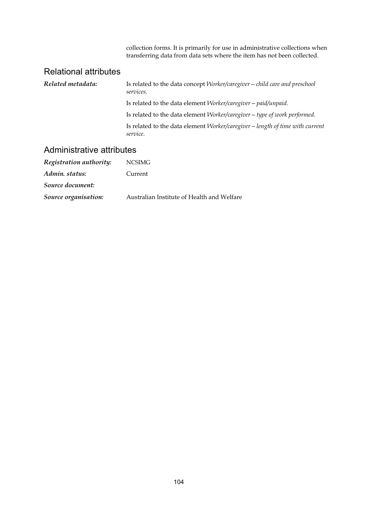collection forms. It is primarily for use in administrative collections when transferring data from data sets where the item has not been collected.

#### Relational attributes

| Related metadata: | Is related to the data concept <i>Worker/caregiver</i> – <i>child care and preschool</i><br>services. |
|-------------------|-------------------------------------------------------------------------------------------------------|
|                   | Is related to the data element <i>Worker/caregiver</i> – <i>paid/unpaid</i> .                         |
|                   | Is related to the data element Worker/caregiver - type of work performed.                             |
|                   | Is related to the data element Worker/caregiver - length of time with current<br>service.             |

| Registration authority: | <b>NCSIMG</b>                              |
|-------------------------|--------------------------------------------|
| Admin. status:          | Current                                    |
| Source document:        |                                            |
| Source organisation:    | Australian Institute of Health and Welfare |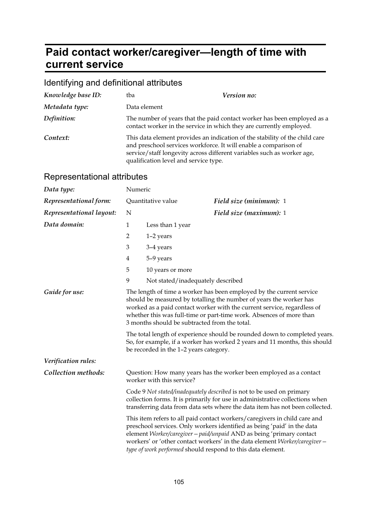## **Paid contact worker/caregiver—length of time with current service**

### Identifying and definitional attributes

| Knowledge base ID: | tba                                                                                                                                                                                 | Version no:                                                                 |
|--------------------|-------------------------------------------------------------------------------------------------------------------------------------------------------------------------------------|-----------------------------------------------------------------------------|
| Metadata type:     | Data element                                                                                                                                                                        |                                                                             |
| Definition:        | contact worker in the service in which they are currently employed.                                                                                                                 | The number of years that the paid contact worker has been employed as a     |
| Context:           | and preschool services workforce. It will enable a comparison of<br>service/staff longevity across different variables such as worker age,<br>qualification level and service type. | This data element provides an indication of the stability of the child care |

| Data type:               | Numeric                                                                                                                                                                                                                                                                                                                                       |                                        |                                                                                                                                                                                                                                                                                                                                                                           |
|--------------------------|-----------------------------------------------------------------------------------------------------------------------------------------------------------------------------------------------------------------------------------------------------------------------------------------------------------------------------------------------|----------------------------------------|---------------------------------------------------------------------------------------------------------------------------------------------------------------------------------------------------------------------------------------------------------------------------------------------------------------------------------------------------------------------------|
| Representational form:   |                                                                                                                                                                                                                                                                                                                                               | Quantitative value                     | Field size (minimum): 1                                                                                                                                                                                                                                                                                                                                                   |
| Representational layout: | N                                                                                                                                                                                                                                                                                                                                             |                                        | Field size (maximum): 1                                                                                                                                                                                                                                                                                                                                                   |
| Data domain:             | $\mathbf{1}$                                                                                                                                                                                                                                                                                                                                  | Less than 1 year                       |                                                                                                                                                                                                                                                                                                                                                                           |
|                          | 2                                                                                                                                                                                                                                                                                                                                             | $1-2$ years                            |                                                                                                                                                                                                                                                                                                                                                                           |
|                          | 3                                                                                                                                                                                                                                                                                                                                             | 3-4 years                              |                                                                                                                                                                                                                                                                                                                                                                           |
|                          | 4                                                                                                                                                                                                                                                                                                                                             | 5-9 years                              |                                                                                                                                                                                                                                                                                                                                                                           |
|                          | 5                                                                                                                                                                                                                                                                                                                                             | 10 years or more                       |                                                                                                                                                                                                                                                                                                                                                                           |
|                          | 9                                                                                                                                                                                                                                                                                                                                             | Not stated/inadequately described      |                                                                                                                                                                                                                                                                                                                                                                           |
| Guide for use:           | The length of time a worker has been employed by the current service<br>should be measured by totalling the number of years the worker has<br>worked as a paid contact worker with the current service, regardless of<br>whether this was full-time or part-time work. Absences of more than<br>3 months should be subtracted from the total. |                                        |                                                                                                                                                                                                                                                                                                                                                                           |
|                          |                                                                                                                                                                                                                                                                                                                                               | be recorded in the 1-2 years category. | The total length of experience should be rounded down to completed years.<br>So, for example, if a worker has worked 2 years and 11 months, this should                                                                                                                                                                                                                   |
| Verification rules:      |                                                                                                                                                                                                                                                                                                                                               |                                        |                                                                                                                                                                                                                                                                                                                                                                           |
| Collection methods:      | Question: How many years has the worker been employed as a contact<br>worker with this service?<br>Code 9 Not stated/inadequately described is not to be used on primary<br>collection forms. It is primarily for use in administrative collections when<br>transferring data from data sets where the data item has not been collected.      |                                        |                                                                                                                                                                                                                                                                                                                                                                           |
|                          |                                                                                                                                                                                                                                                                                                                                               |                                        |                                                                                                                                                                                                                                                                                                                                                                           |
|                          |                                                                                                                                                                                                                                                                                                                                               |                                        | This item refers to all paid contact workers/caregivers in child care and<br>preschool services. Only workers identified as being 'paid' in the data<br>element Worker/caregiver - paid/unpaid AND as being 'primary contact<br>workers' or 'other contact workers' in the data element Worker/caregiver -<br>type of work performed should respond to this data element. |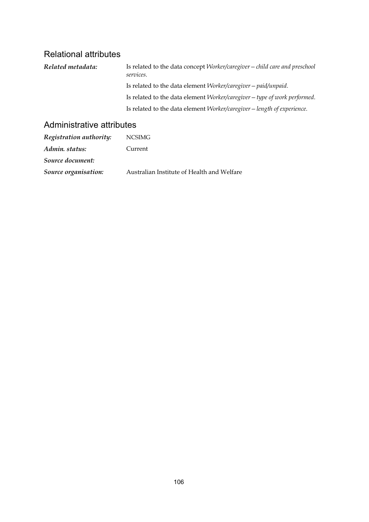### Relational attributes

*Related metadata:* Is related to the data concept *Worker/caregiver—child care and preschool services*. Is related to the data element *Worker/caregiver—paid/unpaid*. Is related to the data element *Worker/caregiver—type of work performed*. Is related to the data element *Worker/caregiver—length of experience*.

| Registration authority: | <b>NCSIMG</b>                              |
|-------------------------|--------------------------------------------|
| Admin. status:          | Current                                    |
| Source document:        |                                            |
| Source organisation:    | Australian Institute of Health and Welfare |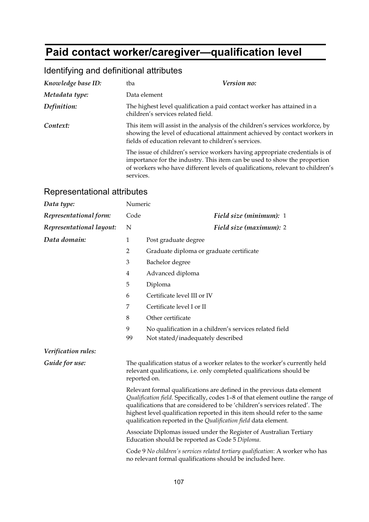# **Paid contact worker/caregiver—qualification level**

| Knowledge base ID: | tba                                                  | Version no:                                                                                                                                                                                                                                 |  |
|--------------------|------------------------------------------------------|---------------------------------------------------------------------------------------------------------------------------------------------------------------------------------------------------------------------------------------------|--|
| Metadata type:     | Data element                                         |                                                                                                                                                                                                                                             |  |
| Definition:        | children's services related field.                   | The highest level qualification a paid contact worker has attained in a                                                                                                                                                                     |  |
| Context:           | fields of education relevant to children's services. | This item will assist in the analysis of the children's services workforce, by<br>showing the level of educational attainment achieved by contact workers in                                                                                |  |
|                    | services.                                            | The issue of children's service workers having appropriate credentials is of<br>importance for the industry. This item can be used to show the proportion<br>of workers who have different levels of qualifications, relevant to children's |  |

### Identifying and definitional attributes

| Data type:               | Numeric                                                                                                                                                              |                                                                                                                                                                                                                                                                                                                                                                                              |
|--------------------------|----------------------------------------------------------------------------------------------------------------------------------------------------------------------|----------------------------------------------------------------------------------------------------------------------------------------------------------------------------------------------------------------------------------------------------------------------------------------------------------------------------------------------------------------------------------------------|
| Representational form:   | Code                                                                                                                                                                 | Field size (minimum): 1                                                                                                                                                                                                                                                                                                                                                                      |
| Representational layout: | N                                                                                                                                                                    | Field size (maximum): 2                                                                                                                                                                                                                                                                                                                                                                      |
| Data domain:             | $\mathbf{1}$                                                                                                                                                         | Post graduate degree                                                                                                                                                                                                                                                                                                                                                                         |
|                          | $\overline{2}$                                                                                                                                                       | Graduate diploma or graduate certificate                                                                                                                                                                                                                                                                                                                                                     |
|                          | $\mathfrak{Z}$                                                                                                                                                       | Bachelor degree                                                                                                                                                                                                                                                                                                                                                                              |
|                          | $\overline{4}$                                                                                                                                                       | Advanced diploma                                                                                                                                                                                                                                                                                                                                                                             |
|                          | 5                                                                                                                                                                    | Diploma                                                                                                                                                                                                                                                                                                                                                                                      |
|                          | 6                                                                                                                                                                    | Certificate level III or IV                                                                                                                                                                                                                                                                                                                                                                  |
|                          | 7                                                                                                                                                                    | Certificate level I or II                                                                                                                                                                                                                                                                                                                                                                    |
|                          | 8                                                                                                                                                                    | Other certificate                                                                                                                                                                                                                                                                                                                                                                            |
|                          | 9                                                                                                                                                                    | No qualification in a children's services related field                                                                                                                                                                                                                                                                                                                                      |
|                          | 99                                                                                                                                                                   | Not stated/inadequately described                                                                                                                                                                                                                                                                                                                                                            |
| Verification rules:      |                                                                                                                                                                      |                                                                                                                                                                                                                                                                                                                                                                                              |
| Guide for use:           | The qualification status of a worker relates to the worker's currently held<br>relevant qualifications, i.e. only completed qualifications should be<br>reported on. |                                                                                                                                                                                                                                                                                                                                                                                              |
|                          |                                                                                                                                                                      | Relevant formal qualifications are defined in the previous data element<br>Qualification field. Specifically, codes 1-8 of that element outline the range of<br>qualifications that are considered to be 'children's services related'. The<br>highest level qualification reported in this item should refer to the same<br>qualification reported in the Qualification field data element. |
|                          |                                                                                                                                                                      | Associate Diplomas issued under the Register of Australian Tertiary<br>Education should be reported as Code 5 Diploma.                                                                                                                                                                                                                                                                       |
|                          |                                                                                                                                                                      | Code 9 No children's services related tertiary qualification: A worker who has<br>no relevant formal qualifications should be included here.                                                                                                                                                                                                                                                 |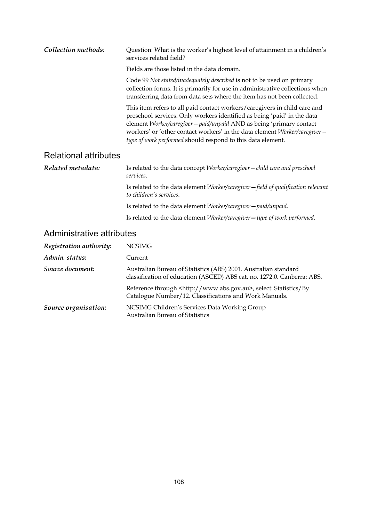| Collection methods:          | Question: What is the worker's highest level of attainment in a children's<br>services related field?                                                                                                                                                                                                                                                                     |
|------------------------------|---------------------------------------------------------------------------------------------------------------------------------------------------------------------------------------------------------------------------------------------------------------------------------------------------------------------------------------------------------------------------|
|                              | Fields are those listed in the data domain.                                                                                                                                                                                                                                                                                                                               |
|                              | Code 99 Not stated/inadequately described is not to be used on primary<br>collection forms. It is primarily for use in administrative collections when<br>transferring data from data sets where the item has not been collected.                                                                                                                                         |
|                              | This item refers to all paid contact workers/caregivers in child care and<br>preschool services. Only workers identified as being 'paid' in the data<br>element Worker/caregiver - paid/unpaid AND as being 'primary contact<br>workers' or 'other contact workers' in the data element Worker/caregiver -<br>type of work performed should respond to this data element. |
| <b>Relational attributes</b> |                                                                                                                                                                                                                                                                                                                                                                           |
| Related metadata:            | Is related to the data concept <i>Worker/caregiver</i> – <i>child care and preschool</i>                                                                                                                                                                                                                                                                                  |

*Related metadata:* Is related to the data concept *Worker/caregiver—child care and preschool services*. Is related to the data element *Worker/caregiver—field of qualification relevant to children's services*. Is related to the data element *Worker/caregiver—paid/unpaid*. Is related to the data element *Worker/caregiver—type of work performed*.

| Registration authority: | NCSIMG                                                                                                                                     |
|-------------------------|--------------------------------------------------------------------------------------------------------------------------------------------|
| Admin. status:          | Current                                                                                                                                    |
| Source document:        | Australian Bureau of Statistics (ABS) 2001. Australian standard<br>classification of education (ASCED) ABS cat. no. 1272.0. Canberra: ABS. |
|                         | Reference through <http: www.abs.gov.au="">, select: Statistics/By<br/>Catalogue Number/12. Classifications and Work Manuals.</http:>      |
| Source organisation:    | NCSIMG Children's Services Data Working Group<br><b>Australian Bureau of Statistics</b>                                                    |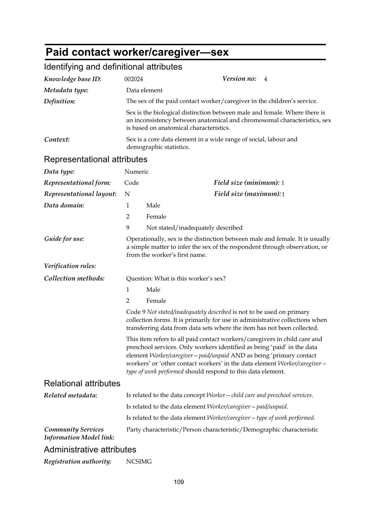## **Paid contact worker/caregiver—sex**

| Knowledge base ID:                                          | 002024                                                                                                                                                                                                                           |                                                                                                                                                                                                                                                                                                                                                                           | Version no:             | 4 |
|-------------------------------------------------------------|----------------------------------------------------------------------------------------------------------------------------------------------------------------------------------------------------------------------------------|---------------------------------------------------------------------------------------------------------------------------------------------------------------------------------------------------------------------------------------------------------------------------------------------------------------------------------------------------------------------------|-------------------------|---|
| Metadata type:                                              | Data element                                                                                                                                                                                                                     |                                                                                                                                                                                                                                                                                                                                                                           |                         |   |
| Definition:                                                 | The sex of the paid contact worker/caregiver in the children's service.                                                                                                                                                          |                                                                                                                                                                                                                                                                                                                                                                           |                         |   |
|                                                             | Sex is the biological distinction between male and female. Where there is<br>an inconsistency between anatomical and chromosomal characteristics, sex<br>is based on anatomical characteristics.                                 |                                                                                                                                                                                                                                                                                                                                                                           |                         |   |
| Context:                                                    | Sex is a core data element in a wide range of social, labour and<br>demographic statistics.                                                                                                                                      |                                                                                                                                                                                                                                                                                                                                                                           |                         |   |
| Representational attributes                                 |                                                                                                                                                                                                                                  |                                                                                                                                                                                                                                                                                                                                                                           |                         |   |
| Data type:                                                  | Numeric                                                                                                                                                                                                                          |                                                                                                                                                                                                                                                                                                                                                                           |                         |   |
| Representational form:                                      | Code                                                                                                                                                                                                                             |                                                                                                                                                                                                                                                                                                                                                                           | Field size (minimum): 1 |   |
| Representational layout:                                    | N                                                                                                                                                                                                                                |                                                                                                                                                                                                                                                                                                                                                                           | Field size (maximum):1  |   |
| Data domain:                                                | $\mathbf{1}$                                                                                                                                                                                                                     | Male                                                                                                                                                                                                                                                                                                                                                                      |                         |   |
|                                                             | $\overline{2}$                                                                                                                                                                                                                   | Female                                                                                                                                                                                                                                                                                                                                                                    |                         |   |
|                                                             | 9                                                                                                                                                                                                                                | Not stated/inadequately described                                                                                                                                                                                                                                                                                                                                         |                         |   |
| Guide for use:                                              | Operationally, sex is the distinction between male and female. It is usually<br>a simple matter to infer the sex of the respondent through observation, or<br>from the worker's first name.                                      |                                                                                                                                                                                                                                                                                                                                                                           |                         |   |
| Verification rules:                                         |                                                                                                                                                                                                                                  |                                                                                                                                                                                                                                                                                                                                                                           |                         |   |
| Collection methods:                                         | Question: What is this worker's sex?                                                                                                                                                                                             |                                                                                                                                                                                                                                                                                                                                                                           |                         |   |
|                                                             | $\mathbf{1}$                                                                                                                                                                                                                     | Male                                                                                                                                                                                                                                                                                                                                                                      |                         |   |
|                                                             | 2                                                                                                                                                                                                                                | Female                                                                                                                                                                                                                                                                                                                                                                    |                         |   |
|                                                             | Code 9 Not stated/inadequately described is not to be used on primary<br>collection forms. It is primarily for use in administrative collections when<br>transferring data from data sets where the item has not been collected. |                                                                                                                                                                                                                                                                                                                                                                           |                         |   |
|                                                             |                                                                                                                                                                                                                                  | This item refers to all paid contact workers/caregivers in child care and<br>preschool services. Only workers identified as being 'paid' in the data<br>element Worker/caregiver - paid/unpaid AND as being 'primary contact<br>workers' or 'other contact workers' in the data element Worker/caregiver -<br>type of work performed should respond to this data element. |                         |   |
| <b>Relational attributes</b>                                |                                                                                                                                                                                                                                  |                                                                                                                                                                                                                                                                                                                                                                           |                         |   |
| Related metadata:                                           |                                                                                                                                                                                                                                  | Is related to the data concept Worker - child care and preschool services.                                                                                                                                                                                                                                                                                                |                         |   |
|                                                             | Is related to the data element Worker/caregiver - paid/unpaid.                                                                                                                                                                   |                                                                                                                                                                                                                                                                                                                                                                           |                         |   |
|                                                             |                                                                                                                                                                                                                                  | Is related to the data element Worker/caregiver - type of work performed.                                                                                                                                                                                                                                                                                                 |                         |   |
| <b>Community Services</b><br><b>Information Model link:</b> |                                                                                                                                                                                                                                  | Party characteristic/Person characteristic/Demographic characteristic                                                                                                                                                                                                                                                                                                     |                         |   |
| Administrative attributes                                   |                                                                                                                                                                                                                                  |                                                                                                                                                                                                                                                                                                                                                                           |                         |   |
| Registration authority:                                     | <b>NCSIMG</b>                                                                                                                                                                                                                    |                                                                                                                                                                                                                                                                                                                                                                           |                         |   |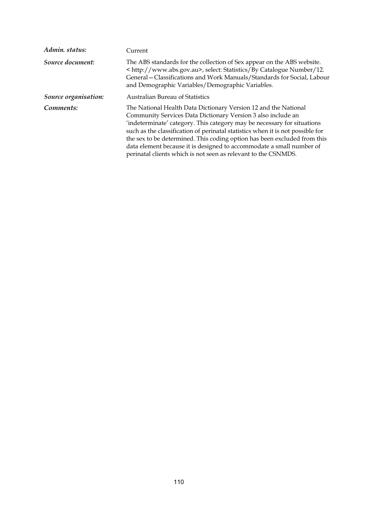| Admin. status:       | Current                                                                                                                                                                                                                                                                                                                                                                                                                                                                                                            |
|----------------------|--------------------------------------------------------------------------------------------------------------------------------------------------------------------------------------------------------------------------------------------------------------------------------------------------------------------------------------------------------------------------------------------------------------------------------------------------------------------------------------------------------------------|
| Source document:     | The ABS standards for the collection of Sex appear on the ABS website.<br>< http://www.abs.gov.au>, select: Statistics/By Catalogue Number/12.<br>General – Classifications and Work Manuals/Standards for Social, Labour<br>and Demographic Variables/Demographic Variables.                                                                                                                                                                                                                                      |
| Source organisation: | <b>Australian Bureau of Statistics</b>                                                                                                                                                                                                                                                                                                                                                                                                                                                                             |
| Comments:            | The National Health Data Dictionary Version 12 and the National<br>Community Services Data Dictionary Version 3 also include an<br>'indeterminate' category. This category may be necessary for situations<br>such as the classification of perinatal statistics when it is not possible for<br>the sex to be determined. This coding option has been excluded from this<br>data element because it is designed to accommodate a small number of<br>perinatal clients which is not seen as relevant to the CSNMDS. |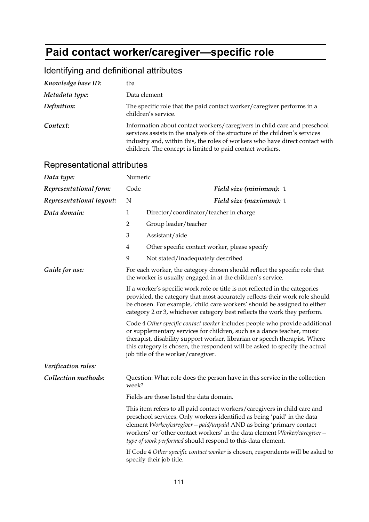# **Paid contact worker/caregiver—specific role**

## Identifying and definitional attributes

| Knowledge base ID: | tba                                                                                                                                                                                                                                                                                                   |
|--------------------|-------------------------------------------------------------------------------------------------------------------------------------------------------------------------------------------------------------------------------------------------------------------------------------------------------|
| Metadata type:     | Data element                                                                                                                                                                                                                                                                                          |
| Definition:        | The specific role that the paid contact worker/caregiver performs in a<br>children's service.                                                                                                                                                                                                         |
| Context:           | Information about contact workers/caregivers in child care and preschool<br>services assists in the analysis of the structure of the children's services<br>industry and, within this, the roles of workers who have direct contact with<br>children. The concept is limited to paid contact workers. |

| Data type:               | Numeric                                                                                                                                                                                                                                                                                                              |                                                                                                                                                                                                                                                                                                                                                                           |
|--------------------------|----------------------------------------------------------------------------------------------------------------------------------------------------------------------------------------------------------------------------------------------------------------------------------------------------------------------|---------------------------------------------------------------------------------------------------------------------------------------------------------------------------------------------------------------------------------------------------------------------------------------------------------------------------------------------------------------------------|
| Representational form:   | Code                                                                                                                                                                                                                                                                                                                 | Field size (minimum): 1                                                                                                                                                                                                                                                                                                                                                   |
| Representational layout: | N                                                                                                                                                                                                                                                                                                                    | Field size (maximum): 1                                                                                                                                                                                                                                                                                                                                                   |
| Data domain:             | $\mathbf{1}$                                                                                                                                                                                                                                                                                                         | Director/coordinator/teacher in charge                                                                                                                                                                                                                                                                                                                                    |
|                          | $\overline{2}$                                                                                                                                                                                                                                                                                                       | Group leader/teacher                                                                                                                                                                                                                                                                                                                                                      |
|                          | 3                                                                                                                                                                                                                                                                                                                    | Assistant/aide                                                                                                                                                                                                                                                                                                                                                            |
|                          | 4                                                                                                                                                                                                                                                                                                                    | Other specific contact worker, please specify                                                                                                                                                                                                                                                                                                                             |
|                          | 9                                                                                                                                                                                                                                                                                                                    | Not stated/inadequately described                                                                                                                                                                                                                                                                                                                                         |
| Guide for use:           |                                                                                                                                                                                                                                                                                                                      | For each worker, the category chosen should reflect the specific role that<br>the worker is usually engaged in at the children's service.                                                                                                                                                                                                                                 |
|                          | If a worker's specific work role or title is not reflected in the categories<br>provided, the category that most accurately reflects their work role should<br>be chosen. For example, 'child care workers' should be assigned to either<br>category 2 or 3, whichever category best reflects the work they perform. |                                                                                                                                                                                                                                                                                                                                                                           |
|                          |                                                                                                                                                                                                                                                                                                                      | Code 4 Other specific contact worker includes people who provide additional<br>or supplementary services for children, such as a dance teacher, music<br>therapist, disability support worker, librarian or speech therapist. Where<br>this category is chosen, the respondent will be asked to specify the actual<br>job title of the worker/caregiver.                  |
| Verification rules:      |                                                                                                                                                                                                                                                                                                                      |                                                                                                                                                                                                                                                                                                                                                                           |
| Collection methods:      | week?                                                                                                                                                                                                                                                                                                                | Question: What role does the person have in this service in the collection                                                                                                                                                                                                                                                                                                |
|                          |                                                                                                                                                                                                                                                                                                                      | Fields are those listed the data domain.                                                                                                                                                                                                                                                                                                                                  |
|                          |                                                                                                                                                                                                                                                                                                                      | This item refers to all paid contact workers/caregivers in child care and<br>preschool services. Only workers identified as being 'paid' in the data<br>element Worker/caregiver - paid/unpaid AND as being 'primary contact<br>workers' or 'other contact workers' in the data element Worker/caregiver -<br>type of work performed should respond to this data element. |
|                          |                                                                                                                                                                                                                                                                                                                      | If Code 4 Other specific contact worker is chosen, respondents will be asked to<br>specify their job title.                                                                                                                                                                                                                                                               |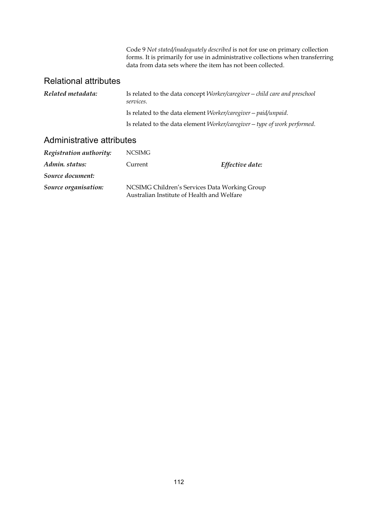Code 9 *Not stated/inadequately described* is not for use on primary collection forms. It is primarily for use in administrative collections when transferring data from data sets where the item has not been collected.

#### Relational attributes

| Related metadata: | Is related to the data concept Worker/caregiver – child care and preschool<br>services. |
|-------------------|-----------------------------------------------------------------------------------------|
|                   | Is related to the data element Worker/caregiver - paid/unpaid.                          |
|                   | Is related to the data element Worker/caregiver - type of work performed.               |
|                   |                                                                                         |

| Registration authority: | <b>NCSIMG</b>                                                                               |                 |
|-------------------------|---------------------------------------------------------------------------------------------|-----------------|
| Admin. status:          | Current                                                                                     | Effective date: |
| Source document:        |                                                                                             |                 |
| Source organisation:    | NCSIMG Children's Services Data Working Group<br>Australian Institute of Health and Welfare |                 |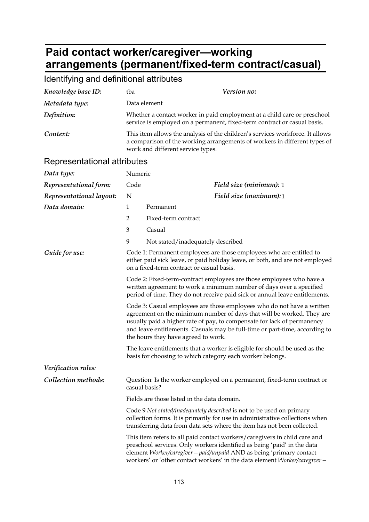## **Paid contact worker/caregiver—working arrangements (permanent/fixed-term contract/casual)**

#### Identifying and definitional attributes *Knowledge base ID:* tba *Version no: Metadata type:* Data element *Definition:* Whether a contact worker in paid employment at a child care or preschool service is employed on a permanent, fixed-term contract or casual basis. *Context:* This item allows the analysis of the children's services workforce. It allows a comparison of the working arrangements of workers in different types of work and different service types. Representational attributes *Data type:* Numeric *Representational form:* Code *Field size (minimum):* 1 *Representational layout:* N *Field size (maximum):*1 *Data domain:* 1 Permanent 2 Fixed-term contract 3 Casual 9 Not stated/inadequately described *Guide for use:* Code 1: Permanent employees are those employees who are entitled to either paid sick leave, or paid holiday leave, or both, and are not employed on a fixed-term contract or casual basis. Code 2: Fixed-term-contract employees are those employees who have a written agreement to work a minimum number of days over a specified period of time. They do not receive paid sick or annual leave entitlements. Code 3: Casual employees are those employees who do not have a written agreement on the minimum number of days that will be worked. They are usually paid a higher rate of pay, to compensate for lack of permanency and leave entitlements. Casuals may be full-time or part-time, according to the hours they have agreed to work. The leave entitlements that a worker is eligible for should be used as the basis for choosing to which category each worker belongs. *Verification rules: Collection methods:* Question: Is the worker employed on a permanent, fixed-term contract or casual basis? Fields are those listed in the data domain. Code 9 *Not stated/inadequately described* is not to be used on primary collection forms. It is primarily for use in administrative collections when transferring data from data sets where the item has not been collected. This item refers to all paid contact workers/caregivers in child care and preschool services. Only workers identified as being 'paid' in the data element *Worker/caregiver—paid/unpaid* AND as being 'primary contact

workers' or 'other contact workers' in the data element *Worker/caregiver—*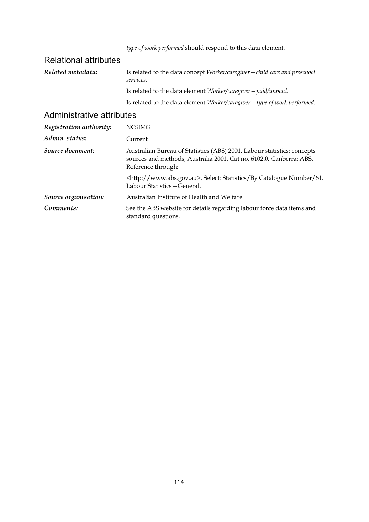*type of work performed* should respond to this data element.

### Relational attributes

| Related metadata: | Is related to the data concept <i>Worker/caregiver</i> – <i>child care and preschool</i><br>services. |
|-------------------|-------------------------------------------------------------------------------------------------------|
|                   | Is related to the data element Worker/caregiver - paid/unpaid.                                        |
|                   | Is related to the data element Worker/caregiver - type of work performed.                             |

| Registration authority: | <b>NCSIMG</b>                                                                                                                                                        |
|-------------------------|----------------------------------------------------------------------------------------------------------------------------------------------------------------------|
| Admin. status:          | Current                                                                                                                                                              |
| Source document:        | Australian Bureau of Statistics (ABS) 2001. Labour statistics: concepts<br>sources and methods, Australia 2001. Cat no. 6102.0. Canberra: ABS.<br>Reference through: |
|                         | <http: www.abs.gov.au="">. Select: Statistics/By Catalogue Number/61.<br/>Labour Statistics – General.</http:>                                                       |
| Source organisation:    | Australian Institute of Health and Welfare                                                                                                                           |
| Comments:               | See the ABS website for details regarding labour force data items and<br>standard questions.                                                                         |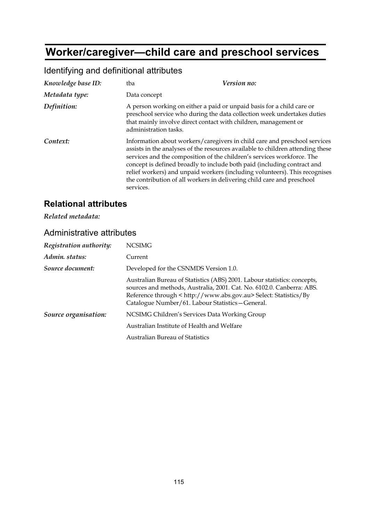# **Worker/caregiver—child care and preschool services**

| Knowledge base ID: | tba                                                                                                                                                               | Version no:                                                                                                                                                                                                                                                                                                                                                                                    |
|--------------------|-------------------------------------------------------------------------------------------------------------------------------------------------------------------|------------------------------------------------------------------------------------------------------------------------------------------------------------------------------------------------------------------------------------------------------------------------------------------------------------------------------------------------------------------------------------------------|
| Metadata type:     | Data concept                                                                                                                                                      |                                                                                                                                                                                                                                                                                                                                                                                                |
| Definition:        | A person working on either a paid or unpaid basis for a child care or<br>that mainly involve direct contact with children, management or<br>administration tasks. | preschool service who during the data collection week undertakes duties                                                                                                                                                                                                                                                                                                                        |
| Context:           | the contribution of all workers in delivering child care and preschool<br>services.                                                                               | Information about workers/caregivers in child care and preschool services<br>assists in the analyses of the resources available to children attending these<br>services and the composition of the children's services workforce. The<br>concept is defined broadly to include both paid (including contract and<br>relief workers) and unpaid workers (including volunteers). This recognises |

#### Identifying and definitional attributes

### **Relational attributes**

*Related metadata:* 

| Registration authority: | <b>NCSIMG</b>                                                                                                                                                                                                                                                              |  |
|-------------------------|----------------------------------------------------------------------------------------------------------------------------------------------------------------------------------------------------------------------------------------------------------------------------|--|
| Admin. status:          | Current                                                                                                                                                                                                                                                                    |  |
| Source document:        | Developed for the CSNMDS Version 1.0.                                                                                                                                                                                                                                      |  |
|                         | Australian Bureau of Statistics (ABS) 2001. Labour statistics: concepts,<br>sources and methods, Australia, 2001. Cat. No. 6102.0. Canberra: ABS.<br>Reference through < http://www.abs.gov.au> Select: Statistics/By<br>Catalogue Number/61. Labour Statistics - General. |  |
| Source organisation:    | NCSIMG Children's Services Data Working Group                                                                                                                                                                                                                              |  |
|                         | Australian Institute of Health and Welfare                                                                                                                                                                                                                                 |  |
|                         | <b>Australian Bureau of Statistics</b>                                                                                                                                                                                                                                     |  |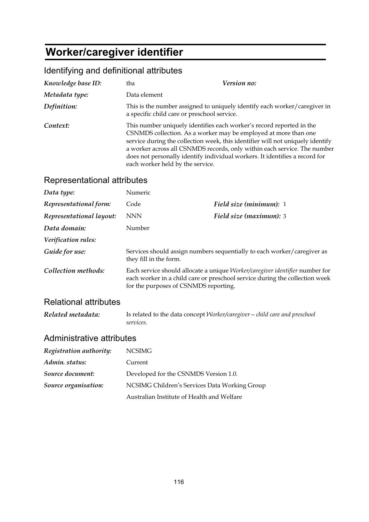# **Worker/caregiver identifier**

## Identifying and definitional attributes

| Knowledge base ID: | tba                                         | Version no:                                                                                                                                                                                                                                                                                                                                                                          |
|--------------------|---------------------------------------------|--------------------------------------------------------------------------------------------------------------------------------------------------------------------------------------------------------------------------------------------------------------------------------------------------------------------------------------------------------------------------------------|
| Metadata type:     | Data element                                |                                                                                                                                                                                                                                                                                                                                                                                      |
| Definition:        | a specific child care or preschool service. | This is the number assigned to uniquely identify each worker/caregiver in                                                                                                                                                                                                                                                                                                            |
| Context:           | each worker held by the service.            | This number uniquely identifies each worker's record reported in the<br>CSNMDS collection. As a worker may be employed at more than one<br>service during the collection week, this identifier will not uniquely identify<br>a worker across all CSNMDS records, only within each service. The number<br>does not personally identify individual workers. It identifies a record for |

### Representational attributes

| Data type:               | Numeric                               |                                                                                                                                                             |
|--------------------------|---------------------------------------|-------------------------------------------------------------------------------------------------------------------------------------------------------------|
| Representational form:   | Code                                  | Field size (minimum): 1                                                                                                                                     |
| Representational layout: | <b>NNN</b>                            | Field size (maximum): 3                                                                                                                                     |
| Data domain:             | Number                                |                                                                                                                                                             |
| Verification rules:      |                                       |                                                                                                                                                             |
| Guide for use:           | they fill in the form.                | Services should assign numbers sequentially to each worker/caregiver as                                                                                     |
| Collection methods:      | for the purposes of CSNMDS reporting. | Each service should allocate a unique Worker/caregiver identifier number for<br>each worker in a child care or preschool service during the collection week |

#### Relational attributes

| Related metadata: | Is related to the data concept Worker/caregiver - child care and preschool |
|-------------------|----------------------------------------------------------------------------|
|                   | services.                                                                  |

| Registration authority: | <b>NCSIMG</b>                                 |
|-------------------------|-----------------------------------------------|
| Admin. status:          | Current                                       |
| Source document:        | Developed for the CSNMDS Version 1.0.         |
| Source organisation:    | NCSIMG Children's Services Data Working Group |
|                         | Australian Institute of Health and Welfare    |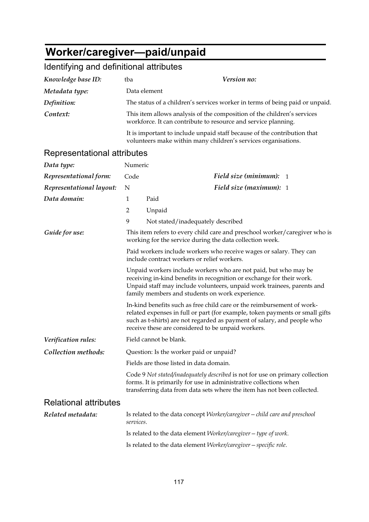# **Worker/caregiver—paid/unpaid**

| Knowledge base ID:           | tba                                                                                                                                       | Version no:                                                                                                                                                                                                                                                                             |  |
|------------------------------|-------------------------------------------------------------------------------------------------------------------------------------------|-----------------------------------------------------------------------------------------------------------------------------------------------------------------------------------------------------------------------------------------------------------------------------------------|--|
| Metadata type:               | Data element                                                                                                                              |                                                                                                                                                                                                                                                                                         |  |
| Definition:                  | The status of a children's services worker in terms of being paid or unpaid.                                                              |                                                                                                                                                                                                                                                                                         |  |
| Context:                     | This item allows analysis of the composition of the children's services<br>workforce. It can contribute to resource and service planning. |                                                                                                                                                                                                                                                                                         |  |
|                              |                                                                                                                                           | It is important to include unpaid staff because of the contribution that<br>volunteers make within many children's services organisations.                                                                                                                                              |  |
| Representational attributes  |                                                                                                                                           |                                                                                                                                                                                                                                                                                         |  |
| Data type:                   | Numeric                                                                                                                                   |                                                                                                                                                                                                                                                                                         |  |
| Representational form:       | Code                                                                                                                                      | Field size (minimum): $1$                                                                                                                                                                                                                                                               |  |
| Representational layout:     | N                                                                                                                                         | Field size (maximum): 1                                                                                                                                                                                                                                                                 |  |
| Data domain:                 | 1                                                                                                                                         | Paid                                                                                                                                                                                                                                                                                    |  |
|                              | 2                                                                                                                                         | Unpaid                                                                                                                                                                                                                                                                                  |  |
|                              | 9                                                                                                                                         | Not stated/inadequately described                                                                                                                                                                                                                                                       |  |
| Guide for use:               | This item refers to every child care and preschool worker/caregiver who is<br>working for the service during the data collection week.    |                                                                                                                                                                                                                                                                                         |  |
|                              | Paid workers include workers who receive wages or salary. They can<br>include contract workers or relief workers.                         |                                                                                                                                                                                                                                                                                         |  |
|                              |                                                                                                                                           | Unpaid workers include workers who are not paid, but who may be<br>receiving in-kind benefits in recognition or exchange for their work.<br>Unpaid staff may include volunteers, unpaid work trainees, parents and<br>family members and students on work experience.                   |  |
|                              |                                                                                                                                           | In-kind benefits such as free child care or the reimbursement of work-<br>related expenses in full or part (for example, token payments or small gifts<br>such as t-shirts) are not regarded as payment of salary, and people who<br>receive these are considered to be unpaid workers. |  |
| Verification rules:          | Field cannot be blank.                                                                                                                    |                                                                                                                                                                                                                                                                                         |  |
| Collection methods:          |                                                                                                                                           | Question: Is the worker paid or unpaid?                                                                                                                                                                                                                                                 |  |
|                              |                                                                                                                                           | Fields are those listed in data domain.                                                                                                                                                                                                                                                 |  |
|                              |                                                                                                                                           | Code 9 Not stated/inadequately described is not for use on primary collection<br>forms. It is primarily for use in administrative collections when<br>transferring data from data sets where the item has not been collected.                                                           |  |
| <b>Relational attributes</b> |                                                                                                                                           |                                                                                                                                                                                                                                                                                         |  |
| Related metadata:            | services.                                                                                                                                 | Is related to the data concept Worker/caregiver - child care and preschool                                                                                                                                                                                                              |  |
|                              | Is related to the data element Worker/caregiver - type of work.                                                                           |                                                                                                                                                                                                                                                                                         |  |
|                              |                                                                                                                                           | Is related to the data element Worker/caregiver - specific role.                                                                                                                                                                                                                        |  |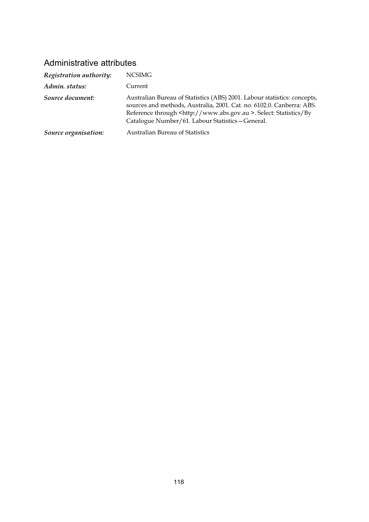| Registration authority: | NCSIMG                                                                                                                                                                                                                                                                              |
|-------------------------|-------------------------------------------------------------------------------------------------------------------------------------------------------------------------------------------------------------------------------------------------------------------------------------|
| Admin. status:          | Current                                                                                                                                                                                                                                                                             |
| Source document:        | Australian Bureau of Statistics (ABS) 2001. Labour statistics: concepts,<br>sources and methods, Australia, 2001. Cat. no. 6102.0. Canberra: ABS.<br>Reference through <http: www.abs.gov.au="">. Select: Statistics/By<br/>Catalogue Number/61. Labour Statistics-General.</http:> |
| Source organisation:    | <b>Australian Bureau of Statistics</b>                                                                                                                                                                                                                                              |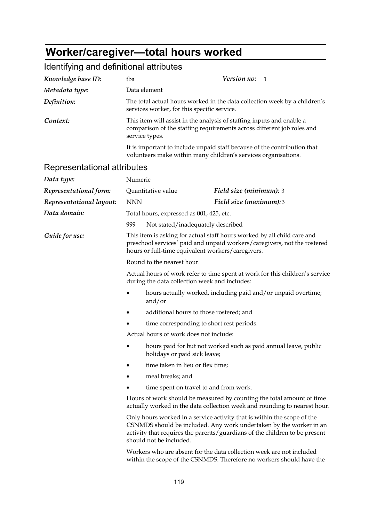# **Worker/caregiver—total hours worked**

| Knowledge base ID:          | Version no:<br>tba<br>1                                                                                                                                                                                                                                |                                                                                                                                              |                         |  |
|-----------------------------|--------------------------------------------------------------------------------------------------------------------------------------------------------------------------------------------------------------------------------------------------------|----------------------------------------------------------------------------------------------------------------------------------------------|-------------------------|--|
| Metadata type:              | Data element                                                                                                                                                                                                                                           |                                                                                                                                              |                         |  |
| Definition:                 | The total actual hours worked in the data collection week by a children's<br>services worker, for this specific service.                                                                                                                               |                                                                                                                                              |                         |  |
| Context:                    | This item will assist in the analysis of staffing inputs and enable a<br>comparison of the staffing requirements across different job roles and<br>service types.                                                                                      |                                                                                                                                              |                         |  |
|                             |                                                                                                                                                                                                                                                        | It is important to include unpaid staff because of the contribution that<br>volunteers make within many children's services organisations.   |                         |  |
| Representational attributes |                                                                                                                                                                                                                                                        |                                                                                                                                              |                         |  |
| Data type:                  | Numeric                                                                                                                                                                                                                                                |                                                                                                                                              |                         |  |
| Representational form:      |                                                                                                                                                                                                                                                        | Quantitative value                                                                                                                           | Field size (minimum): 3 |  |
| Representational layout:    | <b>NNN</b>                                                                                                                                                                                                                                             |                                                                                                                                              | Field size (maximum):3  |  |
| Data domain:                |                                                                                                                                                                                                                                                        | Total hours, expressed as 001, 425, etc.                                                                                                     |                         |  |
|                             | 999                                                                                                                                                                                                                                                    | Not stated/inadequately described                                                                                                            |                         |  |
| Guide for use:              | This item is asking for actual staff hours worked by all child care and<br>preschool services' paid and unpaid workers/caregivers, not the rostered<br>hours or full-time equivalent workers/caregivers.                                               |                                                                                                                                              |                         |  |
|                             | Round to the nearest hour.                                                                                                                                                                                                                             |                                                                                                                                              |                         |  |
|                             | Actual hours of work refer to time spent at work for this children's service<br>during the data collection week and includes:                                                                                                                          |                                                                                                                                              |                         |  |
|                             |                                                                                                                                                                                                                                                        | hours actually worked, including paid and/or unpaid overtime;<br>and/or                                                                      |                         |  |
|                             |                                                                                                                                                                                                                                                        | additional hours to those rostered; and                                                                                                      |                         |  |
|                             | time corresponding to short rest periods.<br>Actual hours of work does not include:                                                                                                                                                                    |                                                                                                                                              |                         |  |
|                             |                                                                                                                                                                                                                                                        |                                                                                                                                              |                         |  |
|                             |                                                                                                                                                                                                                                                        | hours paid for but not worked such as paid annual leave, public<br>holidays or paid sick leave;                                              |                         |  |
|                             |                                                                                                                                                                                                                                                        | time taken in lieu or flex time;                                                                                                             |                         |  |
|                             |                                                                                                                                                                                                                                                        | meal breaks; and                                                                                                                             |                         |  |
|                             |                                                                                                                                                                                                                                                        | time spent on travel to and from work.                                                                                                       |                         |  |
|                             | Hours of work should be measured by counting the total amount of time<br>actually worked in the data collection week and rounding to nearest hour.                                                                                                     |                                                                                                                                              |                         |  |
|                             | Only hours worked in a service activity that is within the scope of the<br>CSNMDS should be included. Any work undertaken by the worker in an<br>activity that requires the parents/guardians of the children to be present<br>should not be included. |                                                                                                                                              |                         |  |
|                             |                                                                                                                                                                                                                                                        | Workers who are absent for the data collection week are not included<br>within the scope of the CSNMDS. Therefore no workers should have the |                         |  |
|                             |                                                                                                                                                                                                                                                        | 119                                                                                                                                          |                         |  |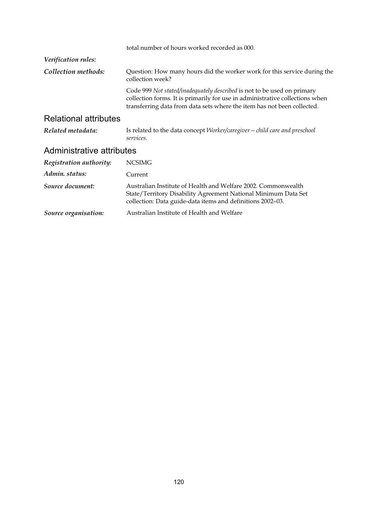|                              | total number of hours worked recorded as 000.                                                                                                                                                                                      |
|------------------------------|------------------------------------------------------------------------------------------------------------------------------------------------------------------------------------------------------------------------------------|
| Verification rules:          |                                                                                                                                                                                                                                    |
| Collection methods:          | Question: How many hours did the worker work for this service during the<br>collection week?                                                                                                                                       |
|                              | Code 999 Not stated/inadequately described is not to be used on primary<br>collection forms. It is primarily for use in administrative collections when<br>transferring data from data sets where the item has not been collected. |
| <b>Relational attributes</b> |                                                                                                                                                                                                                                    |
| Related metadata:            | Is related to the data concept <i>Worker/caregiver</i> – <i>child care and preschool</i><br>services.                                                                                                                              |
| Administrative attributes    |                                                                                                                                                                                                                                    |
| Registration authority:      | <b>NCSIMG</b>                                                                                                                                                                                                                      |
| Admin. status:               | Current                                                                                                                                                                                                                            |
| Source document:             | Australian Institute of Health and Welfare 2002. Commonwealth<br>State/Territory Disability Agreement National Minimum Data Set<br>collection: Data guide-data items and definitions 2002-03.                                      |
| Source organisation:         | Australian Institute of Health and Welfare                                                                                                                                                                                         |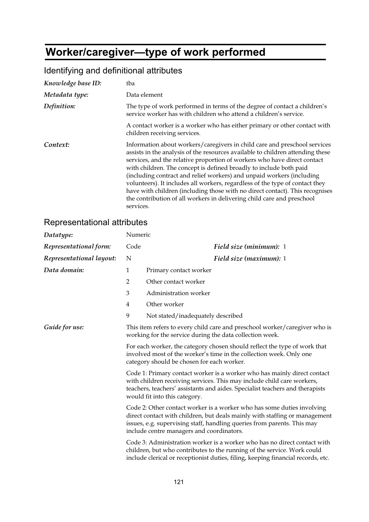# **Worker/caregiver—type of work performed**

## Identifying and definitional attributes

| Knowledge base ID: | tba                                                                                                                                                                                                                                                                                                                                                                                                                                                                                                                                                                                                                                           |
|--------------------|-----------------------------------------------------------------------------------------------------------------------------------------------------------------------------------------------------------------------------------------------------------------------------------------------------------------------------------------------------------------------------------------------------------------------------------------------------------------------------------------------------------------------------------------------------------------------------------------------------------------------------------------------|
| Metadata type:     | Data element                                                                                                                                                                                                                                                                                                                                                                                                                                                                                                                                                                                                                                  |
| Definition:        | The type of work performed in terms of the degree of contact a children's<br>service worker has with children who attend a children's service.                                                                                                                                                                                                                                                                                                                                                                                                                                                                                                |
|                    | A contact worker is a worker who has either primary or other contact with<br>children receiving services.                                                                                                                                                                                                                                                                                                                                                                                                                                                                                                                                     |
| Context:           | Information about workers/caregivers in child care and preschool services<br>assists in the analysis of the resources available to children attending these<br>services, and the relative proportion of workers who have direct contact<br>with children. The concept is defined broadly to include both paid<br>(including contract and relief workers) and unpaid workers (including<br>volunteers). It includes all workers, regardless of the type of contact they<br>have with children (including those with no direct contact). This recognises<br>the contribution of all workers in delivering child care and preschool<br>services. |

| Datatype:                | Numeric        |                                                                                                                                                                                                                                                                              |
|--------------------------|----------------|------------------------------------------------------------------------------------------------------------------------------------------------------------------------------------------------------------------------------------------------------------------------------|
| Representational form:   | Code           | Field size (minimum): 1                                                                                                                                                                                                                                                      |
| Representational layout: | N              | Field size (maximum): 1                                                                                                                                                                                                                                                      |
| Data domain:             | $\mathbf{1}$   | Primary contact worker                                                                                                                                                                                                                                                       |
|                          | $\overline{2}$ | Other contact worker                                                                                                                                                                                                                                                         |
|                          | 3              | Administration worker                                                                                                                                                                                                                                                        |
|                          | 4              | Other worker                                                                                                                                                                                                                                                                 |
|                          | 9              | Not stated/inadequately described                                                                                                                                                                                                                                            |
| Guide for use:           |                | This item refers to every child care and preschool worker/caregiver who is<br>working for the service during the data collection week.                                                                                                                                       |
|                          |                | For each worker, the category chosen should reflect the type of work that<br>involved most of the worker's time in the collection week. Only one<br>category should be chosen for each worker.                                                                               |
|                          |                | Code 1: Primary contact worker is a worker who has mainly direct contact<br>with children receiving services. This may include child care workers,<br>teachers, teachers' assistants and aides. Specialist teachers and therapists<br>would fit into this category.          |
|                          |                | Code 2: Other contact worker is a worker who has some duties involving<br>direct contact with children, but deals mainly with staffing or management<br>issues, e.g. supervising staff, handling queries from parents. This may<br>include centre managers and coordinators. |
|                          |                | Code 3: Administration worker is a worker who has no direct contact with<br>children, but who contributes to the running of the service. Work could<br>include clerical or receptionist duties, filing, keeping financial records, etc.                                      |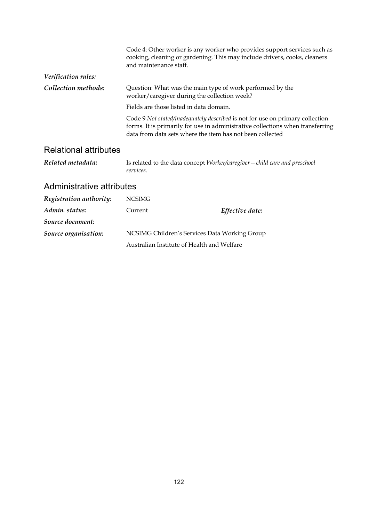|                     | Code 4: Other worker is any worker who provides support services such as<br>cooking, cleaning or gardening. This may include drivers, cooks, cleaners<br>and maintenance staff.                                              |  |
|---------------------|------------------------------------------------------------------------------------------------------------------------------------------------------------------------------------------------------------------------------|--|
| Verification rules: |                                                                                                                                                                                                                              |  |
| Collection methods: | Question: What was the main type of work performed by the<br>worker/caregiver during the collection week?                                                                                                                    |  |
|                     | Fields are those listed in data domain.                                                                                                                                                                                      |  |
|                     | Code 9 Not stated/inadequately described is not for use on primary collection<br>forms. It is primarily for use in administrative collections when transferring<br>data from data sets where the item has not been collected |  |
|                     |                                                                                                                                                                                                                              |  |

#### Relational attributes

*Related metadata:* Is related to the data concept *Worker/caregiver—child care and preschool services*.

| Registration authority: | NCSIMG                                        |                 |
|-------------------------|-----------------------------------------------|-----------------|
| Admin. status:          | Current                                       | Effective date: |
| Source document:        |                                               |                 |
| Source organisation:    | NCSIMG Children's Services Data Working Group |                 |
|                         | Australian Institute of Health and Welfare    |                 |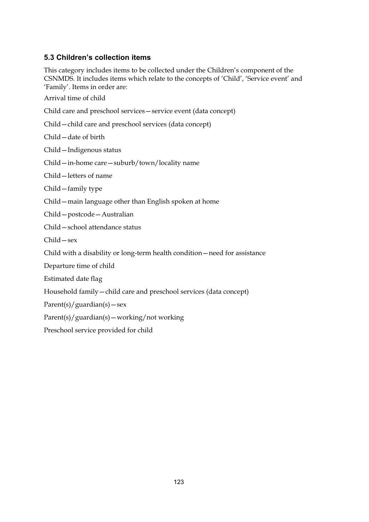#### **5.3 Children's collection items**

This category includes items to be collected under the Children's component of the CSNMDS. It includes items which relate to the concepts of 'Child', 'Service event' and 'Family'. Items in order are:

Arrival time of child

Child care and preschool services—service event (data concept)

Child—child care and preschool services (data concept)

Child—date of birth

Child—Indigenous status

Child—in-home care—suburb/town/locality name

Child—letters of name

Child—family type

Child—main language other than English spoken at home

Child—postcode—Australian

Child—school attendance status

Child—sex

Child with a disability or long-term health condition—need for assistance

Departure time of child

Estimated date flag

Household family—child care and preschool services (data concept)

 $Parent(s)/guardian(s) - sex$ 

Parent(s)/guardian(s)—working/not working

Preschool service provided for child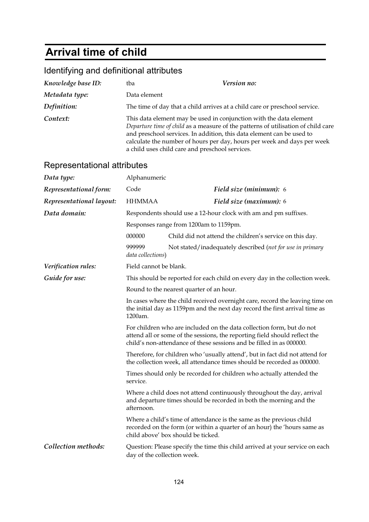# **Arrival time of child**

| Knowledge base ID:          | tba                                                                                                                                                                                                                                                                                                                                                            | Version no:                                                                                                                                                                                                                 |  |  |
|-----------------------------|----------------------------------------------------------------------------------------------------------------------------------------------------------------------------------------------------------------------------------------------------------------------------------------------------------------------------------------------------------------|-----------------------------------------------------------------------------------------------------------------------------------------------------------------------------------------------------------------------------|--|--|
| Metadata type:              | Data element                                                                                                                                                                                                                                                                                                                                                   |                                                                                                                                                                                                                             |  |  |
| Definition:                 |                                                                                                                                                                                                                                                                                                                                                                | The time of day that a child arrives at a child care or preschool service.                                                                                                                                                  |  |  |
| Context:                    | This data element may be used in conjunction with the data element<br>Departure time of child as a measure of the patterns of utilisation of child care<br>and preschool services. In addition, this data element can be used to<br>calculate the number of hours per day, hours per week and days per week<br>a child uses child care and preschool services. |                                                                                                                                                                                                                             |  |  |
| Representational attributes |                                                                                                                                                                                                                                                                                                                                                                |                                                                                                                                                                                                                             |  |  |
| Data type:                  | Alphanumeric                                                                                                                                                                                                                                                                                                                                                   |                                                                                                                                                                                                                             |  |  |
| Representational form:      | Code                                                                                                                                                                                                                                                                                                                                                           | Field size (minimum): 6                                                                                                                                                                                                     |  |  |
| Representational layout:    | <b>HHMMAA</b>                                                                                                                                                                                                                                                                                                                                                  | Field size (maximum): 6                                                                                                                                                                                                     |  |  |
| Data domain:                |                                                                                                                                                                                                                                                                                                                                                                | Respondents should use a 12-hour clock with am and pm suffixes.                                                                                                                                                             |  |  |
|                             | Responses range from 1200am to 1159pm.                                                                                                                                                                                                                                                                                                                         |                                                                                                                                                                                                                             |  |  |
|                             | 000000                                                                                                                                                                                                                                                                                                                                                         | Child did not attend the children's service on this day.                                                                                                                                                                    |  |  |
|                             | 999999<br>data collections)                                                                                                                                                                                                                                                                                                                                    | Not stated/inadequately described (not for use in primary                                                                                                                                                                   |  |  |
| Verification rules:         | Field cannot be blank.                                                                                                                                                                                                                                                                                                                                         |                                                                                                                                                                                                                             |  |  |
| Guide for use:              |                                                                                                                                                                                                                                                                                                                                                                | This should be reported for each child on every day in the collection week.                                                                                                                                                 |  |  |
|                             |                                                                                                                                                                                                                                                                                                                                                                | Round to the nearest quarter of an hour.                                                                                                                                                                                    |  |  |
|                             | 1200am.                                                                                                                                                                                                                                                                                                                                                        | In cases where the child received overnight care, record the leaving time on<br>the initial day as 1159pm and the next day record the first arrival time as                                                                 |  |  |
|                             |                                                                                                                                                                                                                                                                                                                                                                | For children who are included on the data collection form, but do not<br>attend all or some of the sessions, the reporting field should reflect the<br>child's non-attendance of these sessions and be filled in as 000000. |  |  |
|                             |                                                                                                                                                                                                                                                                                                                                                                | Therefore, for children who 'usually attend', but in fact did not attend for<br>the collection week, all attendance times should be recorded as 000000.                                                                     |  |  |
|                             | service.                                                                                                                                                                                                                                                                                                                                                       | Times should only be recorded for children who actually attended the                                                                                                                                                        |  |  |
|                             | Where a child does not attend continuously throughout the day, arrival<br>and departure times should be recorded in both the morning and the<br>afternoon.                                                                                                                                                                                                     |                                                                                                                                                                                                                             |  |  |
|                             |                                                                                                                                                                                                                                                                                                                                                                | Where a child's time of attendance is the same as the previous child<br>recorded on the form (or within a quarter of an hour) the 'hours same as<br>child above' box should be ticked.                                      |  |  |
| Collection methods:         | day of the collection week.                                                                                                                                                                                                                                                                                                                                    | Question: Please specify the time this child arrived at your service on each                                                                                                                                                |  |  |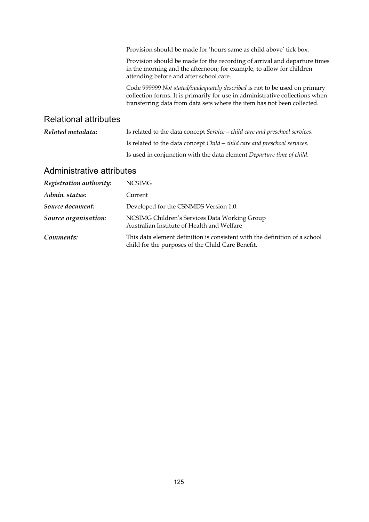|                              | Provision should be made for 'hours same as child above' tick box.                                                                                                                                                                    |
|------------------------------|---------------------------------------------------------------------------------------------------------------------------------------------------------------------------------------------------------------------------------------|
|                              | Provision should be made for the recording of arrival and departure times<br>in the morning and the afternoon; for example, to allow for children<br>attending before and after school care.                                          |
|                              | Code 999999 Not stated/inadequately described is not to be used on primary<br>collection forms. It is primarily for use in administrative collections when<br>transferring data from data sets where the item has not been collected. |
| <b>Relational attributes</b> |                                                                                                                                                                                                                                       |
| Related metadata:            | Is related to the data concept Service - child care and preschool services.                                                                                                                                                           |
|                              | Is related to the data concept Child – child care and preschool services.                                                                                                                                                             |
|                              | Is used in conjunction with the data element Departure time of child.                                                                                                                                                                 |
|                              |                                                                                                                                                                                                                                       |

| Registration authority: | NCSIMG                                                                                                                          |
|-------------------------|---------------------------------------------------------------------------------------------------------------------------------|
| Admin. status:          | Current                                                                                                                         |
| Source document:        | Developed for the CSNMDS Version 1.0.                                                                                           |
| Source organisation:    | NCSIMG Children's Services Data Working Group<br>Australian Institute of Health and Welfare                                     |
| Comments:               | This data element definition is consistent with the definition of a school<br>child for the purposes of the Child Care Benefit. |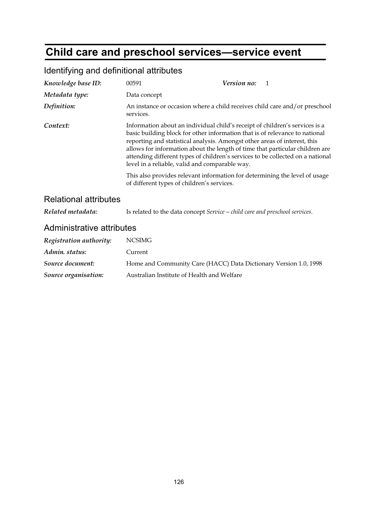# **Child care and preschool services—service event**

| Knowledge base ID:           | 00591                                                                                                                                                                                                                                                                                                                                                                                                                                                       | Version no: | $\mathbf{1}$ |
|------------------------------|-------------------------------------------------------------------------------------------------------------------------------------------------------------------------------------------------------------------------------------------------------------------------------------------------------------------------------------------------------------------------------------------------------------------------------------------------------------|-------------|--------------|
| Metadata type:               | Data concept                                                                                                                                                                                                                                                                                                                                                                                                                                                |             |              |
| Definition:                  | An instance or occasion where a child receives child care and/or preschool<br>services.                                                                                                                                                                                                                                                                                                                                                                     |             |              |
| Context:                     | Information about an individual child's receipt of children's services is a<br>basic building block for other information that is of relevance to national<br>reporting and statistical analysis. Amongst other areas of interest, this<br>allows for information about the length of time that particular children are<br>attending different types of children's services to be collected on a national<br>level in a reliable, valid and comparable way. |             |              |
|                              | This also provides relevant information for determining the level of usage<br>of different types of children's services.                                                                                                                                                                                                                                                                                                                                    |             |              |
| <b>Relational attributes</b> |                                                                                                                                                                                                                                                                                                                                                                                                                                                             |             |              |
| Related metadata:            | Is related to the data concept Service - child care and preschool services.                                                                                                                                                                                                                                                                                                                                                                                 |             |              |
| Administrative attributes    |                                                                                                                                                                                                                                                                                                                                                                                                                                                             |             |              |
| Registration authority:      | <b>NCSIMG</b>                                                                                                                                                                                                                                                                                                                                                                                                                                               |             |              |
| Admin. status:               | Current                                                                                                                                                                                                                                                                                                                                                                                                                                                     |             |              |
| Source document:             | Home and Community Care (HACC) Data Dictionary Version 1.0, 1998                                                                                                                                                                                                                                                                                                                                                                                            |             |              |
| Source organisation:         | Australian Institute of Health and Welfare                                                                                                                                                                                                                                                                                                                                                                                                                  |             |              |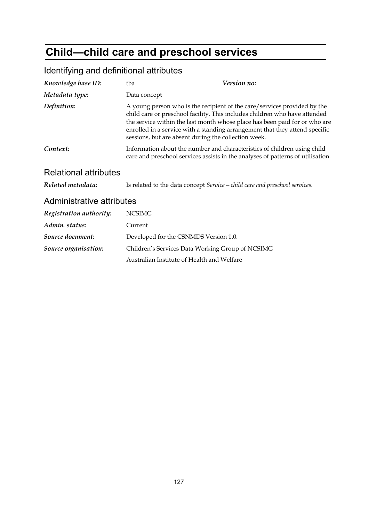# **Child—child care and preschool services**

| Knowledge base ID:           | tba                                                                         | Version no:                                                                                                                                                                                                                                                                                                         |
|------------------------------|-----------------------------------------------------------------------------|---------------------------------------------------------------------------------------------------------------------------------------------------------------------------------------------------------------------------------------------------------------------------------------------------------------------|
| Metadata type:               | Data concept                                                                |                                                                                                                                                                                                                                                                                                                     |
| Definition:                  | sessions, but are absent during the collection week.                        | A young person who is the recipient of the care/services provided by the<br>child care or preschool facility. This includes children who have attended<br>the service within the last month whose place has been paid for or who are<br>enrolled in a service with a standing arrangement that they attend specific |
| Context:                     |                                                                             | Information about the number and characteristics of children using child<br>care and preschool services assists in the analyses of patterns of utilisation.                                                                                                                                                         |
| <b>Relational attributes</b> |                                                                             |                                                                                                                                                                                                                                                                                                                     |
| Related metadata:            | Is related to the data concept Service – child care and preschool services. |                                                                                                                                                                                                                                                                                                                     |
| Administrative attributes    |                                                                             |                                                                                                                                                                                                                                                                                                                     |
| Registration authority:      | <b>NCSIMG</b>                                                               |                                                                                                                                                                                                                                                                                                                     |
| Admin. status:               | Current                                                                     |                                                                                                                                                                                                                                                                                                                     |
| Source document:             | Developed for the CSNMDS Version 1.0.                                       |                                                                                                                                                                                                                                                                                                                     |
| Source organisation:         | Children's Services Data Working Group of NCSIMG                            |                                                                                                                                                                                                                                                                                                                     |
|                              | Australian Institute of Health and Welfare                                  |                                                                                                                                                                                                                                                                                                                     |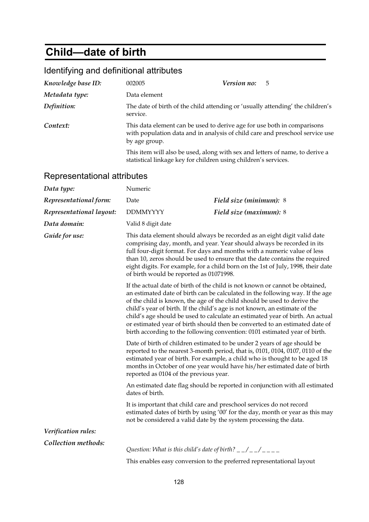## **Child—date of birth**

## Identifying and definitional attributes

| Knowledge base ID: | 002005                                                                                                                                                                   | Version no: | - 5 |
|--------------------|--------------------------------------------------------------------------------------------------------------------------------------------------------------------------|-------------|-----|
| Metadata type:     | Data element                                                                                                                                                             |             |     |
| Definition:        | The date of birth of the child attending or 'usually attending' the children's<br>service.                                                                               |             |     |
| Context:           | This data element can be used to derive age for use both in comparisons<br>with population data and in analysis of child care and preschool service use<br>by age group. |             |     |
|                    | This item will also be used, along with sex and letters of name, to derive a                                                                                             |             |     |

statistical linkage key for children using children's services.

| Data type:                                                                                                                                                                                                                                                                                                                                                                                                                                                     | Numeric                                                                                                                                                                                                                                                                                                                                                                                                                                                                                                                                                               |                                                                                                                                                                                                                                                                                                                      |
|----------------------------------------------------------------------------------------------------------------------------------------------------------------------------------------------------------------------------------------------------------------------------------------------------------------------------------------------------------------------------------------------------------------------------------------------------------------|-----------------------------------------------------------------------------------------------------------------------------------------------------------------------------------------------------------------------------------------------------------------------------------------------------------------------------------------------------------------------------------------------------------------------------------------------------------------------------------------------------------------------------------------------------------------------|----------------------------------------------------------------------------------------------------------------------------------------------------------------------------------------------------------------------------------------------------------------------------------------------------------------------|
| Representational form:                                                                                                                                                                                                                                                                                                                                                                                                                                         | Date                                                                                                                                                                                                                                                                                                                                                                                                                                                                                                                                                                  | Field size (minimum): 8                                                                                                                                                                                                                                                                                              |
| Representational layout:                                                                                                                                                                                                                                                                                                                                                                                                                                       | <b>DDMMYYYY</b>                                                                                                                                                                                                                                                                                                                                                                                                                                                                                                                                                       | Field size (maximum): 8                                                                                                                                                                                                                                                                                              |
| Data domain:                                                                                                                                                                                                                                                                                                                                                                                                                                                   | Valid 8 digit date                                                                                                                                                                                                                                                                                                                                                                                                                                                                                                                                                    |                                                                                                                                                                                                                                                                                                                      |
| Guide for use:<br>This data element should always be recorded as an eight digit valid date<br>comprising day, month, and year. Year should always be recorded in its<br>full four-digit format. For days and months with a numeric value of less<br>than 10, zeros should be used to ensure that the date contains the required<br>eight digits. For example, for a child born on the 1st of July, 1998, their date<br>of birth would be reported as 01071998. |                                                                                                                                                                                                                                                                                                                                                                                                                                                                                                                                                                       |                                                                                                                                                                                                                                                                                                                      |
|                                                                                                                                                                                                                                                                                                                                                                                                                                                                | If the actual date of birth of the child is not known or cannot be obtained,<br>an estimated date of birth can be calculated in the following way. If the age<br>of the child is known, the age of the child should be used to derive the<br>child's year of birth. If the child's age is not known, an estimate of the<br>child's age should be used to calculate an estimated year of birth. An actual<br>or estimated year of birth should then be converted to an estimated date of<br>birth according to the following convention: 0101 estimated year of birth. |                                                                                                                                                                                                                                                                                                                      |
|                                                                                                                                                                                                                                                                                                                                                                                                                                                                | reported as 0104 of the previous year.                                                                                                                                                                                                                                                                                                                                                                                                                                                                                                                                | Date of birth of children estimated to be under 2 years of age should be<br>reported to the nearest 3-month period, that is, 0101, 0104, 0107, 0110 of the<br>estimated year of birth. For example, a child who is thought to be aged 18<br>months in October of one year would have his/her estimated date of birth |
|                                                                                                                                                                                                                                                                                                                                                                                                                                                                | dates of birth.                                                                                                                                                                                                                                                                                                                                                                                                                                                                                                                                                       | An estimated date flag should be reported in conjunction with all estimated                                                                                                                                                                                                                                          |
|                                                                                                                                                                                                                                                                                                                                                                                                                                                                |                                                                                                                                                                                                                                                                                                                                                                                                                                                                                                                                                                       | It is important that child care and preschool services do not record<br>estimated dates of birth by using '00' for the day, month or year as this may<br>not be considered a valid date by the system processing the data.                                                                                           |
| Verification rules:                                                                                                                                                                                                                                                                                                                                                                                                                                            |                                                                                                                                                                                                                                                                                                                                                                                                                                                                                                                                                                       |                                                                                                                                                                                                                                                                                                                      |
| Collection methods:                                                                                                                                                                                                                                                                                                                                                                                                                                            | Question: What is this child's date of birth? $\frac{1}{2}$ $\frac{1}{2}$ $\frac{1}{2}$ $\frac{1}{2}$ $\frac{1}{2}$ $\frac{1}{2}$ $\frac{1}{2}$                                                                                                                                                                                                                                                                                                                                                                                                                       | This enables easy conversion to the preferred representational layout                                                                                                                                                                                                                                                |
|                                                                                                                                                                                                                                                                                                                                                                                                                                                                |                                                                                                                                                                                                                                                                                                                                                                                                                                                                                                                                                                       |                                                                                                                                                                                                                                                                                                                      |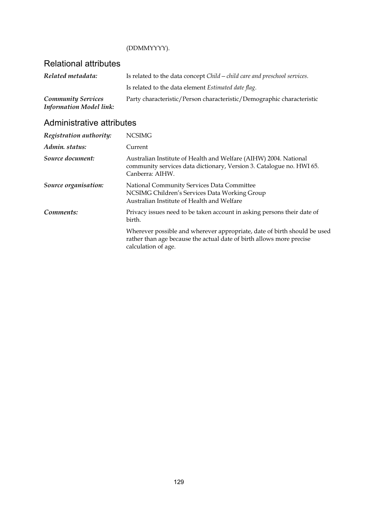#### (DDMMYYYY).

### Relational attributes

| Related metadata:              | Is related to the data concept Child – child care and preschool services. |
|--------------------------------|---------------------------------------------------------------------------|
|                                | Is related to the data element Estimated date flag.                       |
| <b>Community Services</b>      | Party characteristic/Person characteristic/Demographic characteristic     |
| <b>Information Model link:</b> |                                                                           |

| Registration authority: | <b>NCSIMG</b>                                                                                                                                                           |
|-------------------------|-------------------------------------------------------------------------------------------------------------------------------------------------------------------------|
| Admin. status:          | Current                                                                                                                                                                 |
| Source document:        | Australian Institute of Health and Welfare (AIHW) 2004. National<br>community services data dictionary, Version 3. Catalogue no. HWI 65.<br>Canberra: AIHW.             |
| Source organisation:    | National Community Services Data Committee<br>NCSIMG Children's Services Data Working Group<br>Australian Institute of Health and Welfare                               |
| Comments:               | Privacy issues need to be taken account in asking persons their date of<br>birth.                                                                                       |
|                         | Wherever possible and wherever appropriate, date of birth should be used<br>rather than age because the actual date of birth allows more precise<br>calculation of age. |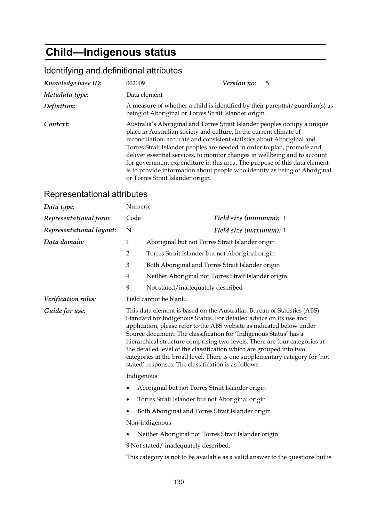## **Child—Indigenous status**

## Identifying and definitional attributes

| Knowledge base ID: | 002009                                                                                                                                                                                                                                                                                                                                                                                                                                                                                                                                                                              | Version no:<br>5                                                             |
|--------------------|-------------------------------------------------------------------------------------------------------------------------------------------------------------------------------------------------------------------------------------------------------------------------------------------------------------------------------------------------------------------------------------------------------------------------------------------------------------------------------------------------------------------------------------------------------------------------------------|------------------------------------------------------------------------------|
| Metadata type:     | Data element                                                                                                                                                                                                                                                                                                                                                                                                                                                                                                                                                                        |                                                                              |
| Definition:        | being of Aboriginal or Torres Strait Islander origin.                                                                                                                                                                                                                                                                                                                                                                                                                                                                                                                               | A measure of whether a child is identified by their parent(s)/guardian(s) as |
| Context:           | Australia's Aboriginal and Torres Strait Islander peoples occupy a unique<br>place in Australian society and culture. In the current climate of<br>reconciliation, accurate and consistent statistics about Aboriginal and<br>Torres Strait Islander peoples are needed in order to plan, promote and<br>deliver essential services, to monitor changes in wellbeing and to account<br>for government expenditure in this area. The purpose of this data element<br>is to provide information about people who identify as being of Aboriginal<br>or Torres Strait Islander origin. |                                                                              |

| Data type:               | Numeric                                              |                                                                                                                                                                                                                                                                                                                                                                                                                                                                                                                                                                                         |  |
|--------------------------|------------------------------------------------------|-----------------------------------------------------------------------------------------------------------------------------------------------------------------------------------------------------------------------------------------------------------------------------------------------------------------------------------------------------------------------------------------------------------------------------------------------------------------------------------------------------------------------------------------------------------------------------------------|--|
| Representational form:   | Code                                                 | Field size (minimum): 1                                                                                                                                                                                                                                                                                                                                                                                                                                                                                                                                                                 |  |
| Representational layout: | N                                                    | Field size (maximum): 1                                                                                                                                                                                                                                                                                                                                                                                                                                                                                                                                                                 |  |
| Data domain:             | $\mathbf{1}$                                         | Aboriginal but not Torres Strait Islander origin                                                                                                                                                                                                                                                                                                                                                                                                                                                                                                                                        |  |
|                          | $\overline{2}$                                       | Torres Strait Islander but not Aboriginal origin                                                                                                                                                                                                                                                                                                                                                                                                                                                                                                                                        |  |
|                          | 3                                                    | Both Aboriginal and Torres Strait Islander origin                                                                                                                                                                                                                                                                                                                                                                                                                                                                                                                                       |  |
|                          | $\overline{4}$                                       | Neither Aboriginal nor Torres Strait Islander origin                                                                                                                                                                                                                                                                                                                                                                                                                                                                                                                                    |  |
|                          | 9                                                    | Not stated/inadequately described                                                                                                                                                                                                                                                                                                                                                                                                                                                                                                                                                       |  |
| Verification rules:      |                                                      | Field cannot be blank.                                                                                                                                                                                                                                                                                                                                                                                                                                                                                                                                                                  |  |
| Guide for use:           |                                                      | This data element is based on the Australian Bureau of Statistics (ABS)<br>Standard for Indigenous Status. For detailed advice on its use and<br>application, please refer to the ABS website as indicated below under<br>Source document. The classification for 'Indigenous Status' has a<br>hierarchical structure comprising two levels. There are four categories at<br>the detailed level of the classification which are grouped into two<br>categories at the broad level. There is one supplementary category for 'not<br>stated' responses. The classification is as follows: |  |
|                          | Indigenous:                                          |                                                                                                                                                                                                                                                                                                                                                                                                                                                                                                                                                                                         |  |
|                          | Aboriginal but not Torres Strait Islander origin     |                                                                                                                                                                                                                                                                                                                                                                                                                                                                                                                                                                                         |  |
|                          | Torres Strait Islander but not Aboriginal origin     |                                                                                                                                                                                                                                                                                                                                                                                                                                                                                                                                                                                         |  |
|                          | Both Aboriginal and Torres Strait Islander origin    |                                                                                                                                                                                                                                                                                                                                                                                                                                                                                                                                                                                         |  |
|                          | Non-indigenous:                                      |                                                                                                                                                                                                                                                                                                                                                                                                                                                                                                                                                                                         |  |
|                          | Neither Aboriginal nor Torres Strait Islander origin |                                                                                                                                                                                                                                                                                                                                                                                                                                                                                                                                                                                         |  |
|                          | 9 Not stated/inadequately described:                 |                                                                                                                                                                                                                                                                                                                                                                                                                                                                                                                                                                                         |  |
|                          |                                                      | This category is not to be available as a valid answer to the questions but is                                                                                                                                                                                                                                                                                                                                                                                                                                                                                                          |  |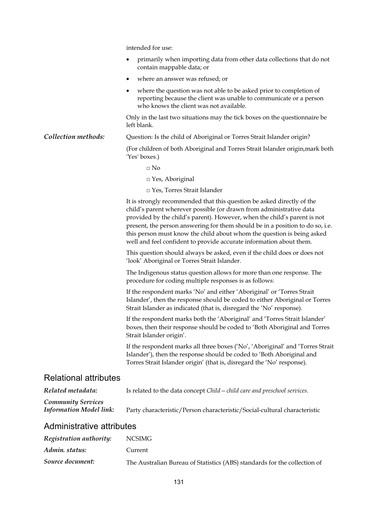intended for use: • primarily when importing data from other data collections that do not contain mappable data; or • where an answer was refused; or where the question was not able to be asked prior to completion of reporting because the client was unable to communicate or a person who knows the client was not available. Only in the last two situations may the tick boxes on the questionnaire be left blank. **Collection methods:** Question: Is the child of Aboriginal or Torres Strait Islander origin? (For children of both Aboriginal and Torres Strait Islander origin,mark both 'Yes' boxes.)  $\Box$  No □ Yes*,* Aboriginal □ Yes*,* Torres Strait Islander It is strongly recommended that this question be asked directly of the child's parent wherever possible (or drawn from administrative data provided by the child's parent). However, when the child's parent is not present, the person answering for them should be in a position to do so, i.e. this person must know the child about whom the question is being asked well and feel confident to provide accurate information about them. This question should always be asked, even if the child does or does not 'look' Aboriginal or Torres Strait Islander. The Indigenous status question allows for more than one response. The procedure for coding multiple responses is as follows: If the respondent marks 'No' and either 'Aboriginal' or 'Torres Strait Islander', then the response should be coded to either Aboriginal or Torres Strait Islander as indicated (that is, disregard the 'No' response). If the respondent marks both the 'Aboriginal' and 'Torres Strait Islander' boxes, then their response should be coded to 'Both Aboriginal and Torres Strait Islander origin'. If the respondent marks all three boxes ('No', 'Aboriginal' and 'Torres Strait Islander'), then the response should be coded to 'Both Aboriginal and Torres Strait Islander origin' (that is, disregard the 'No' response). Relational attributes *Related metadata:* Is related to the data concept *Child—child care and preschool services*. *Community Services Information Model link:* Party characteristic/Person characteristic/Social-cultural characteristic Administrative attributes

| Registration authority: | NCSIMG                                                                    |
|-------------------------|---------------------------------------------------------------------------|
| Admin. status:          | Current                                                                   |
| Source document:        | The Australian Bureau of Statistics (ABS) standards for the collection of |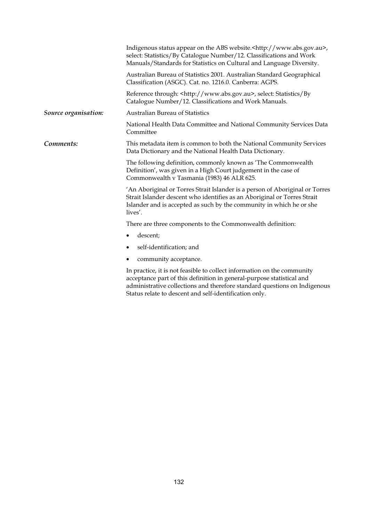|                      | Indigenous status appear on the ABS website. <http: www.abs.gov.au="">,<br/>select: Statistics/By Catalogue Number/12. Classifications and Work<br/>Manuals/Standards for Statistics on Cultural and Language Diversity.</http:>            |  |
|----------------------|---------------------------------------------------------------------------------------------------------------------------------------------------------------------------------------------------------------------------------------------|--|
|                      | Australian Bureau of Statistics 2001. Australian Standard Geographical<br>Classification (ASGC). Cat. no. 1216.0. Canberra: AGPS.                                                                                                           |  |
|                      | Reference through: <http: www.abs.gov.au="">, select: Statistics/By<br/>Catalogue Number/12. Classifications and Work Manuals.</http:>                                                                                                      |  |
| Source organisation: | <b>Australian Bureau of Statistics</b>                                                                                                                                                                                                      |  |
|                      | National Health Data Committee and National Community Services Data<br>Committee                                                                                                                                                            |  |
| Comments:            | This metadata item is common to both the National Community Services<br>Data Dictionary and the National Health Data Dictionary.                                                                                                            |  |
|                      | The following definition, commonly known as 'The Commonwealth<br>Definition', was given in a High Court judgement in the case of<br>Commonwealth v Tasmania (1983) 46 ALR 625.                                                              |  |
|                      | 'An Aboriginal or Torres Strait Islander is a person of Aboriginal or Torres<br>Strait Islander descent who identifies as an Aboriginal or Torres Strait<br>Islander and is accepted as such by the community in which he or she<br>lives'. |  |
|                      | There are three components to the Commonwealth definition:                                                                                                                                                                                  |  |
|                      | descent;<br>$\bullet$                                                                                                                                                                                                                       |  |
|                      | self-identification; and<br>٠                                                                                                                                                                                                               |  |
|                      | community acceptance.<br>٠                                                                                                                                                                                                                  |  |
|                      | In practice, it is not feasible to collect information on the community<br>acceptance part of this definition in general-purpose statistical and                                                                                            |  |

acceptance part of this definition in general-purpose statistical and administrative collections and therefore standard questions on Indigenous Status relate to descent and self-identification only.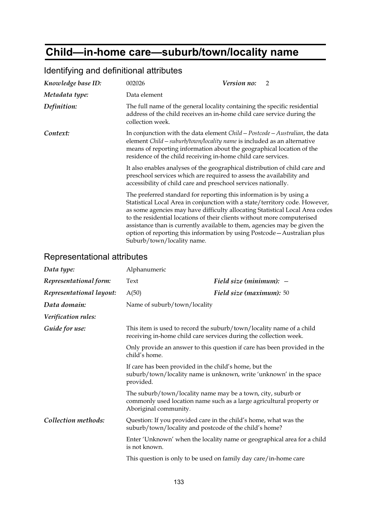## **Child—in-home care—suburb/town/locality name**

| Knowledge base ID: | 002026                                                                                                                                                                                                                                                                                                                                                                                                                                                                                               | <i>Version no:</i>                                                                                                                                  | $\overline{2}$ |  |
|--------------------|------------------------------------------------------------------------------------------------------------------------------------------------------------------------------------------------------------------------------------------------------------------------------------------------------------------------------------------------------------------------------------------------------------------------------------------------------------------------------------------------------|-----------------------------------------------------------------------------------------------------------------------------------------------------|----------------|--|
| Metadata type:     | Data element                                                                                                                                                                                                                                                                                                                                                                                                                                                                                         |                                                                                                                                                     |                |  |
| Definition:        | collection week.                                                                                                                                                                                                                                                                                                                                                                                                                                                                                     | The full name of the general locality containing the specific residential<br>address of the child receives an in-home child care service during the |                |  |
| Context:           | In conjunction with the data element Child - Postcode - Australian, the data<br>element Child - suburb/town/locality name is included as an alternative<br>means of reporting information about the geographical location of the<br>residence of the child receiving in-home child care services.                                                                                                                                                                                                    |                                                                                                                                                     |                |  |
|                    | It also enables analyses of the geographical distribution of child care and<br>preschool services which are required to assess the availability and<br>accessibility of child care and preschool services nationally.                                                                                                                                                                                                                                                                                |                                                                                                                                                     |                |  |
|                    | The preferred standard for reporting this information is by using a<br>Statistical Local Area in conjunction with a state/territory code. However,<br>as some agencies may have difficulty allocating Statistical Local Area codes<br>to the residential locations of their clients without more computerised<br>assistance than is currently available to them, agencies may be given the<br>option of reporting this information by using Postcode - Australian plus<br>Suburb/town/locality name. |                                                                                                                                                     |                |  |

### Identifying and definitional attributes

| Data type:               | Alphanumeric                                                                                                                                                  |                                                                         |
|--------------------------|---------------------------------------------------------------------------------------------------------------------------------------------------------------|-------------------------------------------------------------------------|
| Representational form:   | Text                                                                                                                                                          | Field size (minimum): $-$                                               |
| Representational layout: | A(50)                                                                                                                                                         | Field size (maximum): 50                                                |
| Data domain:             | Name of suburb/town/locality                                                                                                                                  |                                                                         |
| Verification rules:      |                                                                                                                                                               |                                                                         |
| Guide for use:           | This item is used to record the suburb/town/locality name of a child<br>receiving in-home child care services during the collection week.                     |                                                                         |
|                          | Only provide an answer to this question if care has been provided in the<br>child's home.                                                                     |                                                                         |
|                          | If care has been provided in the child's home, but the<br>suburb/town/locality name is unknown, write 'unknown' in the space<br>provided.                     |                                                                         |
|                          | The suburb/town/locality name may be a town, city, suburb or<br>commonly used location name such as a large agricultural property or<br>Aboriginal community. |                                                                         |
| Collection methods:      | Question: If you provided care in the child's home, what was the<br>suburb/town/locality and postcode of the child's home?                                    |                                                                         |
|                          | is not known.                                                                                                                                                 | Enter 'Unknown' when the locality name or geographical area for a child |
|                          |                                                                                                                                                               | This question is only to be used on family day care/in-home care        |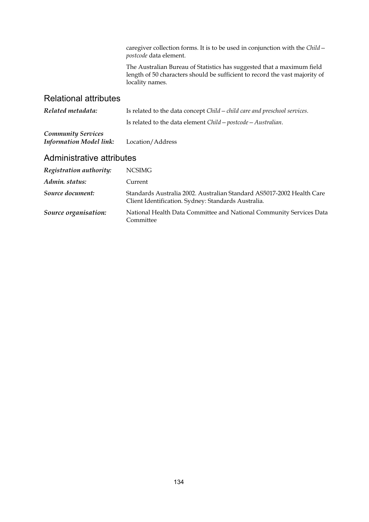caregiver collection forms. It is to be used in conjunction with the *Child postcode* data element.

The Australian Bureau of Statistics has suggested that a maximum field length of 50 characters should be sufficient to record the vast majority of locality names.

#### Relational attributes

| Related metadata:                                           | Is related to the data concept Child – child care and preschool services. |  |
|-------------------------------------------------------------|---------------------------------------------------------------------------|--|
|                                                             | Is related to the data element $Child - postcode - Australian$ .          |  |
| <b>Community Services</b><br><b>Information Model link:</b> | Location/Address                                                          |  |

| Registration authority: | <b>NCSIMG</b>                                                                                                                |
|-------------------------|------------------------------------------------------------------------------------------------------------------------------|
| Admin. status:          | Current                                                                                                                      |
| Source document:        | Standards Australia 2002. Australian Standard AS5017-2002 Health Care<br>Client Identification. Sydney: Standards Australia. |
| Source organisation:    | National Health Data Committee and National Community Services Data<br>Committee                                             |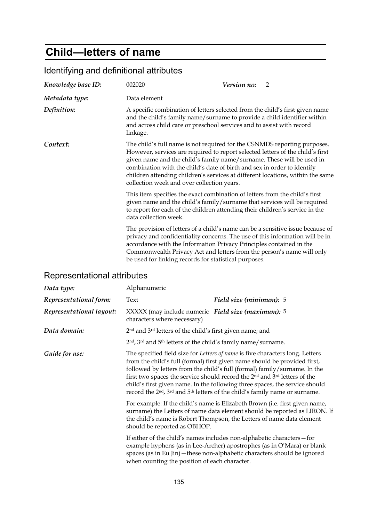## **Child—letters of name**

| $19.11$ , $1.19$ and abilities at all baloc                                                                                                                                                                                                                      |                                                                                                                                                                                                                                                                                                                                                                                                                                                |                                                                                                                                                                                                                                         |
|------------------------------------------------------------------------------------------------------------------------------------------------------------------------------------------------------------------------------------------------------------------|------------------------------------------------------------------------------------------------------------------------------------------------------------------------------------------------------------------------------------------------------------------------------------------------------------------------------------------------------------------------------------------------------------------------------------------------|-----------------------------------------------------------------------------------------------------------------------------------------------------------------------------------------------------------------------------------------|
| Knowledge base ID:                                                                                                                                                                                                                                               | 002020                                                                                                                                                                                                                                                                                                                                                                                                                                         | Version no:<br>$\overline{2}$                                                                                                                                                                                                           |
| Metadata type:                                                                                                                                                                                                                                                   | Data element                                                                                                                                                                                                                                                                                                                                                                                                                                   |                                                                                                                                                                                                                                         |
| Definition:                                                                                                                                                                                                                                                      | A specific combination of letters selected from the child's first given name<br>and the child's family name/surname to provide a child identifier within<br>and across child care or preschool services and to assist with record<br>linkage.                                                                                                                                                                                                  |                                                                                                                                                                                                                                         |
| Context:                                                                                                                                                                                                                                                         | The child's full name is not required for the CSNMDS reporting purposes.<br>However, services are required to report selected letters of the child's first<br>given name and the child's family name/surname. These will be used in<br>combination with the child's date of birth and sex in order to identify<br>children attending children's services at different locations, within the same<br>collection week and over collection years. |                                                                                                                                                                                                                                         |
| This item specifies the exact combination of letters from the child's first<br>given name and the child's family/surname that services will be required<br>to report for each of the children attending their children's service in the<br>data collection week. |                                                                                                                                                                                                                                                                                                                                                                                                                                                |                                                                                                                                                                                                                                         |
|                                                                                                                                                                                                                                                                  | accordance with the Information Privacy Principles contained in the<br>be used for linking records for statistical purposes.                                                                                                                                                                                                                                                                                                                   | The provision of letters of a child's name can be a sensitive issue because of<br>privacy and confidentiality concerns. The use of this information will be in<br>Commonwealth Privacy Act and letters from the person's name will only |

### Identifying and definitional attributes

| Data type:                                                                                                                                                                                                                                                                      | Alphanumeric                                                                                                                                                                                                                                                                                                                                                                                                                                                                                                                                                                                                                                                                                                                                                                                                        |                         |
|---------------------------------------------------------------------------------------------------------------------------------------------------------------------------------------------------------------------------------------------------------------------------------|---------------------------------------------------------------------------------------------------------------------------------------------------------------------------------------------------------------------------------------------------------------------------------------------------------------------------------------------------------------------------------------------------------------------------------------------------------------------------------------------------------------------------------------------------------------------------------------------------------------------------------------------------------------------------------------------------------------------------------------------------------------------------------------------------------------------|-------------------------|
| Representational form:                                                                                                                                                                                                                                                          | Text                                                                                                                                                                                                                                                                                                                                                                                                                                                                                                                                                                                                                                                                                                                                                                                                                | Field size (minimum): 5 |
| Representational layout:                                                                                                                                                                                                                                                        | XXXXX (may include numeric Field size (maximum): 5<br>characters where necessary)                                                                                                                                                                                                                                                                                                                                                                                                                                                                                                                                                                                                                                                                                                                                   |                         |
| Data domain:                                                                                                                                                                                                                                                                    | 2 <sup>nd</sup> and 3 <sup>rd</sup> letters of the child's first given name; and                                                                                                                                                                                                                                                                                                                                                                                                                                                                                                                                                                                                                                                                                                                                    |                         |
|                                                                                                                                                                                                                                                                                 | 2 <sup>nd</sup> , 3 <sup>rd</sup> and 5 <sup>th</sup> letters of the child's family name/surname.                                                                                                                                                                                                                                                                                                                                                                                                                                                                                                                                                                                                                                                                                                                   |                         |
| Guide for use:                                                                                                                                                                                                                                                                  | The specified field size for Letters of name is five characters long. Letters<br>from the child's full (formal) first given name should be provided first,<br>followed by letters from the child's full (formal) family/surname. In the<br>first two spaces the service should record the 2 <sup>nd</sup> and 3 <sup>rd</sup> letters of the<br>child's first given name. In the following three spaces, the service should<br>record the 2 <sup>nd</sup> , 3 <sup>rd</sup> and 5 <sup>th</sup> letters of the child's family name or surname.<br>For example: If the child's name is Elizabeth Brown (i.e. first given name,<br>surname) the Letters of name data element should be reported as LIRON. If<br>the child's name is Robert Thompson, the Letters of name data element<br>should be reported as OBHOP. |                         |
|                                                                                                                                                                                                                                                                                 |                                                                                                                                                                                                                                                                                                                                                                                                                                                                                                                                                                                                                                                                                                                                                                                                                     |                         |
| If either of the child's names includes non-alphabetic characters - for<br>example hyphens (as in Lee-Archer) apostrophes (as in O'Mara) or blank<br>spaces (as in Eu Jin) - these non-alphabetic characters should be ignored<br>when counting the position of each character. |                                                                                                                                                                                                                                                                                                                                                                                                                                                                                                                                                                                                                                                                                                                                                                                                                     |                         |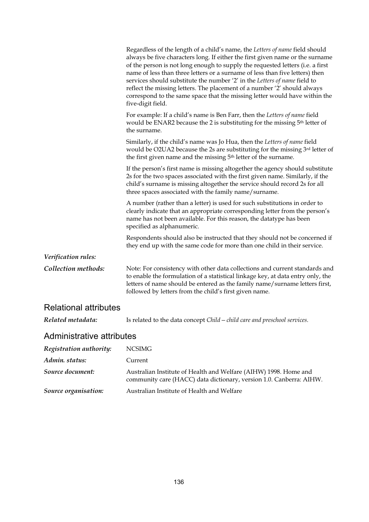|                              | Regardless of the length of a child's name, the Letters of name field should<br>always be five characters long. If either the first given name or the surname<br>of the person is not long enough to supply the requested letters (i.e. a first<br>name of less than three letters or a surname of less than five letters) then<br>services should substitute the number '2' in the Letters of name field to<br>reflect the missing letters. The placement of a number '2' should always<br>correspond to the same space that the missing letter would have within the<br>five-digit field. |
|------------------------------|---------------------------------------------------------------------------------------------------------------------------------------------------------------------------------------------------------------------------------------------------------------------------------------------------------------------------------------------------------------------------------------------------------------------------------------------------------------------------------------------------------------------------------------------------------------------------------------------|
|                              | For example: If a child's name is Ben Farr, then the Letters of name field<br>would be ENAR2 because the 2 is substituting for the missing 5 <sup>th</sup> letter of<br>the surname.                                                                                                                                                                                                                                                                                                                                                                                                        |
|                              | Similarly, if the child's name was Jo Hua, then the Letters of name field<br>would be O2UA2 because the 2s are substituting for the missing 3rd letter of<br>the first given name and the missing 5 <sup>th</sup> letter of the surname.                                                                                                                                                                                                                                                                                                                                                    |
|                              | If the person's first name is missing altogether the agency should substitute<br>2s for the two spaces associated with the first given name. Similarly, if the<br>child's surname is missing altogether the service should record 2s for all<br>three spaces associated with the family name/surname.                                                                                                                                                                                                                                                                                       |
|                              | A number (rather than a letter) is used for such substitutions in order to<br>clearly indicate that an appropriate corresponding letter from the person's<br>name has not been available. For this reason, the datatype has been<br>specified as alphanumeric.                                                                                                                                                                                                                                                                                                                              |
|                              | Respondents should also be instructed that they should not be concerned if<br>they end up with the same code for more than one child in their service.                                                                                                                                                                                                                                                                                                                                                                                                                                      |
| Verification rules:          |                                                                                                                                                                                                                                                                                                                                                                                                                                                                                                                                                                                             |
| Collection methods:          | Note: For consistency with other data collections and current standards and<br>to enable the formulation of a statistical linkage key, at data entry only, the<br>letters of name should be entered as the family name/surname letters first,<br>followed by letters from the child's first given name.                                                                                                                                                                                                                                                                                     |
| <b>Relational attributes</b> |                                                                                                                                                                                                                                                                                                                                                                                                                                                                                                                                                                                             |
| Related metadata:            | Is related to the data concept $Child$ – child care and preschool services.                                                                                                                                                                                                                                                                                                                                                                                                                                                                                                                 |

| Registration authority: | NCSIMG                                                                                                                                  |
|-------------------------|-----------------------------------------------------------------------------------------------------------------------------------------|
| Admin. status:          | Current                                                                                                                                 |
| Source document:        | Australian Institute of Health and Welfare (AIHW) 1998. Home and<br>community care (HACC) data dictionary, version 1.0. Canberra: AIHW. |
| Source organisation:    | Australian Institute of Health and Welfare                                                                                              |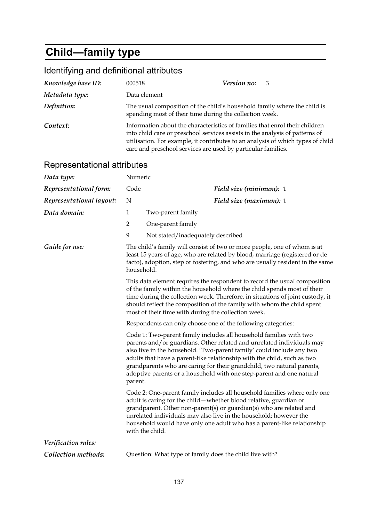# **Child—family type**

| Knowledge base ID:          | 000518                                                                                                                                                                                                                                                                                                         | Version no:<br>3                                                                                                                                                                                                                                                                                                                                                                                                                                  |
|-----------------------------|----------------------------------------------------------------------------------------------------------------------------------------------------------------------------------------------------------------------------------------------------------------------------------------------------------------|---------------------------------------------------------------------------------------------------------------------------------------------------------------------------------------------------------------------------------------------------------------------------------------------------------------------------------------------------------------------------------------------------------------------------------------------------|
| Metadata type:              | Data element                                                                                                                                                                                                                                                                                                   |                                                                                                                                                                                                                                                                                                                                                                                                                                                   |
| Definition:                 | The usual composition of the child's household family where the child is<br>spending most of their time during the collection week.                                                                                                                                                                            |                                                                                                                                                                                                                                                                                                                                                                                                                                                   |
| Context:                    | Information about the characteristics of families that enrol their children<br>into child care or preschool services assists in the analysis of patterns of<br>utilisation. For example, it contributes to an analysis of which types of child<br>care and preschool services are used by particular families. |                                                                                                                                                                                                                                                                                                                                                                                                                                                   |
| Representational attributes |                                                                                                                                                                                                                                                                                                                |                                                                                                                                                                                                                                                                                                                                                                                                                                                   |
| Data type:                  | Numeric                                                                                                                                                                                                                                                                                                        |                                                                                                                                                                                                                                                                                                                                                                                                                                                   |
| Representational form:      | Code                                                                                                                                                                                                                                                                                                           | Field size (minimum): 1                                                                                                                                                                                                                                                                                                                                                                                                                           |
| Representational layout:    | N                                                                                                                                                                                                                                                                                                              | Field size (maximum): 1                                                                                                                                                                                                                                                                                                                                                                                                                           |
| Data domain:                | $\mathbf{1}$                                                                                                                                                                                                                                                                                                   | Two-parent family                                                                                                                                                                                                                                                                                                                                                                                                                                 |
|                             | 2                                                                                                                                                                                                                                                                                                              | One-parent family                                                                                                                                                                                                                                                                                                                                                                                                                                 |
|                             | 9                                                                                                                                                                                                                                                                                                              | Not stated/inadequately described                                                                                                                                                                                                                                                                                                                                                                                                                 |
| Guide for use:              | The child's family will consist of two or more people, one of whom is at<br>least 15 years of age, who are related by blood, marriage (registered or de<br>facto), adoption, step or fostering, and who are usually resident in the same<br>household.                                                         |                                                                                                                                                                                                                                                                                                                                                                                                                                                   |
|                             |                                                                                                                                                                                                                                                                                                                | This data element requires the respondent to record the usual composition<br>of the family within the household where the child spends most of their<br>time during the collection week. Therefore, in situations of joint custody, it<br>should reflect the composition of the family with whom the child spent<br>most of their time with during the collection week.                                                                           |
|                             |                                                                                                                                                                                                                                                                                                                | Respondents can only choose one of the following categories:                                                                                                                                                                                                                                                                                                                                                                                      |
|                             | parent.                                                                                                                                                                                                                                                                                                        | Code 1: Two-parent family includes all household families with two<br>parents and/or guardians. Other related and unrelated individuals may<br>also live in the household. 'Two-parent family' could include any two<br>adults that have a parent-like relationship with the child, such as two<br>grandparents who are caring for their grandchild, two natural parents,<br>adoptive parents or a household with one step-parent and one natural |
|                             |                                                                                                                                                                                                                                                                                                                | Code 2: One-parent family includes all household families where only one<br>adult is caring for the child - whether blood relative, guardian or<br>grandparent. Other non-parent(s) or guardian(s) who are related and<br>unrelated individuals may also live in the household; however the<br>household would have only one adult who has a parent-like relationship<br>with the child.                                                          |
| Verification rules:         |                                                                                                                                                                                                                                                                                                                |                                                                                                                                                                                                                                                                                                                                                                                                                                                   |
| Collection methods:         | Question: What type of family does the child live with?                                                                                                                                                                                                                                                        |                                                                                                                                                                                                                                                                                                                                                                                                                                                   |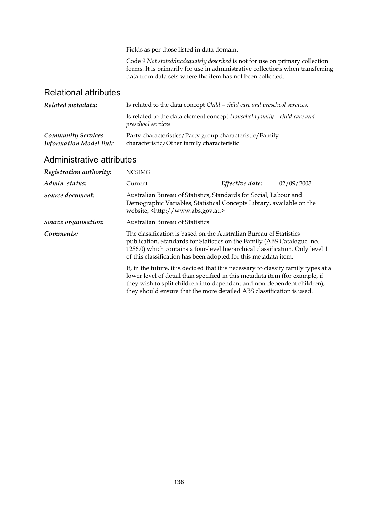Fields as per those listed in data domain.

Code 9 *Not stated/inadequately described* is not for use on primary collection forms. It is primarily for use in administrative collections when transferring data from data sets where the item has not been collected.

#### Relational attributes

| Related metadata:                                           | Is related to the data concept Child - child care and preschool services.                             |  |
|-------------------------------------------------------------|-------------------------------------------------------------------------------------------------------|--|
|                                                             | Is related to the data element concept Household family - child care and<br>preschool services.       |  |
| <b>Community Services</b><br><b>Information Model link:</b> | Party characteristics/Party group characteristic/Family<br>characteristic/Other family characteristic |  |

| Registration authority: | <b>NCSIMG</b>                                                                                                                                                                                                                                                                                                          |                 |            |
|-------------------------|------------------------------------------------------------------------------------------------------------------------------------------------------------------------------------------------------------------------------------------------------------------------------------------------------------------------|-----------------|------------|
| Admin. status:          | Current                                                                                                                                                                                                                                                                                                                | Effective date: | 02/09/2003 |
| Source document:        | Australian Bureau of Statistics, Standards for Social, Labour and<br>Demographic Variables, Statistical Concepts Library, available on the<br>website, <http: www.abs.gov.au=""></http:>                                                                                                                               |                 |            |
| Source organisation:    | <b>Australian Bureau of Statistics</b>                                                                                                                                                                                                                                                                                 |                 |            |
| Comments:               | The classification is based on the Australian Bureau of Statistics<br>publication, Standards for Statistics on the Family (ABS Catalogue. no.<br>1286.0) which contains a four-level hierarchical classification. Only level 1<br>of this classification has been adopted for this metadata item.                      |                 |            |
|                         | If, in the future, it is decided that it is necessary to classify family types at a<br>lower level of detail than specified in this metadata item (for example, if<br>they wish to split children into dependent and non-dependent children),<br>they should ensure that the more detailed ABS classification is used. |                 |            |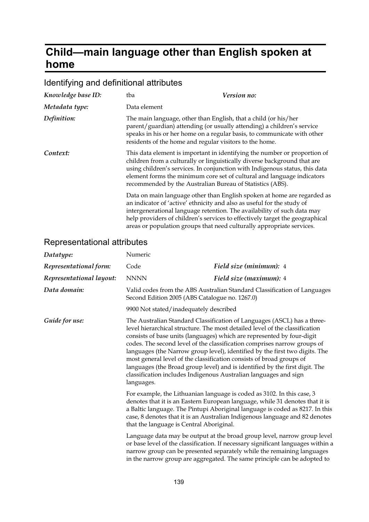## **Child—main language other than English spoken at home**

## Identifying and definitional attributes

| Knowledge base ID: | tba                                                                                                                        | <i>Version no:</i>                                                                                                                                                                                                                                                                                             |
|--------------------|----------------------------------------------------------------------------------------------------------------------------|----------------------------------------------------------------------------------------------------------------------------------------------------------------------------------------------------------------------------------------------------------------------------------------------------------------|
| Metadata type:     | Data element                                                                                                               |                                                                                                                                                                                                                                                                                                                |
| Definition:        | The main language, other than English, that a child (or his/her<br>residents of the home and regular visitors to the home. | parent/guardian) attending (or usually attending) a children's service<br>speaks in his or her home on a regular basis, to communicate with other                                                                                                                                                              |
| Context:           | recommended by the Australian Bureau of Statistics (ABS).                                                                  | This data element is important in identifying the number or proportion of<br>children from a culturally or linguistically diverse background that are<br>using children's services. In conjunction with Indigenous status, this data<br>element forms the minimum core set of cultural and language indicators |
|                    | an indicator of 'active' ethnicity and also as useful for the study of                                                     | Data on main language other than English spoken at home are regarded as<br>intergenerational language retention. The availability of such data may<br>help providers of children's services to effectively target the geographical<br>areas or population groups that need culturally appropriate services.    |

| Datatype:                | Numeric                                                                                                                                                                                                                                                                                                                                                                                                                                                                                                                                                                                                                                                                                                                                                                                                                                                                                                                                                                                                   |                                                                                                                                                                                                                                                                                                                    |
|--------------------------|-----------------------------------------------------------------------------------------------------------------------------------------------------------------------------------------------------------------------------------------------------------------------------------------------------------------------------------------------------------------------------------------------------------------------------------------------------------------------------------------------------------------------------------------------------------------------------------------------------------------------------------------------------------------------------------------------------------------------------------------------------------------------------------------------------------------------------------------------------------------------------------------------------------------------------------------------------------------------------------------------------------|--------------------------------------------------------------------------------------------------------------------------------------------------------------------------------------------------------------------------------------------------------------------------------------------------------------------|
| Representational form:   | Code                                                                                                                                                                                                                                                                                                                                                                                                                                                                                                                                                                                                                                                                                                                                                                                                                                                                                                                                                                                                      | Field size (minimum): 4                                                                                                                                                                                                                                                                                            |
| Representational layout: | <b>NNNN</b>                                                                                                                                                                                                                                                                                                                                                                                                                                                                                                                                                                                                                                                                                                                                                                                                                                                                                                                                                                                               | Field size (maximum): 4                                                                                                                                                                                                                                                                                            |
| Data domain:             | Valid codes from the ABS Australian Standard Classification of Languages<br>Second Edition 2005 (ABS Catalogue no. 1267.0)                                                                                                                                                                                                                                                                                                                                                                                                                                                                                                                                                                                                                                                                                                                                                                                                                                                                                |                                                                                                                                                                                                                                                                                                                    |
|                          | 9900 Not stated/inadequately described                                                                                                                                                                                                                                                                                                                                                                                                                                                                                                                                                                                                                                                                                                                                                                                                                                                                                                                                                                    |                                                                                                                                                                                                                                                                                                                    |
| Guide for use:           | The Australian Standard Classification of Languages (ASCL) has a three-<br>level hierarchical structure. The most detailed level of the classification<br>consists of base units (languages) which are represented by four-digit<br>codes. The second level of the classification comprises narrow groups of<br>languages (the Narrow group level), identified by the first two digits. The<br>most general level of the classification consists of broad groups of<br>languages (the Broad group level) and is identified by the first digit. The<br>classification includes Indigenous Australian languages and sign<br>languages.<br>For example, the Lithuanian language is coded as 3102. In this case, 3<br>denotes that it is an Eastern European language, while 31 denotes that it is<br>a Baltic language. The Pintupi Aboriginal language is coded as 8217. In this<br>case, 8 denotes that it is an Australian Indigenous language and 82 denotes<br>that the language is Central Aboriginal. |                                                                                                                                                                                                                                                                                                                    |
|                          |                                                                                                                                                                                                                                                                                                                                                                                                                                                                                                                                                                                                                                                                                                                                                                                                                                                                                                                                                                                                           |                                                                                                                                                                                                                                                                                                                    |
|                          |                                                                                                                                                                                                                                                                                                                                                                                                                                                                                                                                                                                                                                                                                                                                                                                                                                                                                                                                                                                                           | Language data may be output at the broad group level, narrow group level<br>or base level of the classification. If necessary significant languages within a<br>narrow group can be presented separately while the remaining languages<br>in the narrow group are aggregated. The same principle can be adopted to |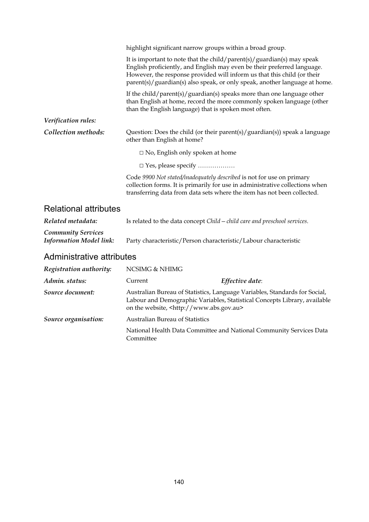|                                                             | highlight significant narrow groups within a broad group.<br>It is important to note that the child/parent(s)/guardian(s) may speak<br>English proficiently, and English may even be their preferred language.<br>However, the response provided will inform us that this child (or their<br>parent(s)/guardian(s) also speak, or only speak, another language at home.<br>If the child/parent(s)/guardian(s) speaks more than one language other<br>than English at home, record the more commonly spoken language (other |  |
|-------------------------------------------------------------|----------------------------------------------------------------------------------------------------------------------------------------------------------------------------------------------------------------------------------------------------------------------------------------------------------------------------------------------------------------------------------------------------------------------------------------------------------------------------------------------------------------------------|--|
|                                                             | than the English language) that is spoken most often.                                                                                                                                                                                                                                                                                                                                                                                                                                                                      |  |
| Verification rules:                                         |                                                                                                                                                                                                                                                                                                                                                                                                                                                                                                                            |  |
| Collection methods:                                         | Question: Does the child (or their parent(s)/guardian(s)) speak a language<br>other than English at home?                                                                                                                                                                                                                                                                                                                                                                                                                  |  |
|                                                             | $\Box$ No, English only spoken at home                                                                                                                                                                                                                                                                                                                                                                                                                                                                                     |  |
|                                                             | □ Yes, please specify                                                                                                                                                                                                                                                                                                                                                                                                                                                                                                      |  |
|                                                             | Code 9900 Not stated/inadequately described is not for use on primary<br>collection forms. It is primarily for use in administrative collections when<br>transferring data from data sets where the item has not been collected.                                                                                                                                                                                                                                                                                           |  |
| <b>Relational attributes</b>                                |                                                                                                                                                                                                                                                                                                                                                                                                                                                                                                                            |  |
| Related metadata:                                           | Is related to the data concept Child - child care and preschool services.                                                                                                                                                                                                                                                                                                                                                                                                                                                  |  |
| <b>Community Services</b><br><b>Information Model link:</b> | Party characteristic/Person characteristic/Labour characteristic                                                                                                                                                                                                                                                                                                                                                                                                                                                           |  |
| Administrative attributes                                   |                                                                                                                                                                                                                                                                                                                                                                                                                                                                                                                            |  |
| Registration authority:                                     | <b>NCSIMG &amp; NHIMG</b>                                                                                                                                                                                                                                                                                                                                                                                                                                                                                                  |  |
| Admin. status:                                              | Effective date:<br>Current                                                                                                                                                                                                                                                                                                                                                                                                                                                                                                 |  |
| Source document:                                            | Australian Bureau of Statistics, Language Variables, Standards for Social,<br>Labour and Demographic Variables, Statistical Concepts Library, available<br>on the website, <http: www.abs.gov.au=""></http:>                                                                                                                                                                                                                                                                                                               |  |
| Source organisation:                                        | Australian Bureau of Statistics                                                                                                                                                                                                                                                                                                                                                                                                                                                                                            |  |

National Health Data Committee and National Community Services Data Committee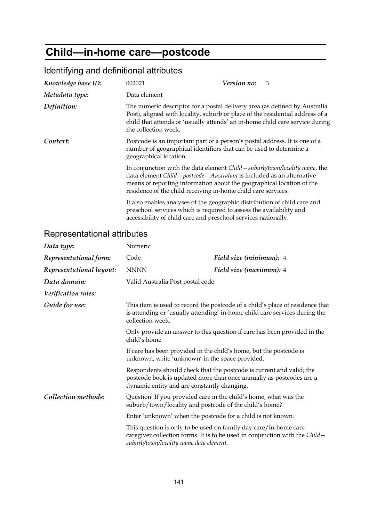## **Child—in-home care—postcode**

| <u>Refilm ying and deminional althoutes</u> |                                                                                                                                       |                                                                                                                                                                                                                                             |
|---------------------------------------------|---------------------------------------------------------------------------------------------------------------------------------------|---------------------------------------------------------------------------------------------------------------------------------------------------------------------------------------------------------------------------------------------|
| Knowledge base ID:                          | 002021                                                                                                                                | Version no:<br>3                                                                                                                                                                                                                            |
| Metadata type:                              | Data element                                                                                                                          |                                                                                                                                                                                                                                             |
| Definition:                                 | the collection week.                                                                                                                  | The numeric descriptor for a postal delivery area (as defined by Australia<br>Post), aligned with locality, suburb or place of the residential address of a<br>child that attends or 'usually attends' an in-home child care service during |
| Context:                                    | number of geographical identifiers that can be used to determine a<br>geographical location.                                          | Postcode is an important part of a person's postal address. It is one of a                                                                                                                                                                  |
|                                             | residence of the child receiving in-home child care services.                                                                         | In conjunction with the data element <i>Child – suburb/town/locality name</i> , the<br>data element Child - postcode - Australian is included as an alternative<br>means of reporting information about the geographical location of the    |
|                                             | preschool services which is required to assess the availability and<br>accessibility of child care and preschool services nationally. | It also enables analyses of the geographic distribution of child care and                                                                                                                                                                   |

#### Identifying and definitional attributes

| Data type:               | Numeric                                                                                                                                                                         |                                                                                                                                                  |
|--------------------------|---------------------------------------------------------------------------------------------------------------------------------------------------------------------------------|--------------------------------------------------------------------------------------------------------------------------------------------------|
| Representational form:   | Code                                                                                                                                                                            | Field size (minimum): 4                                                                                                                          |
| Representational layout: | <b>NNNN</b>                                                                                                                                                                     | Field size (maximum): 4                                                                                                                          |
| Data domain:             | Valid Australia Post postal code.                                                                                                                                               |                                                                                                                                                  |
| Verification rules:      |                                                                                                                                                                                 |                                                                                                                                                  |
| Guide for use:           | This item is used to record the postcode of a child's place of residence that<br>is attending or 'usually attending' in-home child care services during the<br>collection week. |                                                                                                                                                  |
|                          | Only provide an answer to this question if care has been provided in the<br>child's home.                                                                                       |                                                                                                                                                  |
|                          | If care has been provided in the child's home, but the postcode is<br>unknown, write 'unknown' in the space provided.                                                           |                                                                                                                                                  |
|                          | dynamic entity and are constantly changing.                                                                                                                                     | Respondents should check that the postcode is current and valid; the<br>postcode book is updated more than once annually as postcodes are a      |
| Collection methods:      | suburb/town/locality and postcode of the child's home?                                                                                                                          | Question: If you provided care in the child's home, what was the                                                                                 |
|                          | Enter 'unknown' when the postcode for a child is not known.                                                                                                                     |                                                                                                                                                  |
|                          | suburb/town/locality name data element.                                                                                                                                         | This question is only to be used on family day care/in-home care<br>caregiver collection forms. It is to be used in conjunction with the Child - |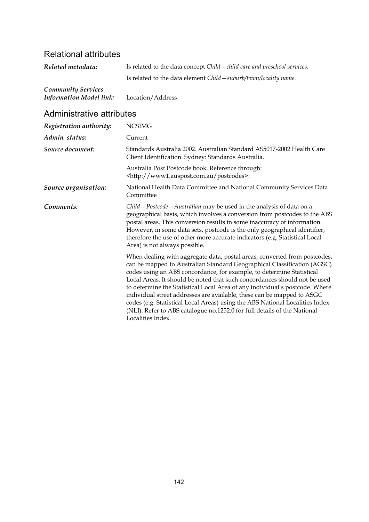### Relational attributes

| Related metadata:         | Is related to the data concept Child - child care and preschool services. |
|---------------------------|---------------------------------------------------------------------------|
|                           | Is related to the data element $Child - suburb/town/locality$ name.       |
| <b>Community Services</b> |                                                                           |

| Information Model link: | Location/Address |
|-------------------------|------------------|
|-------------------------|------------------|

| Registration authority: | <b>NCSIMG</b>                                                                                                                                                                                                                                                                                                                                                                                                                                                                                                                                                                                                                                        |
|-------------------------|------------------------------------------------------------------------------------------------------------------------------------------------------------------------------------------------------------------------------------------------------------------------------------------------------------------------------------------------------------------------------------------------------------------------------------------------------------------------------------------------------------------------------------------------------------------------------------------------------------------------------------------------------|
| Admin. status:          | Current                                                                                                                                                                                                                                                                                                                                                                                                                                                                                                                                                                                                                                              |
| Source document:        | Standards Australia 2002. Australian Standard AS5017-2002 Health Care<br>Client Identification. Sydney: Standards Australia.                                                                                                                                                                                                                                                                                                                                                                                                                                                                                                                         |
|                         | Australia Post Postcode book. Reference through:<br><http: postcodes="" www1.auspost.com.au="">.</http:>                                                                                                                                                                                                                                                                                                                                                                                                                                                                                                                                             |
| Source organisation:    | National Health Data Committee and National Community Services Data<br>Committee                                                                                                                                                                                                                                                                                                                                                                                                                                                                                                                                                                     |
| Comments:               | Child – Postcode – Australian may be used in the analysis of data on a<br>geographical basis, which involves a conversion from postcodes to the ABS<br>postal areas. This conversion results in some inaccuracy of information.<br>However, in some data sets, postcode is the only geographical identifier,<br>therefore the use of other more accurate indicators (e.g. Statistical Local<br>Area) is not always possible.                                                                                                                                                                                                                         |
|                         | When dealing with aggregate data, postal areas, converted from postcodes,<br>can be mapped to Australian Standard Geographical Classification (AGSC)<br>codes using an ABS concordance, for example, to determine Statistical<br>Local Areas. It should be noted that such concordances should not be used<br>to determine the Statistical Local Area of any individual's postcode. Where<br>individual street addresses are available, these can be mapped to ASGC<br>codes (e.g. Statistical Local Areas) using the ABS National Localities Index<br>(NLI). Refer to ABS catalogue no.1252.0 for full details of the National<br>Localities Index. |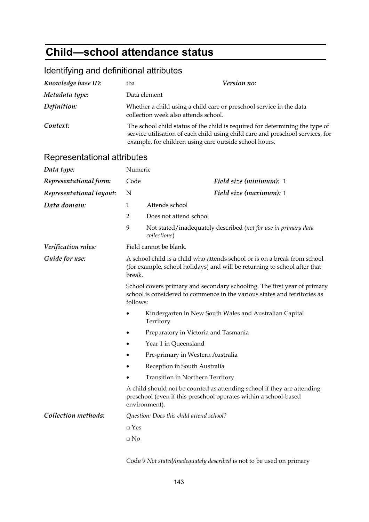## **Child—school attendance status**

### Identifying and definitional attributes

| Knowledge base ID:          | tba                                                                                                                                                                                                                      | Version no:                                                                                                                                                  |
|-----------------------------|--------------------------------------------------------------------------------------------------------------------------------------------------------------------------------------------------------------------------|--------------------------------------------------------------------------------------------------------------------------------------------------------------|
| Metadata type:              |                                                                                                                                                                                                                          | Data element                                                                                                                                                 |
| Definition:                 | Whether a child using a child care or preschool service in the data<br>collection week also attends school.                                                                                                              |                                                                                                                                                              |
| Context:                    | The school child status of the child is required for determining the type of<br>service utilisation of each child using child care and preschool services, for<br>example, for children using care outside school hours. |                                                                                                                                                              |
| Representational attributes |                                                                                                                                                                                                                          |                                                                                                                                                              |
| Data type:                  | Numeric                                                                                                                                                                                                                  |                                                                                                                                                              |
| Representational form:      | Code                                                                                                                                                                                                                     | Field size (minimum): 1                                                                                                                                      |
| Representational layout:    | N                                                                                                                                                                                                                        | Field size (maximum): 1                                                                                                                                      |
| Data domain:                | $\mathbf{1}$                                                                                                                                                                                                             | Attends school                                                                                                                                               |
|                             | $\overline{2}$                                                                                                                                                                                                           | Does not attend school                                                                                                                                       |
|                             | 9                                                                                                                                                                                                                        | Not stated/inadequately described (not for use in primary data<br>collections)                                                                               |
| Verification rules:         | Field cannot be blank.                                                                                                                                                                                                   |                                                                                                                                                              |
| Guide for use:              | A school child is a child who attends school or is on a break from school<br>(for example, school holidays) and will be returning to school after that<br>break.                                                         |                                                                                                                                                              |
|                             | follows:                                                                                                                                                                                                                 | School covers primary and secondary schooling. The first year of primary<br>school is considered to commence in the various states and territories as        |
|                             |                                                                                                                                                                                                                          | Kindergarten in New South Wales and Australian Capital<br>Territory                                                                                          |
|                             |                                                                                                                                                                                                                          | Preparatory in Victoria and Tasmania                                                                                                                         |
|                             |                                                                                                                                                                                                                          | Year 1 in Queensland                                                                                                                                         |
|                             |                                                                                                                                                                                                                          | Pre-primary in Western Australia                                                                                                                             |
|                             |                                                                                                                                                                                                                          | Reception in South Australia                                                                                                                                 |
|                             |                                                                                                                                                                                                                          | Transition in Northern Territory.                                                                                                                            |
|                             |                                                                                                                                                                                                                          | A child should not be counted as attending school if they are attending<br>preschool (even if this preschool operates within a school-based<br>environment). |
| Collection methods:         |                                                                                                                                                                                                                          | Question: Does this child attend school?                                                                                                                     |
|                             | $\Box$ Yes                                                                                                                                                                                                               |                                                                                                                                                              |
|                             | $\Box$ No                                                                                                                                                                                                                |                                                                                                                                                              |
|                             |                                                                                                                                                                                                                          |                                                                                                                                                              |

Code 9 *Not stated/inadequately described* is not to be used on primary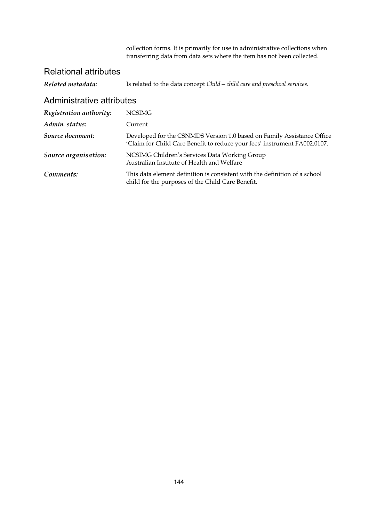collection forms. It is primarily for use in administrative collections when transferring data from data sets where the item has not been collected.

### Relational attributes

| Related metadata:         | Is related to the data concept Child - child care and preschool services.                                                                           |
|---------------------------|-----------------------------------------------------------------------------------------------------------------------------------------------------|
| Administrative attributes |                                                                                                                                                     |
| Registration authority:   | <b>NCSIMG</b>                                                                                                                                       |
| Admin. status:            | Current                                                                                                                                             |
| Source document:          | Developed for the CSNMDS Version 1.0 based on Family Assistance Office<br>'Claim for Child Care Benefit to reduce your fees' instrument FA002.0107. |
| Source organisation:      | NCSIMG Children's Services Data Working Group<br>Australian Institute of Health and Welfare                                                         |
| Comments:                 | This data element definition is consistent with the definition of a school<br>child for the purposes of the Child Care Benefit.                     |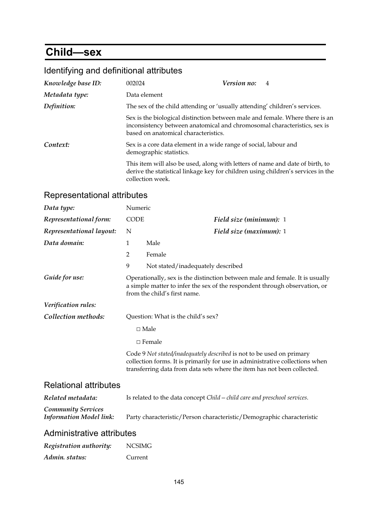## **Child—sex**

## Identifying and definitional attributes

| Knowledge base ID: | 002024                                                                     | Version no:<br>$\overline{4}$                                                                                                                                     |  |
|--------------------|----------------------------------------------------------------------------|-------------------------------------------------------------------------------------------------------------------------------------------------------------------|--|
| Metadata type:     | Data element                                                               |                                                                                                                                                                   |  |
| Definition:        | The sex of the child attending or 'usually attending' children's services. |                                                                                                                                                                   |  |
|                    | based on anatomical characteristics.                                       | Sex is the biological distinction between male and female. Where there is an<br>inconsistency between anatomical and chromosomal characteristics, sex is          |  |
| Context:           | demographic statistics.                                                    | Sex is a core data element in a wide range of social, labour and                                                                                                  |  |
|                    | collection week.                                                           | This item will also be used, along with letters of name and date of birth, to<br>derive the statistical linkage key for children using children's services in the |  |

| Data type:                                                  | Numeric                                                                                                                                                                                    |                                                                                                                                                                                                                                  |  |
|-------------------------------------------------------------|--------------------------------------------------------------------------------------------------------------------------------------------------------------------------------------------|----------------------------------------------------------------------------------------------------------------------------------------------------------------------------------------------------------------------------------|--|
| Representational form:                                      | <b>CODE</b>                                                                                                                                                                                | Field size (minimum): 1                                                                                                                                                                                                          |  |
| Representational layout:                                    | N                                                                                                                                                                                          | Field size (maximum): 1                                                                                                                                                                                                          |  |
| Data domain:                                                | 1                                                                                                                                                                                          | Male                                                                                                                                                                                                                             |  |
|                                                             | 2                                                                                                                                                                                          | Female                                                                                                                                                                                                                           |  |
|                                                             | 9                                                                                                                                                                                          | Not stated/inadequately described                                                                                                                                                                                                |  |
| Guide for use:                                              | Operationally, sex is the distinction between male and female. It is usually<br>a simple matter to infer the sex of the respondent through observation, or<br>from the child's first name. |                                                                                                                                                                                                                                  |  |
| Verification rules:                                         |                                                                                                                                                                                            |                                                                                                                                                                                                                                  |  |
| Collection methods:                                         | Question: What is the child's sex?                                                                                                                                                         |                                                                                                                                                                                                                                  |  |
|                                                             |                                                                                                                                                                                            | $\square$ Male                                                                                                                                                                                                                   |  |
|                                                             |                                                                                                                                                                                            | $\Box$ Female                                                                                                                                                                                                                    |  |
|                                                             |                                                                                                                                                                                            | Code 9 Not stated/inadequately described is not to be used on primary<br>collection forms. It is primarily for use in administrative collections when<br>transferring data from data sets where the item has not been collected. |  |
| <b>Relational attributes</b>                                |                                                                                                                                                                                            |                                                                                                                                                                                                                                  |  |
| Related metadata:                                           | Is related to the data concept Child - child care and preschool services.                                                                                                                  |                                                                                                                                                                                                                                  |  |
| <b>Community Services</b><br><b>Information Model link:</b> |                                                                                                                                                                                            | Party characteristic/Person characteristic/Demographic characteristic                                                                                                                                                            |  |
| Administrative attributes                                   |                                                                                                                                                                                            |                                                                                                                                                                                                                                  |  |

| Registration authority: | <b>NCSIMG</b> |
|-------------------------|---------------|
| Admin. status:          | Current       |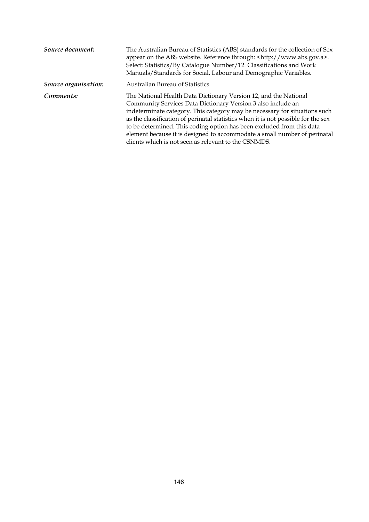| Source document:     | The Australian Bureau of Statistics (ABS) standards for the collection of Sex<br>appear on the ABS website. Reference through: <http: www.abs.gov.a="">.<br/>Select: Statistics/By Catalogue Number/12. Classifications and Work<br/>Manuals/Standards for Social, Labour and Demographic Variables.</http:>                                                                                                                                                                                                      |
|----------------------|-------------------------------------------------------------------------------------------------------------------------------------------------------------------------------------------------------------------------------------------------------------------------------------------------------------------------------------------------------------------------------------------------------------------------------------------------------------------------------------------------------------------|
| Source organisation: | <b>Australian Bureau of Statistics</b>                                                                                                                                                                                                                                                                                                                                                                                                                                                                            |
| Comments:            | The National Health Data Dictionary Version 12, and the National<br>Community Services Data Dictionary Version 3 also include an<br>indeterminate category. This category may be necessary for situations such<br>as the classification of perinatal statistics when it is not possible for the sex<br>to be determined. This coding option has been excluded from this data<br>element because it is designed to accommodate a small number of perinatal<br>clients which is not seen as relevant to the CSNMDS. |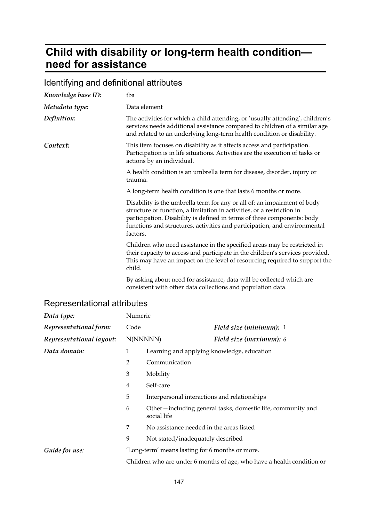## **Child with disability or long-term health condition need for assistance**

### Identifying and definitional attributes

| Knowledge base ID: | tba                                                                                                                                                                                                                                                                                                                    |
|--------------------|------------------------------------------------------------------------------------------------------------------------------------------------------------------------------------------------------------------------------------------------------------------------------------------------------------------------|
| Metadata type:     | Data element                                                                                                                                                                                                                                                                                                           |
| Definition:        | The activities for which a child attending, or 'usually attending', children's<br>services needs additional assistance compared to children of a similar age<br>and related to an underlying long-term health condition or disability.                                                                                 |
| Context:           | This item focuses on disability as it affects access and participation.<br>Participation is in life situations. Activities are the execution of tasks or<br>actions by an individual.                                                                                                                                  |
|                    | A health condition is an umbrella term for disease, disorder, injury or<br>trauma.                                                                                                                                                                                                                                     |
|                    | A long-term health condition is one that lasts 6 months or more.                                                                                                                                                                                                                                                       |
|                    | Disability is the umbrella term for any or all of: an impairment of body<br>structure or function, a limitation in activities, or a restriction in<br>participation. Disability is defined in terms of three components: body<br>functions and structures, activities and participation, and environmental<br>factors. |
|                    | Children who need assistance in the specified areas may be restricted in<br>their capacity to access and participate in the children's services provided.<br>This may have an impact on the level of resourcing required to support the<br>child.                                                                      |
|                    | By asking about need for assistance, data will be collected which are<br>consistent with other data collections and population data.                                                                                                                                                                                   |

| Data type:               | Numeric                                                                |                                                                            |  |
|--------------------------|------------------------------------------------------------------------|----------------------------------------------------------------------------|--|
| Representational form:   | Code                                                                   | Field size (minimum): 1                                                    |  |
| Representational layout: | N(NNNNN)                                                               | <b>Field size (maximum):</b> 6                                             |  |
| Data domain:             | 1                                                                      | Learning and applying knowledge, education                                 |  |
|                          | $\overline{2}$                                                         | Communication                                                              |  |
|                          | 3                                                                      | Mobility                                                                   |  |
|                          | $\overline{4}$                                                         | Self-care                                                                  |  |
|                          | 5                                                                      | Interpersonal interactions and relationships                               |  |
|                          | 6                                                                      | Other-including general tasks, domestic life, community and<br>social life |  |
|                          | 7                                                                      | No assistance needed in the areas listed                                   |  |
|                          | 9                                                                      | Not stated/inadequately described                                          |  |
| Guide for use:           |                                                                        | 'Long-term' means lasting for 6 months or more.                            |  |
|                          | Children who are under 6 months of age, who have a health condition or |                                                                            |  |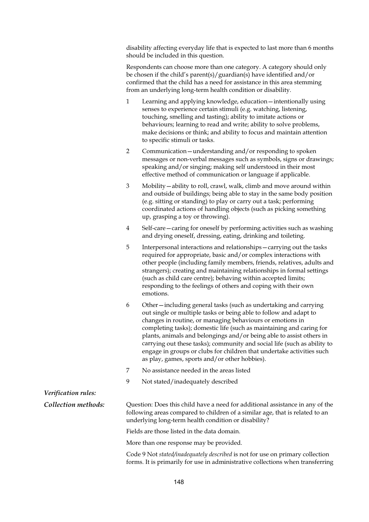disability affecting everyday life that is expected to last more than 6 months should be included in this question.

Respondents can choose more than one category. A category should only be chosen if the child's parent(s)/guardian(s) have identified and/or confirmed that the child has a need for assistance in this area stemming from an underlying long-term health condition or disability.

- 1 Learning and applying knowledge, education—intentionally using senses to experience certain stimuli (e.g. watching, listening, touching, smelling and tasting); ability to imitate actions or behaviours; learning to read and write; ability to solve problems, make decisions or think; and ability to focus and maintain attention to specific stimuli or tasks.
- 2 Communication—understanding and/or responding to spoken messages or non-verbal messages such as symbols, signs or drawings; speaking and/or singing; making self understood in their most effective method of communication or language if applicable.
- 3 Mobility—ability to roll, crawl, walk, climb and move around within and outside of buildings; being able to stay in the same body position (e.g. sitting or standing) to play or carry out a task; performing coordinated actions of handling objects (such as picking something up, grasping a toy or throwing).
- 4 Self-care—caring for oneself by performing activities such as washing and drying oneself, dressing, eating, drinking and toileting.
- 5 Interpersonal interactions and relationships—carrying out the tasks required for appropriate, basic and/or complex interactions with other people (including family members, friends, relatives, adults and strangers); creating and maintaining relationships in formal settings (such as child care centre); behaving within accepted limits; responding to the feelings of others and coping with their own emotions.
- 6 Other—including general tasks (such as undertaking and carrying out single or multiple tasks or being able to follow and adapt to changes in routine, or managing behaviours or emotions in completing tasks); domestic life (such as maintaining and caring for plants, animals and belongings and/or being able to assist others in carrying out these tasks); community and social life (such as ability to engage in groups or clubs for children that undertake activities such as play, games, sports and/or other hobbies).
- 7 No assistance needed in the areas listed
- 9 Not stated/inadequately described

#### *Verification rules:*

*Collection methods:* Question: Does this child have a need for additional assistance in any of the following areas compared to children of a similar age, that is related to an underlying long-term health condition or disability?

Fields are those listed in the data domain.

More than one response may be provided.

Code 9 Not *stated/inadequately described* is not for use on primary collection forms. It is primarily for use in administrative collections when transferring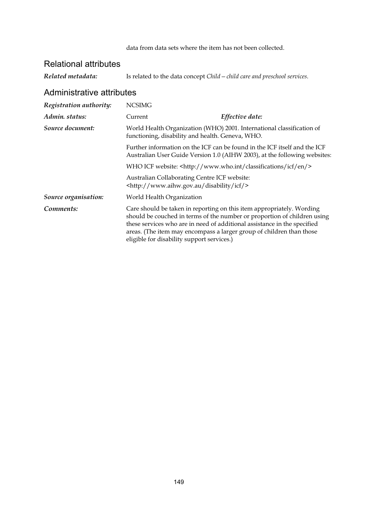#### Relational attributes

*Related metadata:* Is related to the data concept *Child—child care and preschool services*.

| Registration authority: | <b>NCSIMG</b>                                                                                                                                          |                                                                                                                                                                                                                                                                                                       |  |
|-------------------------|--------------------------------------------------------------------------------------------------------------------------------------------------------|-------------------------------------------------------------------------------------------------------------------------------------------------------------------------------------------------------------------------------------------------------------------------------------------------------|--|
| Admin. status:          | Current                                                                                                                                                | Effective date:                                                                                                                                                                                                                                                                                       |  |
| Source document:        | World Health Organization (WHO) 2001. International classification of<br>functioning, disability and health. Geneva, WHO.                              |                                                                                                                                                                                                                                                                                                       |  |
|                         | Further information on the ICF can be found in the ICF itself and the ICF<br>Australian User Guide Version 1.0 (AIHW 2003), at the following websites: |                                                                                                                                                                                                                                                                                                       |  |
|                         | WHO ICF website: <http: classifications="" en="" icf="" www.who.int=""></http:>                                                                        |                                                                                                                                                                                                                                                                                                       |  |
|                         | Australian Collaborating Centre ICF website:<br><http: disability="" icf="" www.aihw.gov.au=""></http:>                                                |                                                                                                                                                                                                                                                                                                       |  |
| Source organisation:    | World Health Organization                                                                                                                              |                                                                                                                                                                                                                                                                                                       |  |
| Comments:               | eligible for disability support services.)                                                                                                             | Care should be taken in reporting on this item appropriately. Wording<br>should be couched in terms of the number or proportion of children using<br>these services who are in need of additional assistance in the specified<br>areas. (The item may encompass a larger group of children than those |  |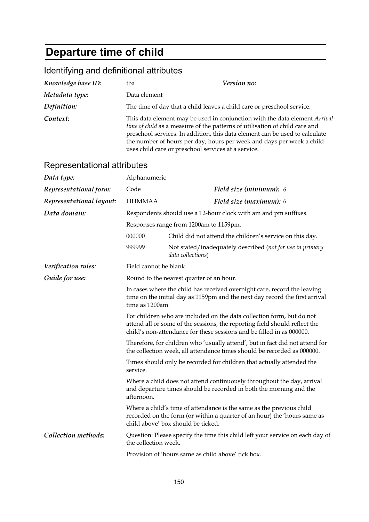# **Departure time of child**

### Identifying and definitional attributes

| Knowledge base ID:          | tba                                                                                                                                                                                                                                                                                                                                                                      | Version no:                                                                    |  |
|-----------------------------|--------------------------------------------------------------------------------------------------------------------------------------------------------------------------------------------------------------------------------------------------------------------------------------------------------------------------------------------------------------------------|--------------------------------------------------------------------------------|--|
| Metadata type:              | Data element                                                                                                                                                                                                                                                                                                                                                             |                                                                                |  |
| Definition:                 |                                                                                                                                                                                                                                                                                                                                                                          | The time of day that a child leaves a child care or preschool service.         |  |
| Context:                    | This data element may be used in conjunction with the data element Arrival<br>time of child as a measure of the patterns of utilisation of child care and<br>preschool services. In addition, this data element can be used to calculate<br>the number of hours per day, hours per week and days per week a child<br>uses child care or preschool services at a service. |                                                                                |  |
| Representational attributes |                                                                                                                                                                                                                                                                                                                                                                          |                                                                                |  |
| Data type:                  | Alphanumeric                                                                                                                                                                                                                                                                                                                                                             |                                                                                |  |
| Representational form:      | Code                                                                                                                                                                                                                                                                                                                                                                     | Field size (minimum): 6                                                        |  |
| Representational layout:    | <b>HHMMAA</b>                                                                                                                                                                                                                                                                                                                                                            | Field size (maximum): 6                                                        |  |
| Data domain:                |                                                                                                                                                                                                                                                                                                                                                                          | Respondents should use a 12-hour clock with am and pm suffixes.                |  |
|                             |                                                                                                                                                                                                                                                                                                                                                                          | Responses range from 1200am to 1159pm.                                         |  |
|                             | 000000                                                                                                                                                                                                                                                                                                                                                                   | Child did not attend the children's service on this day.                       |  |
|                             | 999999                                                                                                                                                                                                                                                                                                                                                                   | Not stated/inadequately described (not for use in primary<br>data collections) |  |
| Verification rules:         | Field cannot be blank.                                                                                                                                                                                                                                                                                                                                                   |                                                                                |  |
| Guide for use:              | Round to the nearest quarter of an hour.                                                                                                                                                                                                                                                                                                                                 |                                                                                |  |
|                             | In cases where the child has received overnight care, record the leaving<br>time on the initial day as 1159pm and the next day record the first arrival<br>time as 1200am.                                                                                                                                                                                               |                                                                                |  |
|                             | For children who are included on the data collection form, but do not<br>attend all or some of the sessions, the reporting field should reflect the<br>child's non-attendance for these sessions and be filled in as 000000.                                                                                                                                             |                                                                                |  |
|                             | Therefore, for children who 'usually attend', but in fact did not attend for<br>the collection week, all attendance times should be recorded as 000000.                                                                                                                                                                                                                  |                                                                                |  |
|                             | Times should only be recorded for children that actually attended the<br>service.                                                                                                                                                                                                                                                                                        |                                                                                |  |
|                             | Where a child does not attend continuously throughout the day, arrival<br>and departure times should be recorded in both the morning and the<br>afternoon.                                                                                                                                                                                                               |                                                                                |  |
|                             | Where a child's time of attendance is the same as the previous child<br>recorded on the form (or within a quarter of an hour) the 'hours same as<br>child above' box should be ticked.                                                                                                                                                                                   |                                                                                |  |
| Collection methods:         | the collection week.                                                                                                                                                                                                                                                                                                                                                     | Question: Please specify the time this child left your service on each day of  |  |
|                             | Provision of 'hours same as child above' tick box.                                                                                                                                                                                                                                                                                                                       |                                                                                |  |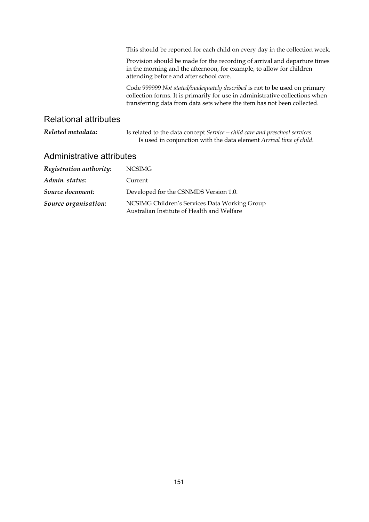|                              | This should be reported for each child on every day in the collection week.                                                                                                                                                           |  |
|------------------------------|---------------------------------------------------------------------------------------------------------------------------------------------------------------------------------------------------------------------------------------|--|
|                              | Provision should be made for the recording of arrival and departure times<br>in the morning and the afternoon, for example, to allow for children<br>attending before and after school care.                                          |  |
|                              | Code 999999 Not stated/inadequately described is not to be used on primary<br>collection forms. It is primarily for use in administrative collections when<br>transferring data from data sets where the item has not been collected. |  |
| <b>Relational attributes</b> |                                                                                                                                                                                                                                       |  |
| Related metadata:            | Is related to the data concept Service – child care and preschool services.<br>Is used in conjunction with the data element Arrival time of child.                                                                                    |  |

| Registration authority: | <b>NCSIMG</b>                                                                               |
|-------------------------|---------------------------------------------------------------------------------------------|
| Admin. status:          | Current                                                                                     |
| Source document:        | Developed for the CSNMDS Version 1.0.                                                       |
| Source organisation:    | NCSIMG Children's Services Data Working Group<br>Australian Institute of Health and Welfare |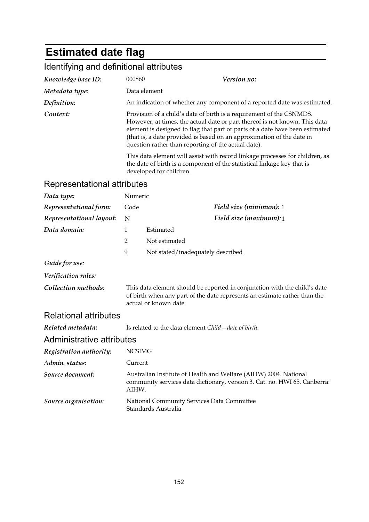# **Estimated date flag**

## Identifying and definitional attributes

| Knowledge base ID: | 000860                                                                                                                                                  | <i>Version no:</i>                                                                                                                                                                                                                                                                                          |  |
|--------------------|---------------------------------------------------------------------------------------------------------------------------------------------------------|-------------------------------------------------------------------------------------------------------------------------------------------------------------------------------------------------------------------------------------------------------------------------------------------------------------|--|
| Metadata type:     | Data element                                                                                                                                            |                                                                                                                                                                                                                                                                                                             |  |
| Definition:        | An indication of whether any component of a reported date was estimated.                                                                                |                                                                                                                                                                                                                                                                                                             |  |
| Context:           | question rather than reporting of the actual date).                                                                                                     | Provision of a child's date of birth is a requirement of the CSNMDS.<br>However, at times, the actual date or part thereof is not known. This data<br>element is designed to flag that part or parts of a date have been estimated<br>(that is, a date provided is based on an approximation of the date in |  |
|                    | This data element will assist with record linkage processes for children, as<br>the date of birth is a component of the statistical linkage key that is |                                                                                                                                                                                                                                                                                                             |  |

developed for children.

| Data type:                   | Numeric       |                                                                                                                                                                                 |
|------------------------------|---------------|---------------------------------------------------------------------------------------------------------------------------------------------------------------------------------|
| Representational form:       | Code          | Field size (minimum): 1                                                                                                                                                         |
| Representational layout:     | N             | Field size (maximum):1                                                                                                                                                          |
| Data domain:                 | $\mathbf{1}$  | Estimated                                                                                                                                                                       |
|                              | 2             | Not estimated                                                                                                                                                                   |
|                              | 9             | Not stated/inadequately described                                                                                                                                               |
| Guide for use:               |               |                                                                                                                                                                                 |
| Verification rules:          |               |                                                                                                                                                                                 |
| Collection methods:          |               | This data element should be reported in conjunction with the child's date<br>of birth when any part of the date represents an estimate rather than the<br>actual or known date. |
| <b>Relational attributes</b> |               |                                                                                                                                                                                 |
| Related metadata:            |               | Is related to the data element Child – date of birth.                                                                                                                           |
| Administrative attributes    |               |                                                                                                                                                                                 |
| Registration authority:      | <b>NCSIMG</b> |                                                                                                                                                                                 |
| Admin. status:               | Current       |                                                                                                                                                                                 |
| Source document:             | AIHW.         | Australian Institute of Health and Welfare (AIHW) 2004. National<br>community services data dictionary, version 3. Cat. no. HWI 65. Canberra:                                   |
| Source organisation:         |               | National Community Services Data Committee<br>Standards Australia                                                                                                               |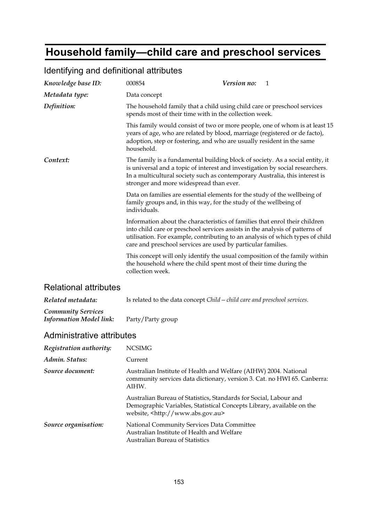## **Household family—child care and preschool services**

#### *Knowledge base ID:* 000854 *Version no:* 1 *Metadata type:* Data concept *Definition:* The household family that a child using child care or preschool services spends most of their time with in the collection week. This family would consist of two or more people, one of whom is at least 15 years of age, who are related by blood, marriage (registered or de facto), adoption, step or fostering, and who are usually resident in the same household. **Context:** The family is a fundamental building block of society. As a social entity, it is universal and a topic of interest and investigation by social researchers. In a multicultural society such as contemporary Australia, this interest is stronger and more widespread than ever. Data on families are essential elements for the study of the wellbeing of family groups and, in this way, for the study of the wellbeing of individuals. Information about the characteristics of families that enrol their children into child care or preschool services assists in the analysis of patterns of utilisation. For example, contributing to an analysis of which types of child care and preschool services are used by particular families. This concept will only identify the usual composition of the family within the household where the child spent most of their time during the collection week. Relational attributes

#### Identifying and definitional attributes

| Related metadata:              | Is related to the data concept Child – child care and preschool services. |
|--------------------------------|---------------------------------------------------------------------------|
| <b>Community Services</b>      |                                                                           |
| <b>Information Model link:</b> | Party/Party group                                                         |

| Registration authority: | <b>NCSIMG</b>                                                                                                                                                                            |
|-------------------------|------------------------------------------------------------------------------------------------------------------------------------------------------------------------------------------|
| Admin. Status:          | Current                                                                                                                                                                                  |
| Source document:        | Australian Institute of Health and Welfare (AIHW) 2004. National<br>community services data dictionary, version 3. Cat. no HWI 65. Canberra:<br>AIHW.                                    |
|                         | Australian Bureau of Statistics, Standards for Social, Labour and<br>Demographic Variables, Statistical Concepts Library, available on the<br>website, <http: www.abs.gov.au=""></http:> |
| Source organisation:    | National Community Services Data Committee<br>Australian Institute of Health and Welfare<br><b>Australian Bureau of Statistics</b>                                                       |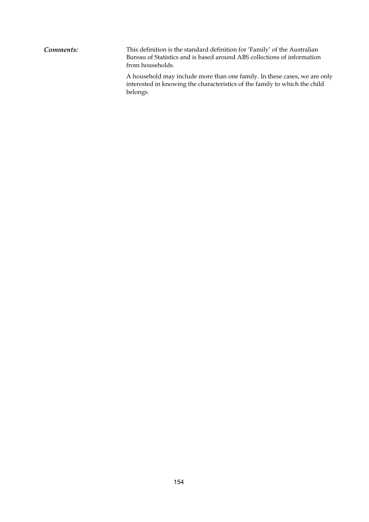**Comments:** This definition is the standard definition for 'Family' of the Australian Bureau of Statistics and is based around ABS collections of information from households.

A household may include more than one family. In these cases, we are only interested in knowing the characteristics of the family to which the child belongs.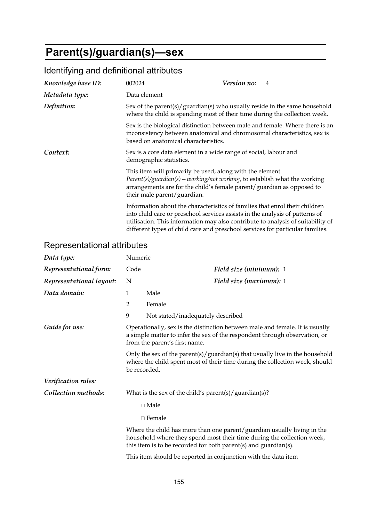# **Parent(s)/guardian(s)—sex**

| Knowledge base ID: | 002024                               | <i>Version no:</i>                                                                                                                                                                                                                           | $\overline{4}$                                                                  |
|--------------------|--------------------------------------|----------------------------------------------------------------------------------------------------------------------------------------------------------------------------------------------------------------------------------------------|---------------------------------------------------------------------------------|
| Metadata type:     | Data element                         |                                                                                                                                                                                                                                              |                                                                                 |
| Definition:        |                                      | where the child is spending most of their time during the collection week.                                                                                                                                                                   | Sex of the parent(s)/ guardian(s) who usually reside in the same household      |
|                    | based on anatomical characteristics. | inconsistency between anatomical and chromosomal characteristics, sex is                                                                                                                                                                     | Sex is the biological distinction between male and female. Where there is an    |
| Context:           | demographic statistics.              | Sex is a core data element in a wide range of social, labour and                                                                                                                                                                             |                                                                                 |
|                    | their male parent/guardian.          | This item will primarily be used, along with the element<br>$Parent(s)/quantian(s) – working/not working, to establish what the working.$<br>arrangements are for the child's female parent/guardian as opposed to                           |                                                                                 |
|                    |                                      | Information about the characteristics of families that enrol their children<br>into child care or preschool services assists in the analysis of patterns of<br>different types of child care and preschool services for particular families. | utilisation. This information may also contribute to analysis of suitability of |

### Identifying and definitional attributes

| Data type:               | Numeric                                                                                                                                                                     |                                                                                                                                                                                                                      |
|--------------------------|-----------------------------------------------------------------------------------------------------------------------------------------------------------------------------|----------------------------------------------------------------------------------------------------------------------------------------------------------------------------------------------------------------------|
| Representational form:   | Code                                                                                                                                                                        | Field size (minimum): 1                                                                                                                                                                                              |
| Representational layout: | N                                                                                                                                                                           | Field size (maximum): 1                                                                                                                                                                                              |
| Data domain:             | $\mathbf{1}$                                                                                                                                                                | Male                                                                                                                                                                                                                 |
|                          | $\overline{2}$                                                                                                                                                              | Female                                                                                                                                                                                                               |
|                          | 9                                                                                                                                                                           | Not stated/inadequately described                                                                                                                                                                                    |
| Guide for use:           |                                                                                                                                                                             | Operationally, sex is the distinction between male and female. It is usually<br>a simple matter to infer the sex of the respondent through observation, or<br>from the parent's first name.                          |
|                          | Only the sex of the parent(s)/guardian(s) that usually live in the household<br>where the child spent most of their time during the collection week, should<br>be recorded. |                                                                                                                                                                                                                      |
| Verification rules:      |                                                                                                                                                                             |                                                                                                                                                                                                                      |
| Collection methods:      |                                                                                                                                                                             | What is the sex of the child's parent(s)/guardian(s)?                                                                                                                                                                |
|                          |                                                                                                                                                                             | $\Box$ Male                                                                                                                                                                                                          |
|                          |                                                                                                                                                                             | $\Box$ Female                                                                                                                                                                                                        |
|                          |                                                                                                                                                                             | Where the child has more than one parent/guardian usually living in the<br>household where they spend most their time during the collection week,<br>this item is to be recorded for both parent(s) and guardian(s). |
|                          |                                                                                                                                                                             | This item should be reported in conjunction with the data item                                                                                                                                                       |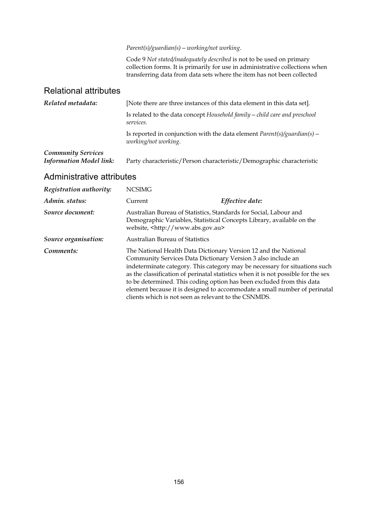*Parent(s)/guardian(s)—working/not working*.

Code 9 *Not stated/inadequately described* is not to be used on primary collection forms. It is primarily for use in administrative collections when transferring data from data sets where the item has not been collected

#### Relational attributes

| Related metadata:                                           | [Note there are three instances of this data element in this data set].                            |  |
|-------------------------------------------------------------|----------------------------------------------------------------------------------------------------|--|
|                                                             | Is related to the data concept Household family $-$ child care and preschool<br>services.          |  |
|                                                             | Is reported in conjunction with the data element $Parent(s)/quantian(s) -$<br>working/not working. |  |
| <b>Community Services</b><br><b>Information Model link:</b> | Party characteristic/Person characteristic/Demographic characteristic                              |  |

| Registration authority: | <b>NCSIMG</b>                                                                                                                                                                           |                                                                                                                                                                                                                                                                                                                       |
|-------------------------|-----------------------------------------------------------------------------------------------------------------------------------------------------------------------------------------|-----------------------------------------------------------------------------------------------------------------------------------------------------------------------------------------------------------------------------------------------------------------------------------------------------------------------|
| Admin. status:          | Current                                                                                                                                                                                 | Effective date:                                                                                                                                                                                                                                                                                                       |
| Source document:        | Australian Bureau of Statistics, Standards for Social, Labour and<br>website, <http: www.abs.gov.au=""></http:>                                                                         | Demographic Variables, Statistical Concepts Library, available on the                                                                                                                                                                                                                                                 |
| Source organisation:    | <b>Australian Bureau of Statistics</b>                                                                                                                                                  |                                                                                                                                                                                                                                                                                                                       |
| Comments:               | The National Health Data Dictionary Version 12 and the National<br>Community Services Data Dictionary Version 3 also include an<br>clients which is not seen as relevant to the CSNMDS. | indeterminate category. This category may be necessary for situations such<br>as the classification of perinatal statistics when it is not possible for the sex<br>to be determined. This coding option has been excluded from this data<br>element because it is designed to accommodate a small number of perinatal |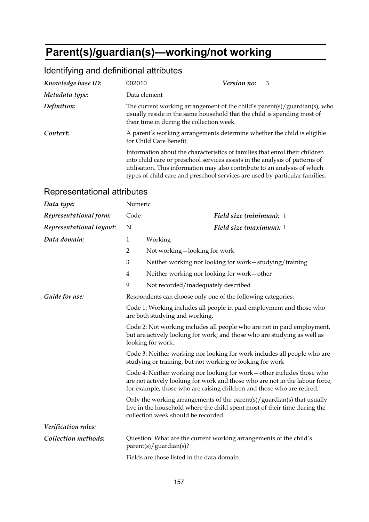# **Parent(s)/guardian(s)—working/not working**

### Identifying and definitional attributes

| Knowledge base ID: | 002010                                    | Version no:<br>3                                                                                                                                                                                                                                                                                                        |
|--------------------|-------------------------------------------|-------------------------------------------------------------------------------------------------------------------------------------------------------------------------------------------------------------------------------------------------------------------------------------------------------------------------|
| Metadata type:     | Data element                              |                                                                                                                                                                                                                                                                                                                         |
| Definition:        | their time in during the collection week. | The current working arrangement of the child's parent(s)/guardian(s), who<br>usually reside in the same household that the child is spending most of                                                                                                                                                                    |
| Context:           | for Child Care Benefit.                   | A parent's working arrangements determine whether the child is eligible                                                                                                                                                                                                                                                 |
|                    |                                           | Information about the characteristics of families that enrol their children<br>into child care or preschool services assists in the analysis of patterns of<br>utilisation. This information may also contribute to an analysis of which<br>types of child care and preschool services are used by particular families. |

| Data type:               | Numeric        |                                                                                                                                                                                                                                   |
|--------------------------|----------------|-----------------------------------------------------------------------------------------------------------------------------------------------------------------------------------------------------------------------------------|
| Representational form:   | Code           | Field size (minimum): 1                                                                                                                                                                                                           |
| Representational layout: | N              | Field size (maximum): 1                                                                                                                                                                                                           |
| Data domain:             | $\mathbf{1}$   | Working                                                                                                                                                                                                                           |
|                          | $\overline{2}$ | Not working-looking for work                                                                                                                                                                                                      |
|                          | 3              | Neither working nor looking for work-studying/training                                                                                                                                                                            |
|                          | $\overline{4}$ | Neither working nor looking for work-other                                                                                                                                                                                        |
|                          | 9              | Not recorded/inadequately described                                                                                                                                                                                               |
| Guide for use:           |                | Respondents can choose only one of the following categories:                                                                                                                                                                      |
|                          |                | Code 1: Working includes all people in paid employment and those who<br>are both studying and working.                                                                                                                            |
|                          |                | Code 2: Not working includes all people who are not in paid employment,<br>but are actively looking for work; and those who are studying as well as<br>looking for work.                                                          |
|                          |                | Code 3: Neither working nor looking for work includes all people who are<br>studying or training, but not working or looking for work                                                                                             |
|                          |                | Code 4: Neither working nor looking for work - other includes those who<br>are not actively looking for work and those who are not in the labour force,<br>for example, those who are raising children and those who are retired. |
|                          |                | Only the working arrangements of the parent(s)/guardian(s) that usually<br>live in the household where the child spent most of their time during the<br>collection week should be recorded.                                       |
| Verification rules:      |                |                                                                                                                                                                                                                                   |
| Collection methods:      |                | Question: What are the current working arrangements of the child's<br>parent(s)/guardian(s)?                                                                                                                                      |
|                          |                | Fields are those listed in the data domain.                                                                                                                                                                                       |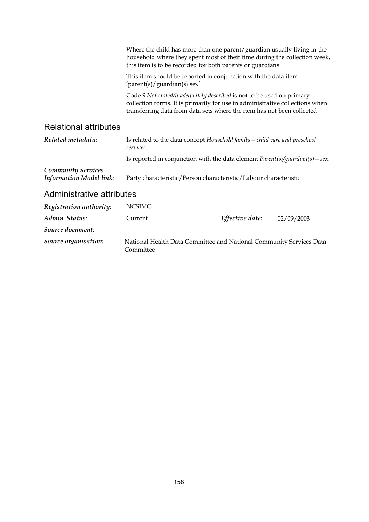|                                                             | Where the child has more than one parent/guardian usually living in the<br>household where they spent most of their time during the collection week,<br>this item is to be recorded for both parents or guardians.               |                 |            |
|-------------------------------------------------------------|----------------------------------------------------------------------------------------------------------------------------------------------------------------------------------------------------------------------------------|-----------------|------------|
|                                                             | This item should be reported in conjunction with the data item<br>'parent(s)/guardian(s) sex'.                                                                                                                                   |                 |            |
|                                                             | Code 9 Not stated/inadequately described is not to be used on primary<br>collection forms. It is primarily for use in administrative collections when<br>transferring data from data sets where the item has not been collected. |                 |            |
| <b>Relational attributes</b>                                |                                                                                                                                                                                                                                  |                 |            |
| Related metadata:                                           | Is related to the data concept Household family – child care and preschool<br>services.                                                                                                                                          |                 |            |
|                                                             | Is reported in conjunction with the data element $Parent(s)/quantian(s) - sex$ .                                                                                                                                                 |                 |            |
| <b>Community Services</b><br><b>Information Model link:</b> | Party characteristic/Person characteristic/Labour characteristic                                                                                                                                                                 |                 |            |
| Administrative attributes                                   |                                                                                                                                                                                                                                  |                 |            |
| Registration authority:                                     | <b>NCSIMG</b>                                                                                                                                                                                                                    |                 |            |
| Admin. Status:                                              | Current                                                                                                                                                                                                                          | Effective date: | 02/09/2003 |
| Source document:                                            |                                                                                                                                                                                                                                  |                 |            |

*Source organisation:* National Health Data Committee and National Community Services Data Committee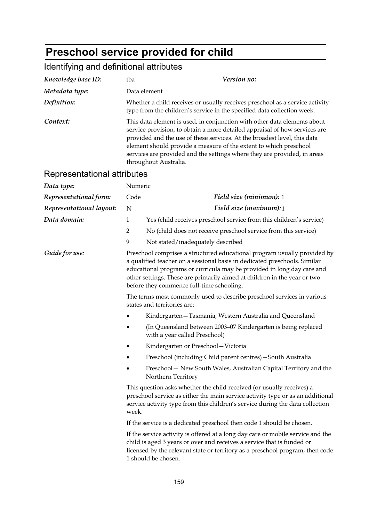# **Preschool service provided for child**

## Identifying and definitional attributes

| Knowledge base ID:          | tba                                                                                                                                                                                                                                                                                                                                                                                                          | Version no:                                                                                                                                                                                                                                                                                                                                              |  |
|-----------------------------|--------------------------------------------------------------------------------------------------------------------------------------------------------------------------------------------------------------------------------------------------------------------------------------------------------------------------------------------------------------------------------------------------------------|----------------------------------------------------------------------------------------------------------------------------------------------------------------------------------------------------------------------------------------------------------------------------------------------------------------------------------------------------------|--|
| Metadata type:              | Data element                                                                                                                                                                                                                                                                                                                                                                                                 |                                                                                                                                                                                                                                                                                                                                                          |  |
| Definition:                 | Whether a child receives or usually receives preschool as a service activity<br>type from the children's service in the specified data collection week.                                                                                                                                                                                                                                                      |                                                                                                                                                                                                                                                                                                                                                          |  |
| Context:                    | This data element is used, in conjunction with other data elements about<br>service provision, to obtain a more detailed appraisal of how services are<br>provided and the use of these services. At the broadest level, this data<br>element should provide a measure of the extent to which preschool<br>services are provided and the settings where they are provided, in areas<br>throughout Australia. |                                                                                                                                                                                                                                                                                                                                                          |  |
| Representational attributes |                                                                                                                                                                                                                                                                                                                                                                                                              |                                                                                                                                                                                                                                                                                                                                                          |  |
| Data type:                  | Numeric                                                                                                                                                                                                                                                                                                                                                                                                      |                                                                                                                                                                                                                                                                                                                                                          |  |
| Representational form:      | Code                                                                                                                                                                                                                                                                                                                                                                                                         | Field size (minimum): 1                                                                                                                                                                                                                                                                                                                                  |  |
| Representational layout:    | N                                                                                                                                                                                                                                                                                                                                                                                                            | Field size (maximum):1                                                                                                                                                                                                                                                                                                                                   |  |
| Data domain:                | $\mathbf{1}$                                                                                                                                                                                                                                                                                                                                                                                                 | Yes (child receives preschool service from this children's service)                                                                                                                                                                                                                                                                                      |  |
|                             | $\overline{2}$                                                                                                                                                                                                                                                                                                                                                                                               | No (child does not receive preschool service from this service)                                                                                                                                                                                                                                                                                          |  |
|                             | 9                                                                                                                                                                                                                                                                                                                                                                                                            | Not stated/inadequately described                                                                                                                                                                                                                                                                                                                        |  |
| Guide for use:              |                                                                                                                                                                                                                                                                                                                                                                                                              | Preschool comprises a structured educational program usually provided by<br>a qualified teacher on a sessional basis in dedicated preschools. Similar<br>educational programs or curricula may be provided in long day care and<br>other settings. These are primarily aimed at children in the year or two<br>before they commence full-time schooling. |  |
|                             | The terms most commonly used to describe preschool services in various<br>states and territories are:                                                                                                                                                                                                                                                                                                        |                                                                                                                                                                                                                                                                                                                                                          |  |
|                             |                                                                                                                                                                                                                                                                                                                                                                                                              | Kindergarten-Tasmania, Western Australia and Queensland                                                                                                                                                                                                                                                                                                  |  |
|                             |                                                                                                                                                                                                                                                                                                                                                                                                              | (In Queensland between 2003-07 Kindergarten is being replaced<br>with a year called Preschool)                                                                                                                                                                                                                                                           |  |
|                             |                                                                                                                                                                                                                                                                                                                                                                                                              | Kindergarten or Preschool-Victoria                                                                                                                                                                                                                                                                                                                       |  |
|                             |                                                                                                                                                                                                                                                                                                                                                                                                              | Preschool (including Child parent centres) - South Australia                                                                                                                                                                                                                                                                                             |  |
|                             |                                                                                                                                                                                                                                                                                                                                                                                                              | Preschool - New South Wales, Australian Capital Territory and the<br>Northern Territory                                                                                                                                                                                                                                                                  |  |
|                             | This question asks whether the child received (or usually receives) a<br>preschool service as either the main service activity type or as an additional<br>service activity type from this children's service during the data collection<br>week.                                                                                                                                                            |                                                                                                                                                                                                                                                                                                                                                          |  |
|                             | If the service is a dedicated preschool then code 1 should be chosen.                                                                                                                                                                                                                                                                                                                                        |                                                                                                                                                                                                                                                                                                                                                          |  |
|                             |                                                                                                                                                                                                                                                                                                                                                                                                              | If the service activity is offered at a long day care or mobile service and the<br>child is aged 3 years or over and receives a service that is funded or<br>licensed by the relevant state or territory as a preschool program, then code<br>1 should be chosen.                                                                                        |  |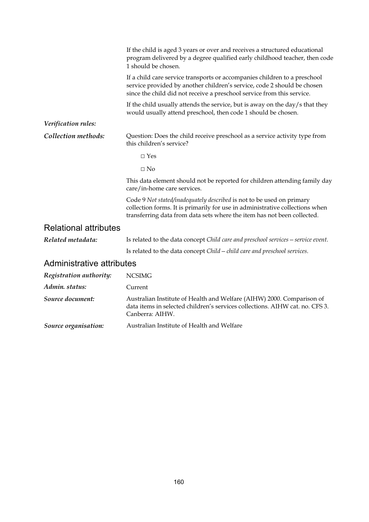|                              | If the child is aged 3 years or over and receives a structured educational<br>program delivered by a degree qualified early childhood teacher, then code<br>1 should be chosen.                                                  |
|------------------------------|----------------------------------------------------------------------------------------------------------------------------------------------------------------------------------------------------------------------------------|
|                              | If a child care service transports or accompanies children to a preschool<br>service provided by another children's service, code 2 should be chosen<br>since the child did not receive a preschool service from this service.   |
|                              | If the child usually attends the service, but is away on the day/s that they<br>would usually attend preschool, then code 1 should be chosen.                                                                                    |
| Verification rules:          |                                                                                                                                                                                                                                  |
| Collection methods:          | Question: Does the child receive preschool as a service activity type from<br>this children's service?                                                                                                                           |
|                              | $\Box$ Yes                                                                                                                                                                                                                       |
|                              | $\Box$ No                                                                                                                                                                                                                        |
|                              | This data element should not be reported for children attending family day<br>care/in-home care services.                                                                                                                        |
|                              | Code 9 Not stated/inadequately described is not to be used on primary<br>collection forms. It is primarily for use in administrative collections when<br>transferring data from data sets where the item has not been collected. |
| <b>Relational attributes</b> |                                                                                                                                                                                                                                  |
| Related metadata:            | Is related to the data concept Child care and preschool services - service event.                                                                                                                                                |
|                              | Is related to the data concept Child - child care and preschool services.                                                                                                                                                        |
| Administrative attributes    |                                                                                                                                                                                                                                  |
| Registration authority:      | <b>NCSIMG</b>                                                                                                                                                                                                                    |
| Admin. status:               | Current                                                                                                                                                                                                                          |
| Source document:             | Australian Institute of Health and Welfare (AIHW) 2000. Comparison of<br>data items in selected children's services collections. AIHW cat. no. CFS 3.<br>Canberra: AIHW.                                                         |
| Source organisation:         | Australian Institute of Health and Welfare                                                                                                                                                                                       |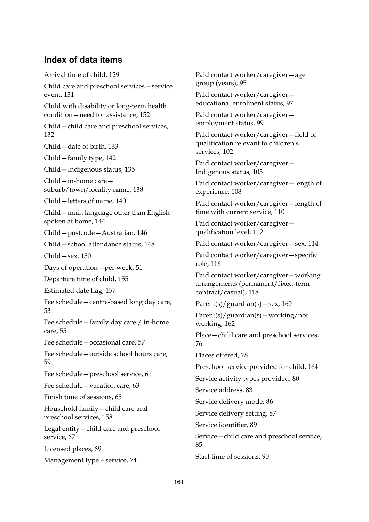#### **Index of data items**

Arrival time of child, 129 Child care and preschool services—service event, 131 Child with disability or long-term health condition—need for assistance, 152 Child—child care and preschool services, 132 Child—date of birth, 133 Child—family type, 142 Child—Indigenous status, 135 Child—in-home care suburb/town/locality name, 138 Child—letters of name, 140 Child—main language other than English spoken at home, 144 Child—postcode—Australian, 146 Child—school attendance status, 148 Child—sex, 150 Days of operation—per week, 51 Departure time of child, 155 Estimated date flag, 157 Fee schedule—centre-based long day care, 53 Fee schedule—family day care / in-home care, 55 Fee schedule—occasional care, 57 Fee schedule—outside school hours care, 59 Fee schedule—preschool service, 61 Fee schedule—vacation care, 63 Finish time of sessions, 65 Household family—child care and preschool services, 158 Legal entity—child care and preschool service, 67 Licensed places, 69 Management type – service, 74

Paid contact worker/caregiver—age group (years), 95

Paid contact worker/caregiver educational enrolment status, 97

Paid contact worker/caregiver employment status, 99

Paid contact worker/caregiver—field of qualification relevant to children's services, 102

Paid contact worker/caregiver— Indigenous status, 105

Paid contact worker/caregiver—length of experience, 108

Paid contact worker/caregiver—length of time with current service, 110

Paid contact worker/caregiver qualification level, 112

Paid contact worker/caregiver—sex, 114

Paid contact worker/caregiver—specific role, 116

Paid contact worker/caregiver—working arrangements (permanent/fixed-term contract/casual), 118

 $Parent(s)/guardian(s) - sex, 160$ 

Parent(s)/guardian(s)—working/not working, 162

Place—child care and preschool services, 76

Places offered, 78

Preschool service provided for child, 164

Service activity types provided, 80

Service address, 83

Service delivery mode, 86

Service delivery setting, 87

Service identifier, 89

Service—child care and preschool service, 85

Start time of sessions, 90